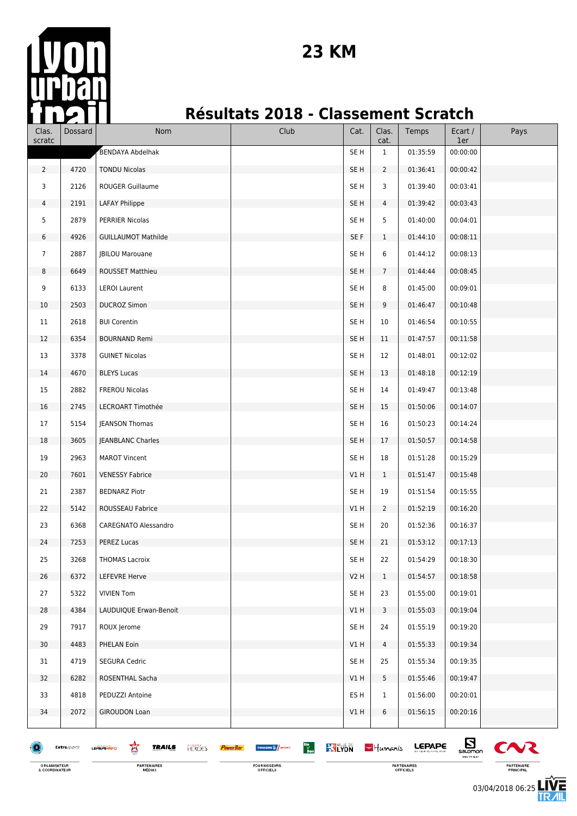

### **Résultats 2018 - Classement Scratch**

| Clas.<br>scratc                | Dossard     | Nom                                                                   | Club                                              | Cat.            | Clas.<br>cat.   | Temps                    | Ecart /<br>1er          | Pays                    |
|--------------------------------|-------------|-----------------------------------------------------------------------|---------------------------------------------------|-----------------|-----------------|--------------------------|-------------------------|-------------------------|
|                                |             | <b>BENDAYA Abdelhak</b>                                               |                                                   | SE <sub>H</sub> | $\mathbf{1}$    | 01:35:59                 | 00:00:00                |                         |
| $\overline{2}$                 | 4720        | <b>TONDU Nicolas</b>                                                  |                                                   | SE <sub>H</sub> | $\overline{2}$  | 01:36:41                 | 00:00:42                |                         |
| 3                              | 2126        | ROUGER Guillaume                                                      |                                                   | SE <sub>H</sub> | 3               | 01:39:40                 | 00:03:41                |                         |
| $\overline{4}$                 | 2191        | <b>LAFAY Philippe</b>                                                 |                                                   | SE <sub>H</sub> | $\overline{4}$  | 01:39:42                 | 00:03:43                |                         |
| 5                              | 2879        | PERRIER Nicolas                                                       |                                                   | SE H            | 5               | 01:40:00                 | 00:04:01                |                         |
| 6                              | 4926        | <b>GUILLAUMOT Mathilde</b>                                            |                                                   | SE F            | $\mathbf{1}$    | 01:44:10                 | 00:08:11                |                         |
| $\overline{7}$                 | 2887        | <b>JBILOU Marouane</b>                                                |                                                   | SE H            | 6               | 01:44:12                 | 00:08:13                |                         |
| 8                              | 6649        | <b>ROUSSET Matthieu</b>                                               |                                                   | SE H            | $7\overline{ }$ | 01:44:44                 | 00:08:45                |                         |
| 9                              | 6133        | <b>LEROI Laurent</b>                                                  |                                                   | SE <sub>H</sub> | 8               | 01:45:00                 | 00:09:01                |                         |
| 10                             | 2503        | <b>DUCROZ Simon</b>                                                   |                                                   | SE <sub>H</sub> | 9               | 01:46:47                 | 00:10:48                |                         |
| 11                             | 2618        | <b>BUI Corentin</b>                                                   |                                                   | SE H            | 10              | 01:46:54                 | 00:10:55                |                         |
| 12                             | 6354        | <b>BOURNAND Remi</b>                                                  |                                                   | SE <sub>H</sub> | 11              | 01:47:57                 | 00:11:58                |                         |
| 13                             | 3378        | <b>GUINET Nicolas</b>                                                 |                                                   | SE H            | 12              | 01:48:01                 | 00:12:02                |                         |
| 14                             | 4670        | <b>BLEYS Lucas</b>                                                    |                                                   | SE <sub>H</sub> | 13              | 01:48:18                 | 00:12:19                |                         |
| 15                             | 2882        | FREROU Nicolas                                                        |                                                   | SE <sub>H</sub> | 14              | 01:49:47                 | 00:13:48                |                         |
| 16                             | 2745        | LECROART Timothée                                                     |                                                   | SE <sub>H</sub> | 15              | 01:50:06                 | 00:14:07                |                         |
| 17                             | 5154        | <b>JEANSON Thomas</b>                                                 |                                                   | SE H            | 16              | 01:50:23                 | 00:14:24                |                         |
| 18                             | 3605        | JEANBLANC Charles                                                     |                                                   | SE <sub>H</sub> | 17              | 01:50:57                 | 00:14:58                |                         |
| 19                             | 2963        | <b>MAROT Vincent</b>                                                  |                                                   | SE H            | 18              | 01:51:28                 | 00:15:29                |                         |
| 20                             | 7601        | <b>VENESSY Fabrice</b>                                                |                                                   | V1H             | $\mathbf{1}$    | 01:51:47                 | 00:15:48                |                         |
| 21                             | 2387        | <b>BEDNARZ Piotr</b>                                                  |                                                   | SE <sub>H</sub> | 19              | 01:51:54                 | 00:15:55                |                         |
| 22                             | 5142        | ROUSSEAU Fabrice                                                      |                                                   | V1H             | $\overline{2}$  | 01:52:19                 | 00:16:20                |                         |
| 23                             | 6368        | CAREGNATO Alessandro                                                  |                                                   | SE H            | 20              | 01:52:36                 | 00:16:37                |                         |
| 24                             | 7253        | PEREZ Lucas                                                           |                                                   | SE H            | 21              | 01:53:12                 | 00:17:13                |                         |
| 25                             | 3268        | <b>THOMAS Lacroix</b>                                                 |                                                   | SE H            | 22              | 01:54:29                 | 00:18:30                |                         |
| 26                             | 6372        | <b>LEFEVRE Herve</b>                                                  |                                                   | <b>V2 H</b>     | $\mathbf{1}$    | 01:54:57                 | 00:18:58                |                         |
| 27                             | 5322        | <b>VIVIEN Tom</b>                                                     |                                                   | SE <sub>H</sub> | 23              | 01:55:00                 | 00:19:01                |                         |
| 28                             | 4384        | LAUDUIQUE Erwan-Benoit                                                |                                                   | V1H             | 3               | 01:55:03                 | 00:19:04                |                         |
| 29                             | 7917        | ROUX Jerome                                                           |                                                   | SE <sub>H</sub> | 24              | 01:55:19                 | 00:19:20                |                         |
| 30                             | 4483        | PHELAN Eoin                                                           |                                                   | VIH             | 4               | 01:55:33                 | 00:19:34                |                         |
| 31                             | 4719        | <b>SEGURA Cedric</b>                                                  |                                                   | SE <sub>H</sub> | 25              | 01:55:34                 | 00:19:35                |                         |
| 32                             | 6282        | ROSENTHAL Sacha                                                       |                                                   | VIH             | 5               | 01:55:46                 | 00:19:47                |                         |
| 33                             | 4818        | PEDUZZI Antoine                                                       |                                                   | ES <sub>H</sub> | 1               | 01:56:00                 | 00:20:01                |                         |
| 34                             | 2072        | <b>GIROUDON Loan</b>                                                  |                                                   | V1H             | 6               | 01:56:15                 | 00:20:16                |                         |
|                                | Extrasports | 鸾<br><b>TRAILS</b><br><b>HEROES</b><br><b>PowerBar</b><br>LEPAPE-INFO | $rac{1}{\epsilon}$<br>THUASHE <sup>16</sup> SPORT | <b>WILYON</b>   | $-$ Humanis     | <b>LEPAPE</b>            | Ø                       |                         |
| ORGANISATEUR<br>& COORDINATEUR |             | <b>PARTENAIRES</b><br>MÉDIAS                                          | FOURNISSEURS<br>OFFICIELS                         |                 |                 | PARTENAIRES<br>OFFICIELS | salomon<br>TIME TO PLAT | PARTENAIRE<br>PRINCIPAL |

ORGANISATEUR<br>& COORDINATEUR

03/04/2018 06:25

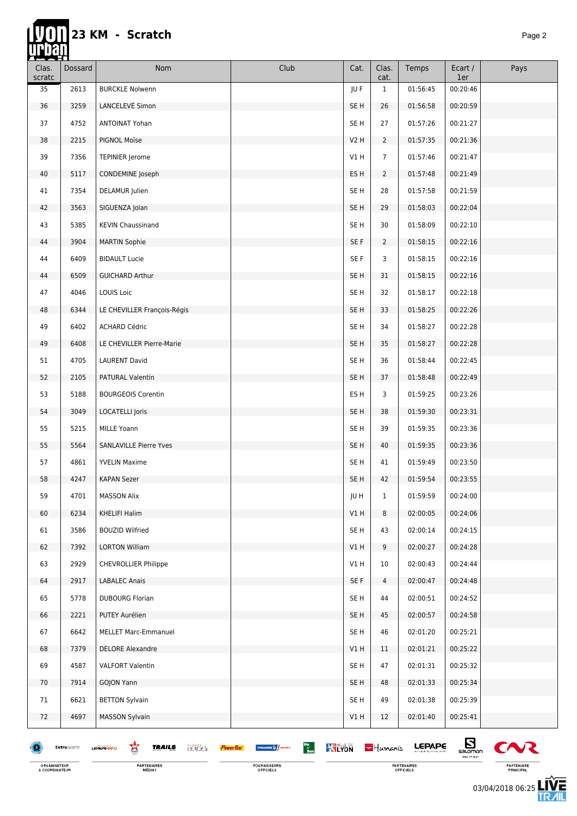| <u>reveni</u>          |             |                                                    |                                                |                 |                |               |                                             |        |
|------------------------|-------------|----------------------------------------------------|------------------------------------------------|-----------------|----------------|---------------|---------------------------------------------|--------|
| Clas.<br>$\sf{scrate}$ | Dossard     | Nom                                                | Club                                           | Cat.            | Clas.<br>cat.  | Temps         | Ecart /<br>1er                              | Pays   |
| 35                     | 2613        | <b>BURCKLE Nolwenn</b>                             |                                                | JU F            | $\mathbf{1}$   | 01:56:45      | 00:20:46                                    |        |
| 36                     | 3259        | LANCELEVÉ Simon                                    |                                                | SE H            | 26             | 01:56:58      | 00:20:59                                    |        |
| 37                     | 4752        | <b>ANTOINAT Yohan</b>                              |                                                | SE H            | 27             | 01:57:26      | 00:21:27                                    |        |
| 38                     | 2215        | PIGNOL Moïse                                       |                                                | V2H             | $\overline{2}$ | 01:57:35      | 00:21:36                                    |        |
| 39                     | 7356        | <b>TEPINIER Jerome</b>                             |                                                | VIH             | $\overline{7}$ | 01:57:46      | 00:21:47                                    |        |
| 40                     | 5117        | CONDEMINE Joseph                                   |                                                | ES H            | $\overline{2}$ | 01:57:48      | 00:21:49                                    |        |
| 41                     | 7354        | <b>DELAMUR</b> Julien                              |                                                | SE H            | 28             | 01:57:58      | 00:21:59                                    |        |
| 42                     | 3563        | SIGUENZA Jolan                                     |                                                | SE <sub>H</sub> | 29             | 01:58:03      | 00:22:04                                    |        |
| 43                     | 5385        | <b>KEVIN Chaussinand</b>                           |                                                | SE H            | 30             | 01:58:09      | 00:22:10                                    |        |
| 44                     | 3904        | <b>MARTIN Sophie</b>                               |                                                | SE F            | $\overline{2}$ | 01:58:15      | 00:22:16                                    |        |
| 44                     | 6409        | <b>BIDAULT Lucie</b>                               |                                                | SE F            | 3              | 01:58:15      | 00:22:16                                    |        |
| 44                     | 6509        | <b>GUICHARD Arthur</b>                             |                                                | SE <sub>H</sub> | 31             | 01:58:15      | 00:22:16                                    |        |
| 47                     | 4046        | LOUIS Loic                                         |                                                | SE H            | 32             | 01:58:17      | 00:22:18                                    |        |
| 48                     | 6344        | LE CHEVILLER François-Régis                        |                                                | SE H            | 33             | 01:58:25      | 00:22:26                                    |        |
| 49                     | 6402        | ACHARD Cédric                                      |                                                | SE H            | 34             | 01:58:27      | 00:22:28                                    |        |
| 49                     | 6408        | LE CHEVILLER Pierre-Marie                          |                                                | SE <sub>H</sub> | 35             | 01:58:27      | 00:22:28                                    |        |
| 51                     | 4705        | <b>LAURENT David</b>                               |                                                | SE H            | 36             | 01:58:44      | 00:22:45                                    |        |
| 52                     | 2105        | PATURAL Valentin                                   |                                                | SE <sub>H</sub> | 37             | 01:58:48      | 00:22:49                                    |        |
| 53                     | 5188        | <b>BOURGEOIS Corentin</b>                          |                                                | ES H            | 3              | 01:59:25      | 00:23:26                                    |        |
| 54                     | 3049        | <b>LOCATELLI Joris</b>                             |                                                | SE H            | 38             | 01:59:30      | 00:23:31                                    |        |
| 55                     | 5215        | MILLE Yoann                                        |                                                | SE H            | 39             | 01:59:35      | 00:23:36                                    |        |
| 55                     | 5564        | SANLAVILLE Pierre Yves                             |                                                | SE H            | 40             | 01:59:35      | 00:23:36                                    |        |
| 57                     | 4861        | <b>YVELIN Maxime</b>                               |                                                | SE H            | 41             | 01:59:49      | 00:23:50                                    |        |
| 58                     | 4247        | <b>KAPAN Sezer</b>                                 |                                                | SE H            | 42             | 01:59:54      | 00:23:55                                    |        |
| 59                     | 4701        | <b>MASSON Alix</b>                                 |                                                | JU H            | $\mathbf{1}$   | 01:59:59      | 00:24:00                                    |        |
| 60                     | 6234        | <b>KHELIFI Halim</b>                               |                                                | V1 H            | 8              | 02:00:05      | 00:24:06                                    |        |
| 61                     | 3586        | <b>BOUZID Wilfried</b>                             |                                                | SE H            | 43             | 02:00:14      | 00:24:15                                    |        |
| 62                     | 7392        | <b>LORTON William</b>                              |                                                | V1 H            | 9              | 02:00:27      | 00:24:28                                    |        |
| 63                     | 2929        | <b>CHEVROLLIER Philippe</b>                        |                                                | VIH             | 10             | 02:00:43      | 00:24:44                                    |        |
| 64                     | 2917        | <b>LABALEC Anais</b>                               |                                                | SE F            | 4              | 02:00:47      | 00:24:48                                    |        |
| 65                     | 5778        | <b>DUBOURG Florian</b>                             |                                                | SE H            | 44             | 02:00:51      | 00:24:52                                    |        |
| 66                     | 2221        | PUTEY Aurélien                                     |                                                | SE H            | 45             | 02:00:57      | 00:24:58                                    |        |
| 67                     | 6642        | <b>MELLET Marc-Emmanuel</b>                        |                                                | SE H            | 46             | 02:01:20      | 00:25:21                                    |        |
| 68                     | 7379        | <b>DELORE Alexandre</b>                            |                                                | V1 H            | 11             | 02:01:21      | 00:25:22                                    |        |
| 69                     | 4587        | <b>VALFORT Valentin</b>                            |                                                | SE <sub>H</sub> | 47             | 02:01:31      | 00:25:32                                    |        |
| 70                     | 7914        | GOJON Yann                                         |                                                | SE H            | 48             | 02:01:33      | 00:25:34                                    |        |
| 71                     | 6621        | <b>BETTON Sylvain</b>                              |                                                | SE H            | 49             | 02:01:38      | 00:25:39                                    |        |
| 72                     | 4697        | <b>MASSON Sylvain</b>                              |                                                | V1 H            | 12             | 02:01:40      | 00:25:41                                    |        |
|                        | Extrasports | 鸾<br><b>TRAILS</b><br><b>HEROES</b><br>LEPAPE-INFO | Bio<br>Bon<br><b>WILYON</b><br>THUASHE & SPORT |                 | $-$ Humanis    | <b>LEPAPE</b> | $\mathbf{E}_{\text{sumon}}$<br>TIME TO FLAT | $\sim$ |

ORGANISATEUR<br>& COORDINATEUR

FOURNISSEURS<br>OFFICIELS

**Executive Section CEPAPE** PARTENAIRES<br>OFFICIELS



**LIVE**<br>TR*A*IL 03/04/2018 06:25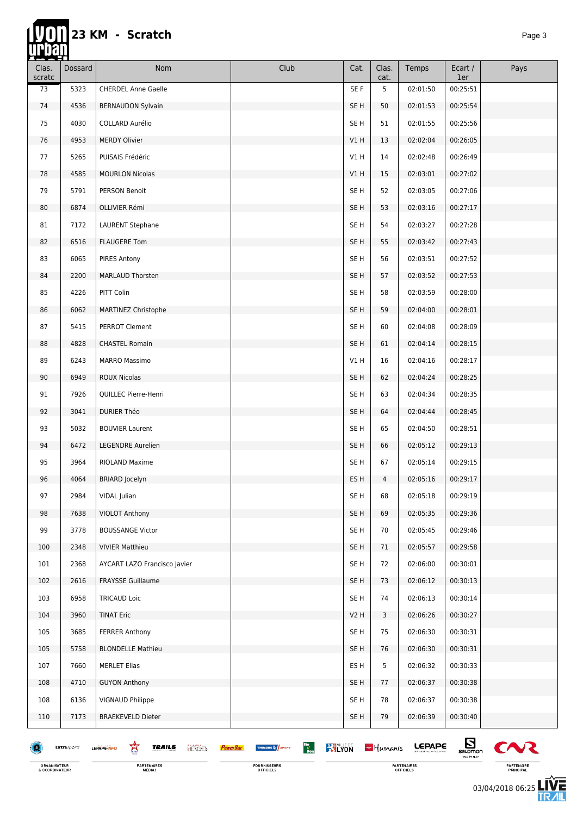# 23 KM - Scratch

忯

| ▅▅<br>Clas.<br>scratc | O<br>Dossard | Nom                          | Club | Cat.            | Clas.<br>cat. | Temps    | Ecart /<br>1er | Pays |
|-----------------------|--------------|------------------------------|------|-----------------|---------------|----------|----------------|------|
| 73                    | 5323         | <b>CHERDEL Anne Gaelle</b>   |      | SE F            | 5             | 02:01:50 | 00:25:51       |      |
| 74                    | 4536         | <b>BERNAUDON Sylvain</b>     |      | SE H            | 50            | 02:01:53 | 00:25:54       |      |
| 75                    | 4030         | COLLARD Aurélio              |      | SE <sub>H</sub> | 51            | 02:01:55 | 00:25:56       |      |
| 76                    | 4953         | <b>MERDY Olivier</b>         |      | V1H             | 13            | 02:02:04 | 00:26:05       |      |
| 77                    | 5265         | PUISAIS Frédéric             |      | V1H             | 14            | 02:02:48 | 00:26:49       |      |
| 78                    | 4585         | <b>MOURLON Nicolas</b>       |      | V1 H            | 15            | 02:03:01 | 00:27:02       |      |
| 79                    | 5791         | <b>PERSON Benoit</b>         |      | SE <sub>H</sub> | 52            | 02:03:05 | 00:27:06       |      |
| 80                    | 6874         | OLLIVIER Rémi                |      | SE <sub>H</sub> | 53            | 02:03:16 | 00:27:17       |      |
| 81                    | 7172         | <b>LAURENT Stephane</b>      |      | SE H            | 54            | 02:03:27 | 00:27:28       |      |
| 82                    | 6516         | <b>FLAUGERE Tom</b>          |      | SE <sub>H</sub> | 55            | 02:03:42 | 00:27:43       |      |
| 83                    | 6065         | <b>PIRES Antony</b>          |      | SE H            | 56            | 02:03:51 | 00:27:52       |      |
| 84                    | 2200         | MARLAUD Thorsten             |      | SE <sub>H</sub> | 57            | 02:03:52 | 00:27:53       |      |
| 85                    | 4226         | PITT Colin                   |      | SE <sub>H</sub> | 58            | 02:03:59 | 00:28:00       |      |
| 86                    | 6062         | MARTINEZ Christophe          |      | SE <sub>H</sub> | 59            | 02:04:00 | 00:28:01       |      |
| 87                    | 5415         | PERROT Clement               |      | SE <sub>H</sub> | 60            | 02:04:08 | 00:28:09       |      |
| 88                    | 4828         | <b>CHASTEL Romain</b>        |      | SE <sub>H</sub> | 61            | 02:04:14 | 00:28:15       |      |
| 89                    | 6243         | <b>MARRO Massimo</b>         |      | V1H             | 16            | 02:04:16 | 00:28:17       |      |
| 90                    | 6949         | <b>ROUX Nicolas</b>          |      | SE <sub>H</sub> | 62            | 02:04:24 | 00:28:25       |      |
| 91                    | 7926         | QUILLEC Pierre-Henri         |      | SE <sub>H</sub> | 63            | 02:04:34 | 00:28:35       |      |
| 92                    | 3041         | <b>DURIER Théo</b>           |      | SE <sub>H</sub> | 64            | 02:04:44 | 00:28:45       |      |
| 93                    | 5032         | <b>BOUVIER Laurent</b>       |      | SE H            | 65            | 02:04:50 | 00:28:51       |      |
| 94                    | 6472         | <b>LEGENDRE Aurelien</b>     |      | SE <sub>H</sub> | 66            | 02:05:12 | 00:29:13       |      |
| 95                    | 3964         | RIOLAND Maxime               |      | SE <sub>H</sub> | 67            | 02:05:14 | 00:29:15       |      |
| 96                    | 4064         | <b>BRIARD Jocelyn</b>        |      | ES H            | 4             | 02:05:16 | 00:29:17       |      |
| 97                    | 2984         | VIDAL Julian                 |      | SE H            | 68            | 02:05:18 | 00:29:19       |      |
| 98                    | 7638         | VIOLOT Anthony               |      | SE H            | 69            | 02:05:35 | 00:29:36       |      |
| 99                    | 3778         | <b>BOUSSANGE Victor</b>      |      | SE H            | 70            | 02:05:45 | 00:29:46       |      |
| 100                   | 2348         | <b>VIVIER Matthieu</b>       |      | SE H            | 71            | 02:05:57 | 00:29:58       |      |
| 101                   | 2368         | AYCART LAZO Francisco Javier |      | SE H            | 72            | 02:06:00 | 00:30:01       |      |
| 102                   | 2616         | <b>FRAYSSE Guillaume</b>     |      | SE H            | 73            | 02:06:12 | 00:30:13       |      |
| 103                   | 6958         | <b>TRICAUD Loic</b>          |      | SE H            | 74            | 02:06:13 | 00:30:14       |      |
| 104                   | 3960         | <b>TINAT Eric</b>            |      | V2H             | 3             | 02:06:26 | 00:30:27       |      |
| 105                   | 3685         | <b>FERRER Anthony</b>        |      | SE H            | 75            | 02:06:30 | 00:30:31       |      |
| 105                   | 5758         | <b>BLONDELLE Mathieu</b>     |      | SE <sub>H</sub> | 76            | 02:06:30 | 00:30:31       |      |
| 107                   | 7660         | <b>MERLET Elias</b>          |      | ES H            | 5             | 02:06:32 | 00:30:33       |      |
| 108                   | 4710         | <b>GUYON Anthony</b>         |      | SE <sub>H</sub> | 77            | 02:06:37 | 00:30:38       |      |
| 108                   | 6136         | VIGNAUD Philippe             |      | SE H            | 78            | 02:06:37 | 00:30:38       |      |
| 110                   | 7173         | <b>BRAEKEVELD Dieter</b>     |      | SE H            | 79            | 02:06:39 | 00:30:40       |      |
|                       |              |                              |      |                 |               |          |                |      |

 $Extrasports$  $\bullet$ 

ORGANISATEUR<br>& COORDINATEUR

**TRAILS** 

**HERGES** 

喜

LEPAPE-INFO

FOURNISSEURS<br>OFFICIELS

**PowerBar** 

THUASHE<sup>16</sup> SPORT

PARTENAIRES<br>OFFICIELS

**Example 22 YOULE 06 - Humanis LEPAPE** 

 $\sum_{\substack{\text{saomen} \\\text{number}}}$  $\sim$ PARTENAIRE<br>PRINCIPAL

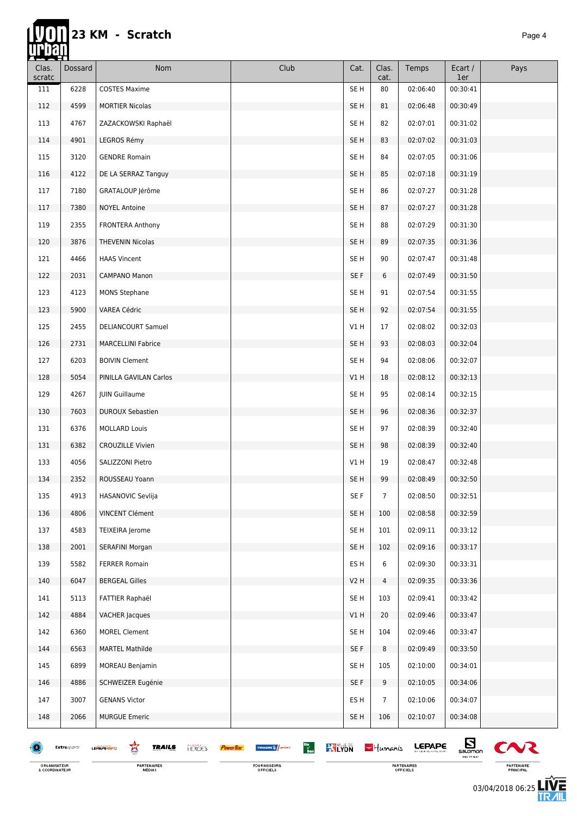#### **23 KM - Scratch** *Page 4* **AN**

m

| Clas.<br>scratc | <b>Dossard</b> | Nom                                                | Club                                                               | Cat.            | Clas.<br>cat.  | Temps         | Ecart /<br>1er                     | Pays                  |
|-----------------|----------------|----------------------------------------------------|--------------------------------------------------------------------|-----------------|----------------|---------------|------------------------------------|-----------------------|
| 111             | 6228           | <b>COSTES Maxime</b>                               |                                                                    | SE <sub>H</sub> | 80             | 02:06:40      | 00:30:41                           |                       |
| 112             | 4599           | <b>MORTIER Nicolas</b>                             |                                                                    | SE H            | 81             | 02:06:48      | 00:30:49                           |                       |
| 113             | 4767           | ZAZACKOWSKI Raphaël                                |                                                                    | SE <sub>H</sub> | 82             | 02:07:01      | 00:31:02                           |                       |
| 114             | 4901           | LEGROS Rémy                                        |                                                                    | SE <sub>H</sub> | 83             | 02:07:02      | 00:31:03                           |                       |
| 115             | 3120           | <b>GENDRE Romain</b>                               |                                                                    | SE <sub>H</sub> | 84             | 02:07:05      | 00:31:06                           |                       |
| 116             | 4122           | DE LA SERRAZ Tanguy                                |                                                                    | SE <sub>H</sub> | 85             | 02:07:18      | 00:31:19                           |                       |
| 117             | 7180           | GRATALOUP Jérôme                                   |                                                                    | SE <sub>H</sub> | 86             | 02:07:27      | 00:31:28                           |                       |
| 117             | 7380           | <b>NOYEL Antoine</b>                               |                                                                    | SE <sub>H</sub> | 87             | 02:07:27      | 00:31:28                           |                       |
| 119             | 2355           | FRONTERA Anthony                                   |                                                                    | SE <sub>H</sub> | 88             | 02:07:29      | 00:31:30                           |                       |
| 120             | 3876           | <b>THEVENIN Nicolas</b>                            |                                                                    | SE <sub>H</sub> | 89             | 02:07:35      | 00:31:36                           |                       |
| 121             | 4466           | <b>HAAS Vincent</b>                                |                                                                    | SE H            | 90             | 02:07:47      | 00:31:48                           |                       |
| 122             | 2031           | CAMPANO Manon                                      |                                                                    | SE F            | 6              | 02:07:49      | 00:31:50                           |                       |
| 123             | 4123           | <b>MONS Stephane</b>                               |                                                                    | SE H            | 91             | 02:07:54      | 00:31:55                           |                       |
| 123             | 5900           | VAREA Cédric                                       |                                                                    | SE <sub>H</sub> | 92             | 02:07:54      | 00:31:55                           |                       |
| 125             | 2455           | <b>DELIANCOURT Samuel</b>                          |                                                                    | V1 H            | 17             | 02:08:02      | 00:32:03                           |                       |
| 126             | 2731           | <b>MARCELLINI Fabrice</b>                          |                                                                    | SE <sub>H</sub> | 93             | 02:08:03      | 00:32:04                           |                       |
| 127             | 6203           | <b>BOIVIN Clement</b>                              |                                                                    | SE <sub>H</sub> | 94             | 02:08:06      | 00:32:07                           |                       |
| 128             | 5054           | PINILLA GAVILAN Carlos                             |                                                                    | V1H             | 18             | 02:08:12      | 00:32:13                           |                       |
| 129             | 4267           | <b>JUIN Guillaume</b>                              |                                                                    | SE <sub>H</sub> | 95             | 02:08:14      | 00:32:15                           |                       |
| 130             | 7603           | <b>DUROUX Sebastien</b>                            |                                                                    | SE H            | 96             | 02:08:36      | 00:32:37                           |                       |
| 131             | 6376           | <b>MOLLARD Louis</b>                               |                                                                    | SE <sub>H</sub> | 97             | 02:08:39      | 00:32:40                           |                       |
| 131             | 6382           | <b>CROUZILLE Vivien</b>                            |                                                                    | SE <sub>H</sub> | 98             | 02:08:39      | 00:32:40                           |                       |
| 133             | 4056           | SALIZZONI Pietro                                   |                                                                    | VIH             | 19             | 02:08:47      | 00:32:48                           |                       |
| 134             | 2352           | ROUSSEAU Yoann                                     |                                                                    | SE <sub>H</sub> | 99             | 02:08:49      | 00:32:50                           |                       |
| 135             | 4913           | HASANOVIC Sevlija                                  |                                                                    | SE F            | $\overline{7}$ | 02:08:50      | 00:32:51                           |                       |
| 136             | 4806           | <b>VINCENT Clément</b>                             |                                                                    | SE <sub>H</sub> | 100            | 02:08:58      | 00:32:59                           |                       |
| 137             | 4583           | <b>TEIXEIRA Jerome</b>                             |                                                                    | SE <sub>H</sub> | 101            | 02:09:11      | 00:33:12                           |                       |
| 138             | 2001           | <b>SERAFINI Morgan</b>                             |                                                                    | SE <sub>H</sub> | 102            | 02:09:16      | 00:33:17                           |                       |
| 139             | 5582           | <b>FERRER Romain</b>                               |                                                                    | ES <sub>H</sub> | 6              | 02:09:30      | 00:33:31                           |                       |
| 140             | 6047           | <b>BERGEAL Gilles</b>                              |                                                                    | <b>V2 H</b>     | $\overline{4}$ | 02:09:35      | 00:33:36                           |                       |
| 141             | 5113           | <b>FATTIER Raphaël</b>                             |                                                                    | SE <sub>H</sub> | 103            | 02:09:41      | 00:33:42                           |                       |
| 142             | 4884           | <b>VACHER Jacques</b>                              |                                                                    | V1H             | 20             | 02:09:46      | 00:33:47                           |                       |
| 142             | 6360           | <b>MOREL Clement</b>                               |                                                                    | SE <sub>H</sub> | 104            | 02:09:46      | 00:33:47                           |                       |
| 144             | 6563           | <b>MARTEL Mathilde</b>                             |                                                                    | SE F            | 8              | 02:09:49      | 00:33:50                           |                       |
| 145             | 6899           | <b>MOREAU Benjamin</b>                             |                                                                    | SE <sub>H</sub> | 105            | 02:10:00      | 00:34:01                           |                       |
| 146             | 4886           | SCHWEIZER Eugénie                                  |                                                                    | SE F            | 9              | 02:10:05      | 00:34:06                           |                       |
| 147             | 3007           | <b>GENANS Victor</b>                               |                                                                    | ES <sub>H</sub> | $\overline{7}$ | 02:10:06      | 00:34:07                           |                       |
| 148             | 2066           | <b>MURGUE Emeric</b>                               |                                                                    | SE H            | 106            | 02:10:07      | 00:34:08                           |                       |
|                 | Extrasports    | 鸾<br><b>TRAILS</b><br><b>HERCES</b><br>LEPAPE INFO | Bio<br>Bon<br><b>KYLYON</b><br>THUASHE SA SPORT<br><b>PowerBar</b> |                 | $-$ Humanis    | <b>LEPAPE</b> | $E_{\text{sumon}}$<br>TIME TO FLAT | $\boldsymbol{\infty}$ |

FOURNISSEURS<br>OFFICIELS

ORGANISATEUR<br>& COORDINATEUR

**PARTENAIRE**<br>PRINCIPAL

PARTENAIRES<br>OFFICIELS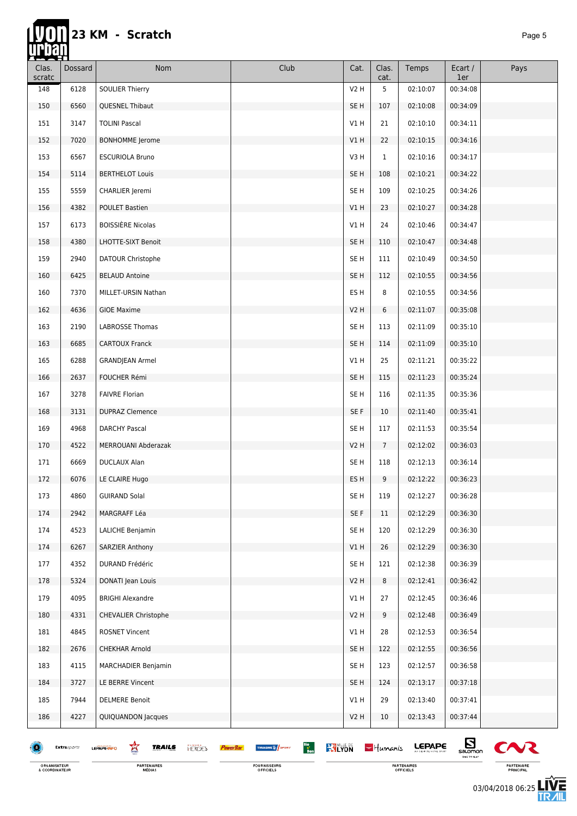П

| Clas.<br>scratc | Dossard     | <b>Nom</b>                                                            | Club                                                       | Cat.            | Clas.<br>cat. | Temps         | Ecart /<br>1er                     | Pays           |
|-----------------|-------------|-----------------------------------------------------------------------|------------------------------------------------------------|-----------------|---------------|---------------|------------------------------------|----------------|
| 148             | 6128        | <b>SOULIER Thierry</b>                                                |                                                            | V2 H            | 5             | 02:10:07      | 00:34:08                           |                |
| 150             | 6560        | QUESNEL Thibaut                                                       |                                                            | SE <sub>H</sub> | 107           | 02:10:08      | 00:34:09                           |                |
| 151             | 3147        | <b>TOLINI Pascal</b>                                                  |                                                            | V1H             | 21            | 02:10:10      | 00:34:11                           |                |
| 152             | 7020        | <b>BONHOMME</b> Jerome                                                |                                                            | V1 H            | 22            | 02:10:15      | 00:34:16                           |                |
| 153             | 6567        | <b>ESCURIOLA Bruno</b>                                                |                                                            | V3H             | $\mathbf{1}$  | 02:10:16      | 00:34:17                           |                |
| 154             | 5114        | <b>BERTHELOT Louis</b>                                                |                                                            | SE <sub>H</sub> | 108           | 02:10:21      | 00:34:22                           |                |
| 155             | 5559        | CHARLIER Jeremi                                                       |                                                            | SE H            | 109           | 02:10:25      | 00:34:26                           |                |
| 156             | 4382        | <b>POULET Bastien</b>                                                 |                                                            | V1H             | 23            | 02:10:27      | 00:34:28                           |                |
| 157             | 6173        | <b>BOISSIÈRE Nicolas</b>                                              |                                                            | V1 H            | 24            | 02:10:46      | 00:34:47                           |                |
| 158             | 4380        | LHOTTE-SIXT Benoit                                                    |                                                            | SE H            | 110           | 02:10:47      | 00:34:48                           |                |
| 159             | 2940        | DATOUR Christophe                                                     |                                                            | SE H            | 111           | 02:10:49      | 00:34:50                           |                |
| 160             | 6425        | <b>BELAUD Antoine</b>                                                 |                                                            | SE H            | 112           | 02:10:55      | 00:34:56                           |                |
| 160             | 7370        | MILLET-URSIN Nathan                                                   |                                                            | ES H            | 8             | 02:10:55      | 00:34:56                           |                |
| 162             | 4636        | <b>GIOE Maxime</b>                                                    |                                                            | <b>V2 H</b>     | 6             | 02:11:07      | 00:35:08                           |                |
| 163             | 2190        | LABROSSE Thomas                                                       |                                                            | SE H            | 113           | 02:11:09      | 00:35:10                           |                |
| 163             | 6685        | <b>CARTOUX Franck</b>                                                 |                                                            | SE H            | 114           | 02:11:09      | 00:35:10                           |                |
| 165             | 6288        | <b>GRANDJEAN Armel</b>                                                |                                                            | V1H             | 25            | 02:11:21      | 00:35:22                           |                |
| 166             | 2637        | FOUCHER Rémi                                                          |                                                            | SE <sub>H</sub> | 115           | 02:11:23      | 00:35:24                           |                |
| 167             | 3278        | <b>FAIVRE Florian</b>                                                 |                                                            | SE H            | 116           | 02:11:35      | 00:35:36                           |                |
| 168             | 3131        | <b>DUPRAZ Clemence</b>                                                |                                                            | SE F            | 10            | 02:11:40      | 00:35:41                           |                |
| 169             | 4968        | DARCHY Pascal                                                         |                                                            | SE H            | 117           | 02:11:53      | 00:35:54                           |                |
| 170             | 4522        | MERROUANI Abderazak                                                   |                                                            | V2H             | 7             | 02:12:02      | 00:36:03                           |                |
| 171             | 6669        | DUCLAUX Alan                                                          |                                                            | SE H            | 118           | 02:12:13      | 00:36:14                           |                |
| 172             | 6076        | LE CLAIRE Hugo                                                        |                                                            | ES H            | 9             | 02:12:22      | 00:36:23                           |                |
| 173             | 4860        | <b>GUIRAND Solal</b>                                                  |                                                            | SE H            | 119           | 02:12:27      | 00:36:28                           |                |
| 174             | 2942        | MARGRAFF Léa                                                          |                                                            | SE F            | 11            | 02:12:29      | 00:36:30                           |                |
| 174             | 4523        | LALICHE Benjamin                                                      |                                                            | SE <sub>H</sub> | 120           | 02:12:29      | 00:36:30                           |                |
| 174             | 6267        | SARZIER Anthony                                                       |                                                            | VIH             | 26            | 02:12:29      | 00:36:30                           |                |
| 177             | 4352        | DURAND Frédéric                                                       |                                                            | SE <sub>H</sub> | 121           | 02:12:38      | 00:36:39                           |                |
| 178             | 5324        | DONATI Jean Louis                                                     |                                                            | V2H             | 8             | 02:12:41      | 00:36:42                           |                |
| 179             | 4095        | <b>BRIGHI Alexandre</b>                                               |                                                            | VIH             | 27            | 02:12:45      | 00:36:46                           |                |
| 180             | 4331        | <b>CHEVALIER Christophe</b>                                           |                                                            | V2H             | 9             | 02:12:48      | 00:36:49                           |                |
| 181             | 4845        | <b>ROSNET Vincent</b>                                                 |                                                            | V1H             | 28            | 02:12:53      | 00:36:54                           |                |
| 182             | 2676        | CHEKHAR Arnold                                                        |                                                            | SE H            | 122           | 02:12:55      | 00:36:56                           |                |
| 183             | 4115        | MARCHADIER Benjamin                                                   |                                                            | SE <sub>H</sub> | 123           | 02:12:57      | 00:36:58                           |                |
| 184             | 3727        | LE BERRE Vincent                                                      |                                                            | SE H            | 124           | 02:13:17      | 00:37:18                           |                |
| 185             | 7944        | <b>DELMERE Benoit</b>                                                 |                                                            | V1H             | 29            | 02:13:40      | 00:37:41                           |                |
| 186             | 4227        | QUIQUANDON Jacques                                                    |                                                            | V2H             | 10            | 02:13:43      | 00:37:44                           |                |
|                 |             |                                                                       |                                                            |                 |               |               |                                    |                |
|                 | Extrasports | Ŕ<br><b>TRAILS</b><br><b>HERGES</b><br>LEPAPE-INFO<br><b>PowerBal</b> | Bio<br>Bon<br><b>KYLYON</b><br><b>TIFUASHE &amp; SPORT</b> |                 | $-$ Humanis   | <b>LEPAPE</b> | $E_{\text{nonon}}$<br>TIME TO PLAT | C <sub>N</sub> |

ORGANISATEUR<br>& COORDINATEUR

**PARTENAIRES**<br>MÉDIAS

FOURNISSEURS<br>OFFICIELS

PARTENAIRES<br>OFFICIELS



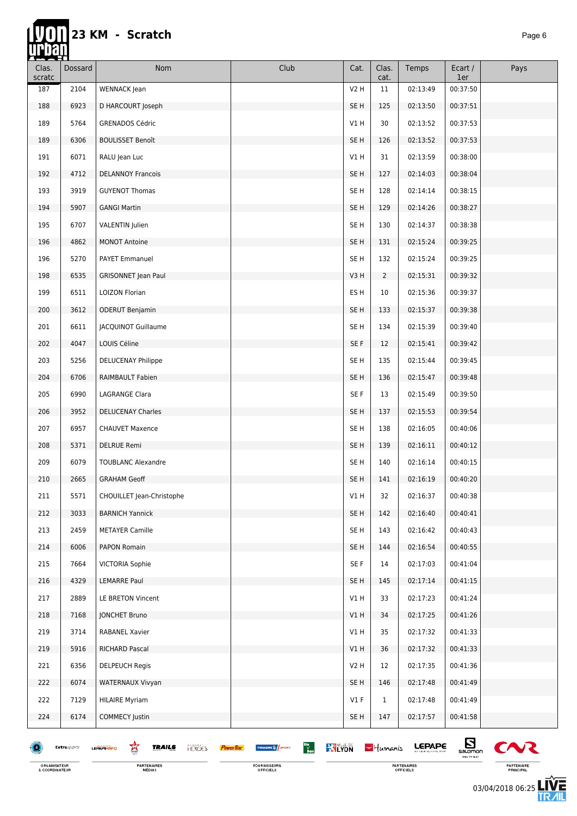# 23 KM - Scratch

П

| Clas.<br>scratc | Dossard     | <b>Nom</b>                                         | Club                                                                           | Cat.             | Clas.<br>cat.  | Temps         | Ecart /<br>1er                     | Pays           |
|-----------------|-------------|----------------------------------------------------|--------------------------------------------------------------------------------|------------------|----------------|---------------|------------------------------------|----------------|
| 187             | 2104        | WENNACK Jean                                       |                                                                                | V <sub>2</sub> H | 11             | 02:13:49      | 00:37:50                           |                |
| 188             | 6923        | D HARCOURT Joseph                                  |                                                                                | SE <sub>H</sub>  | 125            | 02:13:50      | 00:37:51                           |                |
| 189             | 5764        | <b>GRENADOS Cédric</b>                             |                                                                                | V1H              | 30             | 02:13:52      | 00:37:53                           |                |
| 189             | 6306        | <b>BOULISSET Benoît</b>                            |                                                                                | SE <sub>H</sub>  | 126            | 02:13:52      | 00:37:53                           |                |
| 191             | 6071        | RALU Jean Luc                                      |                                                                                | V1H              | 31             | 02:13:59      | 00:38:00                           |                |
| 192             | 4712        | <b>DELANNOY Francois</b>                           |                                                                                | SE <sub>H</sub>  | 127            | 02:14:03      | 00:38:04                           |                |
| 193             | 3919        | <b>GUYENOT Thomas</b>                              |                                                                                | SE H             | 128            | 02:14:14      | 00:38:15                           |                |
| 194             | 5907        | <b>GANGI Martin</b>                                |                                                                                | SE <sub>H</sub>  | 129            | 02:14:26      | 00:38:27                           |                |
| 195             | 6707        | VALENTIN Julien                                    |                                                                                | SE H             | 130            | 02:14:37      | 00:38:38                           |                |
| 196             | 4862        | <b>MONOT Antoine</b>                               |                                                                                | SE <sub>H</sub>  | 131            | 02:15:24      | 00:39:25                           |                |
| 196             | 5270        | PAYET Emmanuel                                     |                                                                                | SE <sub>H</sub>  | 132            | 02:15:24      | 00:39:25                           |                |
| 198             | 6535        | <b>GRISONNET Jean Paul</b>                         |                                                                                | V3H              | $\overline{2}$ | 02:15:31      | 00:39:32                           |                |
| 199             | 6511        | LOIZON Florian                                     |                                                                                | ES H             | 10             | 02:15:36      | 00:39:37                           |                |
| 200             | 3612        | <b>ODERUT Benjamin</b>                             |                                                                                | SE H             | 133            | 02:15:37      | 00:39:38                           |                |
| 201             | 6611        | <b>JACQUINOT Guillaume</b>                         |                                                                                | SE <sub>H</sub>  | 134            | 02:15:39      | 00:39:40                           |                |
| 202             | 4047        | LOUIS Céline                                       |                                                                                | SE F             | 12             | 02:15:41      | 00:39:42                           |                |
| 203             | 5256        | <b>DELUCENAY Philippe</b>                          |                                                                                | SE <sub>H</sub>  | 135            | 02:15:44      | 00:39:45                           |                |
| 204             | 6706        | RAIMBAULT Fabien                                   |                                                                                | SE H             | 136            | 02:15:47      | 00:39:48                           |                |
| 205             | 6990        | LAGRANGE Clara                                     |                                                                                | SE F             | 13             | 02:15:49      | 00:39:50                           |                |
| 206             | 3952        | <b>DELUCENAY Charles</b>                           |                                                                                | SE <sub>H</sub>  | 137            | 02:15:53      | 00:39:54                           |                |
| 207             | 6957        | <b>CHAUVET Maxence</b>                             |                                                                                | SE <sub>H</sub>  | 138            | 02:16:05      | 00:40:06                           |                |
| 208             | 5371        | <b>DELRUE Remi</b>                                 |                                                                                | SE <sub>H</sub>  | 139            | 02:16:11      | 00:40:12                           |                |
| 209             | 6079        | <b>TOUBLANC Alexandre</b>                          |                                                                                | SE <sub>H</sub>  | 140            | 02:16:14      | 00:40:15                           |                |
| 210             | 2665        | <b>GRAHAM Geoff</b>                                |                                                                                | SE <sub>H</sub>  | 141            | 02:16:19      | 00:40:20                           |                |
| 211             | 5571        | CHOUILLET Jean-Christophe                          |                                                                                | V1H              | 32             | 02:16:37      | 00:40:38                           |                |
| 212             | 3033        | <b>BARNICH Yannick</b>                             |                                                                                | SE <sub>H</sub>  | 142            | 02:16:40      | 00:40:41                           |                |
| 213             | 2459        | <b>METAYER Camille</b>                             |                                                                                | SE <sub>H</sub>  | 143            | 02:16:42      | 00:40:43                           |                |
| 214             | 6006        | PAPON Romain                                       |                                                                                | SE <sub>H</sub>  | 144            | 02:16:54      | 00:40:55                           |                |
| 215             | 7664        | <b>VICTORIA Sophie</b>                             |                                                                                | SE F             | 14             | 02:17:03      | 00:41:04                           |                |
| 216             | 4329        | <b>LEMARRE Paul</b>                                |                                                                                | SE <sub>H</sub>  | 145            | 02:17:14      | 00:41:15                           |                |
| 217             | 2889        | LE BRETON Vincent                                  |                                                                                | V1H              | 33             | 02:17:23      | 00:41:24                           |                |
| 218             | 7168        | <b>JONCHET Bruno</b>                               |                                                                                | V1 H             | 34             | 02:17:25      | 00:41:26                           |                |
| 219             | 3714        | RABANEL Xavier                                     |                                                                                | V1H              | 35             | 02:17:32      | 00:41:33                           |                |
| 219             | 5916        | RICHARD Pascal                                     |                                                                                | V1H              | 36             | 02:17:32      | 00:41:33                           |                |
| 221             | 6356        | <b>DELPEUCH Regis</b>                              |                                                                                | V2 H             | 12             | 02:17:35      | 00:41:36                           |                |
| 222             | 6074        | <b>WATERNAUX Vivyan</b>                            |                                                                                | SE <sub>H</sub>  | 146            | 02:17:48      | 00:41:49                           |                |
| 222             | 7129        | <b>HILAIRE Myriam</b>                              |                                                                                | $VI$ F           | $\mathbf 1$    | 02:17:48      | 00:41:49                           |                |
| 224             | 6174        | <b>COMMECY Justin</b>                              |                                                                                | SE <sub>H</sub>  | 147            | 02:17:57      | 00:41:58                           |                |
| Ð               | Extrasports | Ŕ<br><b>TRAILS</b><br><b>HERGES</b><br>LEPAPE-INFO | Bio<br>Bon<br><b>KY LYON</b><br>THUASHE <sup>14</sup> SPORT<br><b>PowerBar</b> |                  | $-$ Humanis    | <b>LEPAPE</b> | $E_{\text{nonon}}$<br>TIME TO PLAY | C <sub>N</sub> |

ORGANISATEUR<br>& COORDINATEUR

**PARTENAIRES**<br>MÉDIAS

FOURNISSEURS<br>OFFICIELS

PARTENAIRES<br>OFFICIELS

⊾ PARTENAIRE<br>PRINCIPAL

03/04/2018 06:25

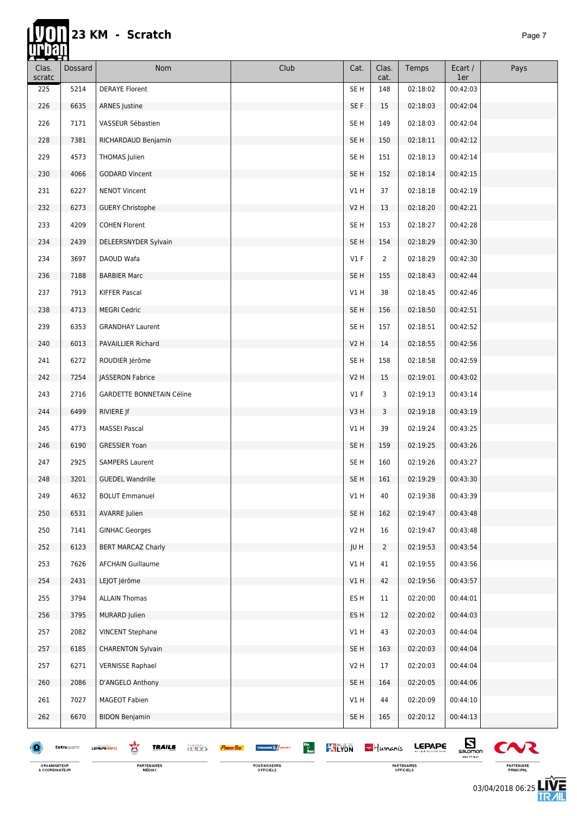| <u>telectric stationary stationary and interaction of the stationary stationary stationary stationary stationary </u><br>Clas.<br>scratc | Dossard             | Nom                                                | Club                                            | Cat.             | Clas.<br>cat.  | Temps         | Ecart /<br>1er                            | Pays   |
|------------------------------------------------------------------------------------------------------------------------------------------|---------------------|----------------------------------------------------|-------------------------------------------------|------------------|----------------|---------------|-------------------------------------------|--------|
| 225                                                                                                                                      | 5214                | <b>DERAYE Florent</b>                              |                                                 | SE <sub>H</sub>  | 148            | 02:18:02      | 00:42:03                                  |        |
| 226                                                                                                                                      | 6635                | <b>ARNES</b> Justine                               |                                                 | SE F             | 15             | 02:18:03      | 00:42:04                                  |        |
| 226                                                                                                                                      | 7171                | VASSEUR Sébastien                                  |                                                 | SE <sub>H</sub>  | 149            | 02:18:03      | 00:42:04                                  |        |
| 228                                                                                                                                      | 7381                | RICHARDAUD Benjamin                                |                                                 | SE H             | 150            | 02:18:11      | 00:42:12                                  |        |
| 229                                                                                                                                      | 4573                | THOMAS Julien                                      |                                                 | SE H             | 151            | 02:18:13      | 00:42:14                                  |        |
| 230                                                                                                                                      | 4066                | <b>GODARD Vincent</b>                              |                                                 | SE <sub>H</sub>  | 152            | 02:18:14      | 00:42:15                                  |        |
| 231                                                                                                                                      | 6227                | <b>NENOT Vincent</b>                               |                                                 | VIH              | 37             | 02:18:18      | 00:42:19                                  |        |
| 232                                                                                                                                      | 6273                | <b>GUERY Christophe</b>                            |                                                 | V2H              | 13             | 02:18:20      | 00:42:21                                  |        |
| 233                                                                                                                                      | 4209                | COHEN Florent                                      |                                                 | SE <sub>H</sub>  | 153            | 02:18:27      | 00:42:28                                  |        |
| 234                                                                                                                                      | 2439                | DELEERSNYDER Sylvain                               |                                                 | SE <sub>H</sub>  | 154            | 02:18:29      | 00:42:30                                  |        |
| 234                                                                                                                                      | 3697                | DAOUD Wafa                                         |                                                 | $VI$ F           | 2              | 02:18:29      | 00:42:30                                  |        |
| 236                                                                                                                                      | 7188                | <b>BARBIER Marc</b>                                |                                                 | SE <sub>H</sub>  | 155            | 02:18:43      | 00:42:44                                  |        |
| 237                                                                                                                                      | 7913                | KIFFER Pascal                                      |                                                 | VIH              | 38             | 02:18:45      | 00:42:46                                  |        |
| 238                                                                                                                                      | 4713                | <b>MEGRI Cedric</b>                                |                                                 | SE <sub>H</sub>  | 156            | 02:18:50      | 00:42:51                                  |        |
| 239                                                                                                                                      | 6353                | <b>GRANDHAY Laurent</b>                            |                                                 | SE <sub>H</sub>  | 157            | 02:18:51      | 00:42:52                                  |        |
| 240                                                                                                                                      | 6013                | PAVAILLIER Richard                                 |                                                 | V <sub>2</sub> H | 14             | 02:18:55      | 00:42:56                                  |        |
| 241                                                                                                                                      | 6272                | ROUDIER Jérôme                                     |                                                 | SE H             | 158            | 02:18:58      | 00:42:59                                  |        |
| 242                                                                                                                                      | 7254                | JASSERON Fabrice                                   |                                                 | V2H              | 15             | 02:19:01      | 00:43:02                                  |        |
| 243                                                                                                                                      | 2716                | <b>GARDETTE BONNETAIN Céline</b>                   |                                                 | $VI$ F           | 3              | 02:19:13      | 00:43:14                                  |        |
| 244                                                                                                                                      | 6499                | RIVIERE Jf                                         |                                                 | V3H              | 3              | 02:19:18      | 00:43:19                                  |        |
| 245                                                                                                                                      | 4773                | <b>MASSEI Pascal</b>                               |                                                 | V1H              | 39             | 02:19:24      | 00:43:25                                  |        |
| 246                                                                                                                                      | 6190                | <b>GRESSIER Yoan</b>                               |                                                 | SE H             | 159            | 02:19:25      | 00:43:26                                  |        |
| 247                                                                                                                                      | 2925                | <b>SAMPERS Laurent</b>                             |                                                 | SE H             | 160            | 02:19:26      | 00:43:27                                  |        |
| 248                                                                                                                                      | 3201                | <b>GUEDEL Wandrille</b>                            |                                                 | SE <sub>H</sub>  | 161            | 02:19:29      | 00:43:30                                  |        |
| 249                                                                                                                                      | 4632                | <b>BOLUT Emmanuel</b>                              |                                                 | V1H              | 40             | 02:19:38      | 00:43:39                                  |        |
| 250                                                                                                                                      | 6531                | <b>AVARRE</b> Julien                               |                                                 | SE <sub>H</sub>  | 162            | 02:19:47      | 00:43:48                                  |        |
| 250                                                                                                                                      | 7141                | <b>GINHAC Georges</b>                              |                                                 | V2 H             | 16             | 02:19:47      | 00:43:48                                  |        |
| 252                                                                                                                                      | 6123                | <b>BERT MARCAZ Charly</b>                          |                                                 | JU H             | $\overline{2}$ | 02:19:53      | 00:43:54                                  |        |
| 253                                                                                                                                      | 7626                | <b>AFCHAIN Guillaume</b>                           |                                                 | VIH              | 41             | 02:19:55      | 00:43:56                                  |        |
| 254                                                                                                                                      | 2431                | LEJOT Jérôme                                       |                                                 | V1H              | 42             | 02:19:56      | 00:43:57                                  |        |
| 255                                                                                                                                      | 3794                | <b>ALLAIN Thomas</b>                               |                                                 | ES H             | 11             | 02:20:00      | 00:44:01                                  |        |
| 256                                                                                                                                      | 3795                | <b>MURARD Julien</b>                               |                                                 | ES H             | 12             | 02:20:02      | 00:44:03                                  |        |
| 257                                                                                                                                      | 2082                | <b>VINCENT Stephane</b>                            |                                                 | V1 H             | 43             | 02:20:03      | 00:44:04                                  |        |
| 257                                                                                                                                      | 6185                | <b>CHARENTON Sylvain</b>                           |                                                 | SE H             | 163            | 02:20:03      | 00:44:04                                  |        |
| 257                                                                                                                                      | 6271                | <b>VERNISSE Raphael</b>                            |                                                 | V2 H             | 17             | 02:20:03      | 00:44:04                                  |        |
| 260                                                                                                                                      | 2086                | D'ANGELO Anthony                                   |                                                 | SE <sub>H</sub>  | 164            | 02:20:05      | 00:44:06                                  |        |
| 261                                                                                                                                      | 7027                | <b>MAGEOT Fabien</b>                               |                                                 | V1H              | 44             | 02:20:09      | 00:44:10                                  |        |
| 262                                                                                                                                      | 6670                | <b>BIDON Benjamin</b>                              |                                                 | SE H             | 165            | 02:20:12      | 00:44:13                                  |        |
|                                                                                                                                          | <b>Extra</b> sports | 鸾<br><b>TRAILS</b><br><b>HERGES</b><br>LEPAPE INFO | Bio<br>Bon<br><b>RALYON</b><br>THUASHE SA SPORT |                  | $-$ Humanis    | <b>LEPAPE</b> | $\mathbf{E}_{\text{sum}}$<br>TIME TO FLAT | $\sim$ |

ORGANISATEUR<br>& COORDINATEUR

FOURNISSEURS<br>OFFICIELS

PARTENAIRES<br>OFFICIELS



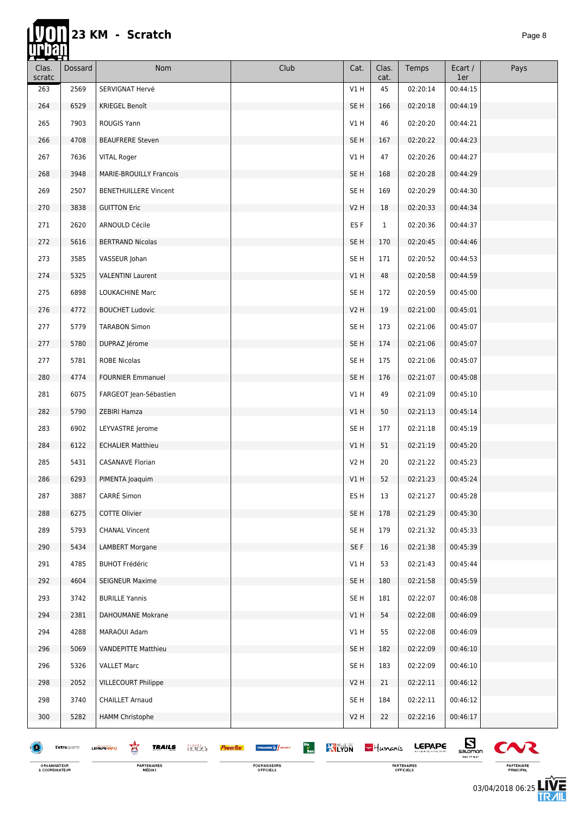### 23 KM - Scratch

П

| Clas.<br>scratc | Dossard     | <b>Nom</b>                                        | Club                                                                                | Cat.            | Clas.<br>cat. | Temps         | Ecart /<br>1er   | Pays         |
|-----------------|-------------|---------------------------------------------------|-------------------------------------------------------------------------------------|-----------------|---------------|---------------|------------------|--------------|
| 263             | 2569        | SERVIGNAT Hervé                                   |                                                                                     | V1H             | 45            | 02:20:14      | 00:44:15         |              |
| 264             | 6529        | KRIEGEL Benoît                                    |                                                                                     | SE <sub>H</sub> | 166           | 02:20:18      | 00:44:19         |              |
| 265             | 7903        | ROUGIS Yann                                       |                                                                                     | V1H             | 46            | 02:20:20      | 00:44:21         |              |
| 266             | 4708        | <b>BEAUFRERE Steven</b>                           |                                                                                     | SE <sub>H</sub> | 167           | 02:20:22      | 00:44:23         |              |
| 267             | 7636        | <b>VITAL Roger</b>                                |                                                                                     | V1H             | 47            | 02:20:26      | 00:44:27         |              |
| 268             | 3948        | MARIE-BROUILLY Francois                           |                                                                                     | SE <sub>H</sub> | 168           | 02:20:28      | 00:44:29         |              |
| 269             | 2507        | <b>BENETHUILLERE Vincent</b>                      |                                                                                     | SE H            | 169           | 02:20:29      | 00:44:30         |              |
| 270             | 3838        | <b>GUITTON Eric</b>                               |                                                                                     | V2H             | 18            | 02:20:33      | 00:44:34         |              |
| 271             | 2620        | ARNOULD Cécile                                    |                                                                                     | ES <sub>F</sub> | $\mathbf{1}$  | 02:20:36      | 00:44:37         |              |
| 272             | 5616        | <b>BERTRAND Nicolas</b>                           |                                                                                     | SE <sub>H</sub> | 170           | 02:20:45      | 00:44:46         |              |
| 273             | 3585        | VASSEUR Johan                                     |                                                                                     | SE <sub>H</sub> | 171           | 02:20:52      | 00:44:53         |              |
| 274             | 5325        | <b>VALENTINI Laurent</b>                          |                                                                                     | V1H             | 48            | 02:20:58      | 00:44:59         |              |
| 275             | 6898        | LOUKACHINE Marc                                   |                                                                                     | SE H            | 172           | 02:20:59      | 00:45:00         |              |
| 276             | 4772        | <b>BOUCHET Ludovic</b>                            |                                                                                     | V2H             | 19            | 02:21:00      | 00:45:01         |              |
| 277             | 5779        | <b>TARABON Simon</b>                              |                                                                                     | SE <sub>H</sub> | 173           | 02:21:06      | 00:45:07         |              |
| 277             | 5780        | DUPRAZ Jérome                                     |                                                                                     | SE <sub>H</sub> | 174           | 02:21:06      | 00:45:07         |              |
| 277             | 5781        | <b>ROBE Nicolas</b>                               |                                                                                     | SE <sub>H</sub> | 175           | 02:21:06      | 00:45:07         |              |
| 280             | 4774        | <b>FOURNIER Emmanuel</b>                          |                                                                                     | SE <sub>H</sub> | 176           | 02:21:07      | 00:45:08         |              |
| 281             | 6075        | FARGEOT Jean-Sébastien                            |                                                                                     | V1H             | 49            | 02:21:09      | 00:45:10         |              |
| 282             | 5790        | ZEBIRI Hamza                                      |                                                                                     | V1H             | 50            | 02:21:13      | 00:45:14         |              |
| 283             | 6902        | LEYVASTRE Jerome                                  |                                                                                     | SE <sub>H</sub> | 177           | 02:21:18      | 00:45:19         |              |
| 284             | 6122        | <b>ECHALIER Matthieu</b>                          |                                                                                     | V1 H            | 51            | 02:21:19      | 00:45:20         |              |
| 285             | 5431        | <b>CASANAVE Florian</b>                           |                                                                                     | V2H             | 20            | 02:21:22      | 00:45:23         |              |
| 286             | 6293        | PIMENTA Joaquim                                   |                                                                                     | V1 H            | 52            | 02:21:23      | 00:45:24         |              |
| 287             | 3887        | CARRÉ Simon                                       |                                                                                     | ES H            | 13            | 02:21:27      | 00:45:28         |              |
| 288             | 6275        | COTTE Olivier                                     |                                                                                     | SE <sub>H</sub> | 178           | 02:21:29      | 00:45:30         |              |
| 289             | 5793        | <b>CHANAL Vincent</b>                             |                                                                                     | SE <sub>H</sub> | 179           | 02:21:32      | 00:45:33         |              |
| 290             | 5434        | <b>LAMBERT Morgane</b>                            |                                                                                     | SE F            | 16            | 02:21:38      | 00:45:39         |              |
| 291             | 4785        | <b>BUHOT Frédéric</b>                             |                                                                                     | VIH             | 53            | 02:21:43      | 00:45:44         |              |
| 292             | 4604        | <b>SEIGNEUR Maxime</b>                            |                                                                                     | SE <sub>H</sub> | 180           | 02:21:58      | 00:45:59         |              |
| 293             | 3742        | <b>BURILLE Yannis</b>                             |                                                                                     | SE <sub>H</sub> | 181           | 02:22:07      | 00:46:08         |              |
| 294             | 2381        | DAHOUMANE Mokrane                                 |                                                                                     | V1H             | 54            | 02:22:08      | 00:46:09         |              |
| 294             | 4288        | MARAOUI Adam                                      |                                                                                     | VIH             | 55            | 02:22:08      | 00:46:09         |              |
| 296             | 5069        | <b>VANDEPITTE Matthieu</b>                        |                                                                                     | SE <sub>H</sub> | 182           | 02:22:09      | 00:46:10         |              |
| 296             | 5326        | <b>VALLET Marc</b>                                |                                                                                     | SE <sub>H</sub> | 183           | 02:22:09      | 00:46:10         |              |
| 298             | 2052        | <b>VILLECOURT Philippe</b>                        |                                                                                     | V2H             | 21            | 02:22:11      | 00:46:12         |              |
| 298             | 3740        | <b>CHAILLET Arnaud</b>                            |                                                                                     | SE <sub>H</sub> | 184           | 02:22:11      | 00:46:12         |              |
| 300             | 5282        | <b>HAMM Christophe</b>                            |                                                                                     | V2H             | 22            | 02:22:16      | 00:46:17         |              |
| 18              | Extrasports | 鸾<br><b>TRAILS</b><br><b>HROES</b><br>LEPAPE INFO | $rac{Bio}{Bon}$<br><b>KY LYON</b><br>THUASHE <sup>14</sup> SPORT<br><b>PowerBar</b> |                 | $-$ Humanis   | <b>LEPAPE</b> | $E_{\text{non}}$ | $\mathbf{C}$ |

ORGANISATEUR<br>& COORDINATEUR

**PARTENAIRES**<br>MÉDIAS

FOURNISSEURS<br>OFFICIELS

PARTENAIRES<br>OFFICIELS

 $S<sub>1</sub>$  $\boldsymbol{\alpha}$ PARTENAIRE<br>PRINCIPAL

> 03/04/2018 06:25 ΠR

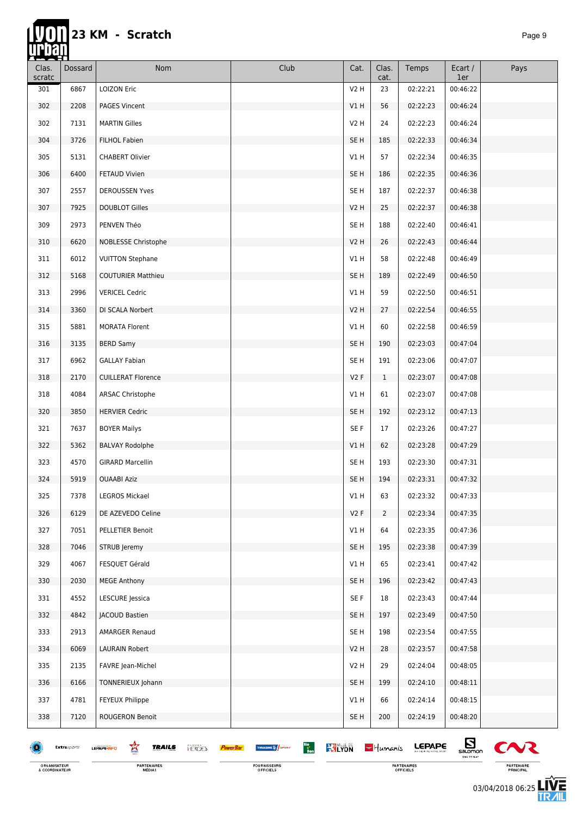hř

| <u>TVEN</u><br>Clas.<br>scratc | Dossard     | Nom                                                | Club                                                        | Cat.            | Clas.<br>cat.  | Temps         | Ecart /<br>1er                         | Pays   |
|--------------------------------|-------------|----------------------------------------------------|-------------------------------------------------------------|-----------------|----------------|---------------|----------------------------------------|--------|
| 301                            | 6867        | <b>LOIZON Eric</b>                                 |                                                             | V2 H            | 23             | 02:22:21      | 00:46:22                               |        |
| 302                            | 2208        | <b>PAGES Vincent</b>                               |                                                             | V1 H            | 56             | 02:22:23      | 00:46:24                               |        |
| 302                            | 7131        | <b>MARTIN Gilles</b>                               |                                                             | <b>V2 H</b>     | 24             | 02:22:23      | 00:46:24                               |        |
| 304                            | 3726        | FILHOL Fabien                                      |                                                             | SE H            | 185            | 02:22:33      | 00:46:34                               |        |
| 305                            | 5131        | <b>CHABERT Olivier</b>                             |                                                             | VIH             | 57             | 02:22:34      | 00:46:35                               |        |
| 306                            | 6400        | FETAUD Vivien                                      |                                                             | SE <sub>H</sub> | 186            | 02:22:35      | 00:46:36                               |        |
| 307                            | 2557        | <b>DEROUSSEN Yves</b>                              |                                                             | SE H            | 187            | 02:22:37      | 00:46:38                               |        |
| 307                            | 7925        | <b>DOUBLOT Gilles</b>                              |                                                             | V2H             | 25             | 02:22:37      | 00:46:38                               |        |
| 309                            | 2973        | PENVEN Théo                                        |                                                             | SE H            | 188            | 02:22:40      | 00:46:41                               |        |
| 310                            | 6620        | NOBLESSE Christophe                                |                                                             | V2H             | 26             | 02:22:43      | 00:46:44                               |        |
| 311                            | 6012        | <b>VUITTON Stephane</b>                            |                                                             | VIH             | 58             | 02:22:48      | 00:46:49                               |        |
| 312                            | 5168        | <b>COUTURIER Matthieu</b>                          |                                                             | SE <sub>H</sub> | 189            | 02:22:49      | 00:46:50                               |        |
| 313                            | 2996        | <b>VERICEL Cedric</b>                              |                                                             | V1 H            | 59             | 02:22:50      | 00:46:51                               |        |
| 314                            | 3360        | DI SCALA Norbert                                   |                                                             | V2 H            | 27             | 02:22:54      | 00:46:55                               |        |
| 315                            | 5881        | <b>MORATA Florent</b>                              |                                                             | V1 H            | 60             | 02:22:58      | 00:46:59                               |        |
| 316                            | 3135        | <b>BERD Samy</b>                                   |                                                             | SE <sub>H</sub> | 190            | 02:23:03      | 00:47:04                               |        |
| 317                            | 6962        | <b>GALLAY Fabian</b>                               |                                                             | SE H            | 191            | 02:23:06      | 00:47:07                               |        |
| 318                            | 2170        | <b>CUILLERAT Florence</b>                          |                                                             | V2F             | $\mathbf{1}$   | 02:23:07      | 00:47:08                               |        |
| 318                            | 4084        | ARSAC Christophe                                   |                                                             | V1 H            | 61             | 02:23:07      | 00:47:08                               |        |
| 320                            | 3850        | <b>HERVIER Cedric</b>                              |                                                             | SE H            | 192            | 02:23:12      | 00:47:13                               |        |
| 321                            | 7637        | <b>BOYER Mailys</b>                                |                                                             | SE F            | 17             | 02:23:26      | 00:47:27                               |        |
| 322                            | 5362        | <b>BALVAY Rodolphe</b>                             |                                                             | V1H             | 62             | 02:23:28      | 00:47:29                               |        |
| 323                            | 4570        | <b>GIRARD Marcellin</b>                            |                                                             | SE H            | 193            | 02:23:30      | 00:47:31                               |        |
| 324                            | 5919        | <b>OUAABI Aziz</b>                                 |                                                             | SE <sub>H</sub> | 194            | 02:23:31      | 00:47:32                               |        |
| 325                            | 7378        | LEGROS Mickael                                     |                                                             | VIH             | 63             | 02:23:32      | 00:47:33                               |        |
| 326                            | 6129        | DE AZEVEDO Celine                                  |                                                             | V2F             | $\overline{2}$ | 02:23:34      | 00:47:35                               |        |
| 327                            | 7051        | PELLETIER Benoit                                   |                                                             | V1H             | 64             | 02:23:35      | 00:47:36                               |        |
| 328                            | 7046        | STRUB Jeremy                                       |                                                             | SE <sub>H</sub> | 195            | 02:23:38      | 00:47:39                               |        |
| 329                            | 4067        | FESQUET Gérald                                     |                                                             | VIH             | 65             | 02:23:41      | 00:47:42                               |        |
| 330                            | 2030        | <b>MEGE Anthony</b>                                |                                                             | SE H            | 196            | 02:23:42      | 00:47:43                               |        |
| 331                            | 4552        | LESCURE Jessica                                    |                                                             | SE F            | 18             | 02:23:43      | 00:47:44                               |        |
| 332                            | 4842        | JACOUD Bastien                                     |                                                             | SE H            | 197            | 02:23:49      | 00:47:50                               |        |
| 333                            | 2913        | <b>AMARGER Renaud</b>                              |                                                             | SE H            | 198            | 02:23:54      | 00:47:55                               |        |
| 334                            | 6069        | <b>LAURAIN Robert</b>                              |                                                             | V2H             | 28             | 02:23:57      | 00:47:58                               |        |
| 335                            | 2135        | FAVRE Jean-Michel                                  |                                                             | V2H             | 29             | 02:24:04      | 00:48:05                               |        |
| 336                            | 6166        | TONNERIEUX Johann                                  |                                                             | SE <sub>H</sub> | 199            | 02:24:10      | 00:48:11                               |        |
| 337                            | 4781        | FEYEUX Philippe                                    |                                                             | VIH             | 66             | 02:24:14      | 00:48:15                               |        |
| 338                            | 7120        | ROUGERON Benoit                                    |                                                             | SE H            | 200            | 02:24:19      | 00:48:20                               |        |
|                                | Extrasports | Ŕ<br><b>TRAILS</b><br><b>HERGES</b><br>LEPAPE-INFO | Bio<br>Bon<br><b>EX</b> LYON<br>THUASHE <sup>16</sup> SPORT |                 | $-$ Humanis    | <b>LEPAPE</b> | $\sum_{\text{saomon}}$<br>TIME TO FLAT | $\sim$ |

ORGANISATEUR<br>& COORDINATEUR

FOURNISSEURS<br>OFFICIELS

PARTENAIRES<br>OFFICIELS

 $\sim$ PARTENAIRE<br>PRINCIPAL

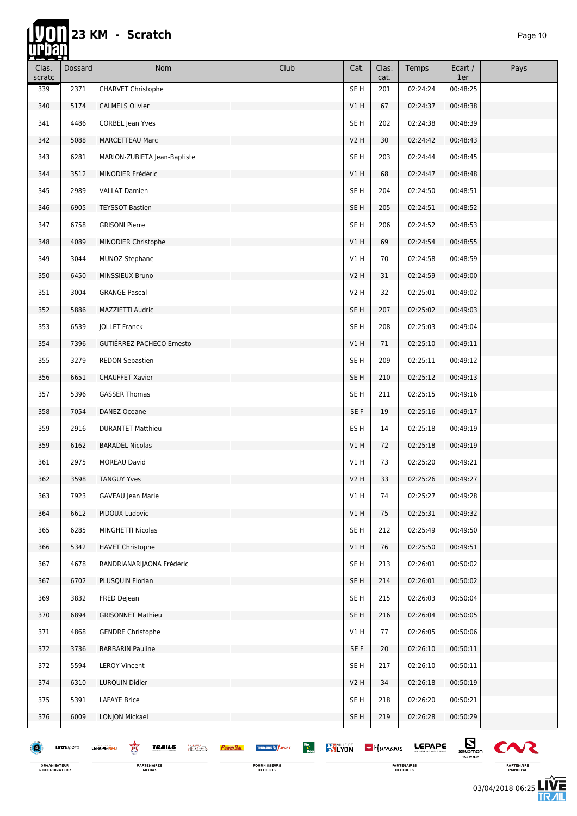m

| ▅▅▅▟<br>Clas.<br>scratc | Dossard     | Nom                                                | Club                                                      | Cat.             | Clas.<br>cat. | Temps         | Ecart /<br>1er               | Pays         |
|-------------------------|-------------|----------------------------------------------------|-----------------------------------------------------------|------------------|---------------|---------------|------------------------------|--------------|
| 339                     | 2371        | <b>CHARVET Christophe</b>                          |                                                           | SE <sub>H</sub>  | 201           | 02:24:24      | 00:48:25                     |              |
| 340                     | 5174        | <b>CALMELS Olivier</b>                             |                                                           | V1 H             | 67            | 02:24:37      | 00:48:38                     |              |
| 341                     | 4486        | <b>CORBEL Jean Yves</b>                            |                                                           | SE H             | 202           | 02:24:38      | 00:48:39                     |              |
| 342                     | 5088        | <b>MARCETTEAU Marc</b>                             |                                                           | V <sub>2</sub> H | 30            | 02:24:42      | 00:48:43                     |              |
| 343                     | 6281        | MARION-ZUBIETA Jean-Baptiste                       |                                                           | SE <sub>H</sub>  | 203           | 02:24:44      | 00:48:45                     |              |
| 344                     | 3512        | MINODIER Frédéric                                  |                                                           | V1H              | 68            | 02:24:47      | 00:48:48                     |              |
| 345                     | 2989        | <b>VALLAT Damien</b>                               |                                                           | SE <sub>H</sub>  | 204           | 02:24:50      | 00:48:51                     |              |
| 346                     | 6905        | <b>TEYSSOT Bastien</b>                             |                                                           | SE <sub>H</sub>  | 205           | 02:24:51      | 00:48:52                     |              |
| 347                     | 6758        | <b>GRISONI Pierre</b>                              |                                                           | SE H             | 206           | 02:24:52      | 00:48:53                     |              |
| 348                     | 4089        | MINODIER Christophe                                |                                                           | V1H              | 69            | 02:24:54      | 00:48:55                     |              |
| 349                     | 3044        | MUNOZ Stephane                                     |                                                           | V1 H             | 70            | 02:24:58      | 00:48:59                     |              |
| 350                     | 6450        | MINSSIEUX Bruno                                    |                                                           | V2H              | 31            | 02:24:59      | 00:49:00                     |              |
| 351                     | 3004        | <b>GRANGE Pascal</b>                               |                                                           | V2 H             | 32            | 02:25:01      | 00:49:02                     |              |
| 352                     | 5886        | MAZZIETTI Audric                                   |                                                           | SE H             | 207           | 02:25:02      | 00:49:03                     |              |
| 353                     | 6539        | JOLLET Franck                                      |                                                           | SE H             | 208           | 02:25:03      | 00:49:04                     |              |
| 354                     | 7396        | GUTIÉRREZ PACHECO Ernesto                          |                                                           | V1H              | 71            | 02:25:10      | 00:49:11                     |              |
| 355                     | 3279        | <b>REDON Sebastien</b>                             |                                                           | SE <sub>H</sub>  | 209           | 02:25:11      | 00:49:12                     |              |
| 356                     | 6651        | <b>CHAUFFET Xavier</b>                             |                                                           | SE H             | 210           | 02:25:12      | 00:49:13                     |              |
| 357                     | 5396        | <b>GASSER Thomas</b>                               |                                                           | SE <sub>H</sub>  | 211           | 02:25:15      | 00:49:16                     |              |
| 358                     | 7054        | DANEZ Oceane                                       |                                                           | SE F             | 19            | 02:25:16      | 00:49:17                     |              |
| 359                     | 2916        | <b>DURANTET Matthieu</b>                           |                                                           | ES H             | 14            | 02:25:18      | 00:49:19                     |              |
| 359                     | 6162        | <b>BARADEL Nicolas</b>                             |                                                           | V1H              | 72            | 02:25:18      | 00:49:19                     |              |
| 361                     | 2975        | <b>MOREAU David</b>                                |                                                           | VIH              | 73            | 02:25:20      | 00:49:21                     |              |
| 362                     | 3598        | <b>TANGUY Yves</b>                                 |                                                           | V2H              | 33            | 02:25:26      | 00:49:27                     |              |
| 363                     | 7923        | GAVEAU Jean Marie                                  |                                                           | V1 H             | 74            | 02:25:27      | 00:49:28                     |              |
| 364                     | 6612        | PIDOUX Ludovic                                     |                                                           | VIH              | 75            | 02:25:31      | 00:49:32                     |              |
| 365                     | 6285        | MINGHETTI Nicolas                                  |                                                           | SE H             | 212           | 02:25:49      | 00:49:50                     |              |
| 366                     | 5342        | <b>HAVET Christophe</b>                            |                                                           | V1H              | 76            | 02:25:50      | 00:49:51                     |              |
| 367                     | 4678        | RANDRIANARIJAONA Frédéric                          |                                                           | SE <sub>H</sub>  | 213           | 02:26:01      | 00:50:02                     |              |
| 367                     | 6702        | PLUSQUIN Florian                                   |                                                           | SE H             | 214           | 02:26:01      | 00:50:02                     |              |
| 369                     | 3832        | FRED Dejean                                        |                                                           | SE <sub>H</sub>  | 215           | 02:26:03      | 00:50:04                     |              |
| 370                     | 6894        | <b>GRISONNET Mathieu</b>                           |                                                           | SE H             | 216           | 02:26:04      | 00:50:05                     |              |
| 371                     | 4868        | <b>GENDRE Christophe</b>                           |                                                           | V1H              | 77            | 02:26:05      | 00:50:06                     |              |
| 372                     | 3736        | <b>BARBARIN Pauline</b>                            |                                                           | SE F             | 20            | 02:26:10      | 00:50:11                     |              |
| 372                     | 5594        | <b>LEROY Vincent</b>                               |                                                           | SE <sub>H</sub>  | 217           | 02:26:10      | 00:50:11                     |              |
| 374                     | 6310        | LURQUIN Didier                                     |                                                           | V2H              | 34            | 02:26:18      | 00:50:19                     |              |
| 375                     | 5391        | <b>LAFAYE Brice</b>                                |                                                           | SE <sub>H</sub>  | 218           | 02:26:20      | 00:50:21                     |              |
| 376                     | 6009        | <b>LONJON Mickael</b>                              |                                                           | SE H             | 219           | 02:26:28      | 00:50:29                     |              |
|                         | Extrasports | 窎<br><b>TRAILS</b><br><b>HERCES</b><br>LEPAPE-INFO | Bio<br>Bon<br><b>WILYON</b><br><b>THUASHE &amp; SPORT</b> |                  | $-$ Humanis   | <b>LEPAPE</b> | $\mathbf{E}$<br>TIME TO FLAT | $\mathbf{C}$ |

FOURNISSEURS<br>OFFICIELS

ORGANISATEUR<br>& COORDINATEUR

**PARTENAIRES**<br>MÉDIAS

03/04/2018 06:25

PARTENAIRES<br>OFFICIELS

PARTENAIRE<br>PRINCIPAL

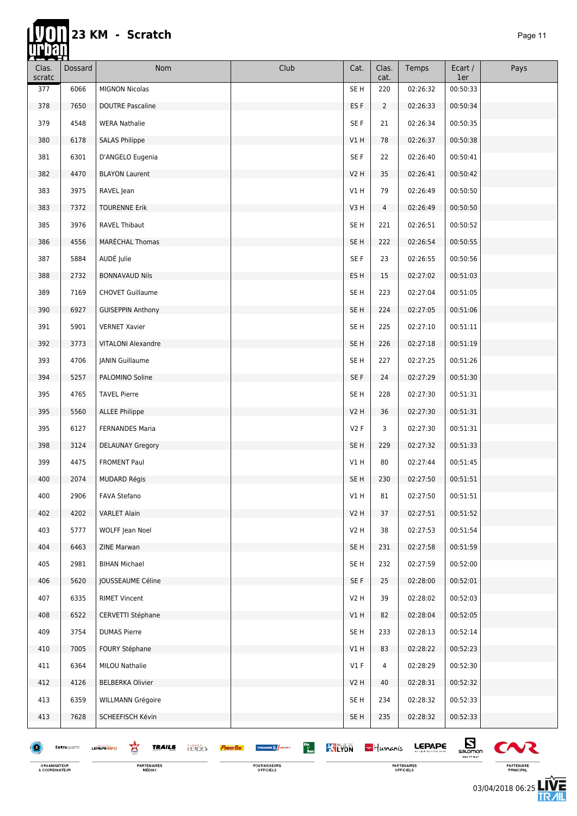| Clas.<br>scratc | Dossard             | Nom                                               | Club                                                                          | Cat.            | Clas.<br>cat.  | Temps         | Ecart /<br>1er                   | Pays                  |
|-----------------|---------------------|---------------------------------------------------|-------------------------------------------------------------------------------|-----------------|----------------|---------------|----------------------------------|-----------------------|
| 377             | 6066                | <b>MIGNON Nicolas</b>                             |                                                                               | SE <sub>H</sub> | 220            | 02:26:32      | 00:50:33                         |                       |
| 378             | 7650                | <b>DOUTRE Pascaline</b>                           |                                                                               | ES <sub>F</sub> | $\overline{2}$ | 02:26:33      | 00:50:34                         |                       |
| 379             | 4548                | <b>WERA Nathalie</b>                              |                                                                               | SE F            | 21             | 02:26:34      | 00:50:35                         |                       |
| 380             | 6178                | <b>SALAS Philippe</b>                             |                                                                               | V1 H            | 78             | 02:26:37      | 00:50:38                         |                       |
| 381             | 6301                | D'ANGELO Eugenia                                  |                                                                               | SE F            | 22             | 02:26:40      | 00:50:41                         |                       |
| 382             | 4470                | <b>BLAYON Laurent</b>                             |                                                                               | V2H             | 35             | 02:26:41      | 00:50:42                         |                       |
| 383             | 3975                | RAVEL Jean                                        |                                                                               | VIH             | 79             | 02:26:49      | 00:50:50                         |                       |
| 383             | 7372                | <b>TOURENNE Erik</b>                              |                                                                               | V3H             | 4              | 02:26:49      | 00:50:50                         |                       |
| 385             | 3976                | <b>RAVEL Thibaut</b>                              |                                                                               | SE H            | 221            | 02:26:51      | 00:50:52                         |                       |
| 386             | 4556                | MARÉCHAL Thomas                                   |                                                                               | SE <sub>H</sub> | 222            | 02:26:54      | 00:50:55                         |                       |
| 387             | 5884                | AUDÉ Julie                                        |                                                                               | SE F            | 23             | 02:26:55      | 00:50:56                         |                       |
| 388             | 2732                | <b>BONNAVAUD Nils</b>                             |                                                                               | ES H            | 15             | 02:27:02      | 00:51:03                         |                       |
| 389             | 7169                | <b>CHOVET Guillaume</b>                           |                                                                               | SE <sub>H</sub> | 223            | 02:27:04      | 00:51:05                         |                       |
| 390             | 6927                | <b>GUISEPPIN Anthony</b>                          |                                                                               | SE <sub>H</sub> | 224            | 02:27:05      | 00:51:06                         |                       |
| 391             | 5901                | <b>VERNET Xavier</b>                              |                                                                               | SE <sub>H</sub> | 225            | 02:27:10      | 00:51:11                         |                       |
| 392             | 3773                | <b>VITALONI Alexandre</b>                         |                                                                               | SE <sub>H</sub> | 226            | 02:27:18      | 00:51:19                         |                       |
| 393             | 4706                | JANIN Guillaume                                   |                                                                               | SE <sub>H</sub> | 227            | 02:27:25      | 00:51:26                         |                       |
| 394             | 5257                | PALOMINO Soline                                   |                                                                               | SE F            | 24             | 02:27:29      | 00:51:30                         |                       |
| 395             | 4765                | <b>TAVEL Pierre</b>                               |                                                                               | SE <sub>H</sub> | 228            | 02:27:30      | 00:51:31                         |                       |
| 395             | 5560                | <b>ALLEE Philippe</b>                             |                                                                               | <b>V2 H</b>     | 36             | 02:27:30      | 00:51:31                         |                       |
| 395             | 6127                | <b>FERNANDES Maria</b>                            |                                                                               | V2F             | 3              | 02:27:30      | 00:51:31                         |                       |
| 398             | 3124                | <b>DELAUNAY Gregory</b>                           |                                                                               | SE H            | 229            | 02:27:32      | 00:51:33                         |                       |
| 399             | 4475                | <b>FROMENT Paul</b>                               |                                                                               | V1 H            | 80             | 02:27:44      | 00:51:45                         |                       |
| 400             | 2074                | <b>MUDARD Régis</b>                               |                                                                               | SE H            | 230            | 02:27:50      | 00:51:51                         |                       |
| 400             | 2906                | FAVA Stefano                                      |                                                                               | V1 H            | 81             | 02:27:50      | 00:51:51                         |                       |
| 402             | 4202                | <b>VARLET Alain</b>                               |                                                                               | V2H             | 37             | 02:27:51      | 00:51:52                         |                       |
| 403             | 5777                | WOLFF Jean Noel                                   |                                                                               | V2H             | 38             | 02:27:53      | 00:51:54                         |                       |
| 404             | 6463                | ZINE Marwan                                       |                                                                               | SE <sub>H</sub> | 231            | 02:27:58      | 00:51:59                         |                       |
| 405             | 2981                | <b>BIHAN Michael</b>                              |                                                                               | SE <sub>H</sub> | 232            | 02:27:59      | 00:52:00                         |                       |
| 406             | 5620                | JOUSSEAUME Céline                                 |                                                                               | SE F            | 25             | 02:28:00      | 00:52:01                         |                       |
| 407             | 6335                | <b>RIMET Vincent</b>                              |                                                                               | <b>V2 H</b>     | 39             | 02:28:02      | 00:52:03                         |                       |
| 408             | 6522                | CERVETTI Stéphane                                 |                                                                               | V1H             | 82             | 02:28:04      | 00:52:05                         |                       |
| 409             | 3754                | <b>DUMAS Pierre</b>                               |                                                                               | SE <sub>H</sub> | 233            | 02:28:13      | 00:52:14                         |                       |
| 410             | 7005                | <b>FOURY Stéphane</b>                             |                                                                               | V1 H            | 83             | 02:28:22      | 00:52:23                         |                       |
| 411             | 6364                | MILOU Nathalie                                    |                                                                               | V1F             | 4              | 02:28:29      | 00:52:30                         |                       |
| 412             | 4126                | <b>BELBERKA Olivier</b>                           |                                                                               | V2H             | 40             | 02:28:31      | 00:52:32                         |                       |
| 413             | 6359                | WILLMANN Grégoire                                 |                                                                               | SE H            | 234            | 02:28:32      | 00:52:33                         |                       |
| 413             | 7628                | SCHEEFISCH Kévin                                  |                                                                               | SE H            | 235            | 02:28:32      | 00:52:33                         |                       |
|                 | <b>Extra</b> sports | 鸾<br><b>TRAILS</b><br><b>HROES</b><br>LEPAPE-INFO | Bio<br>Bon<br><b>KYLYON</b><br>THUASHE <sup>16</sup> SPORT<br><b>PowerBan</b> |                 | $-$ Humanis    | <b>LEPAPE</b> | $E_{\text{non}}$<br>TIME TO FLAT | $\boldsymbol{\infty}$ |

ORGANISATEUR<br>& COORDINATEUR

**PARTENAIRES**<br>MÉDIAS



PARTENAIRES<br>OFFICIELS

 $\boldsymbol{\infty}$ PARTENAIRE<br>PRINCIPAL

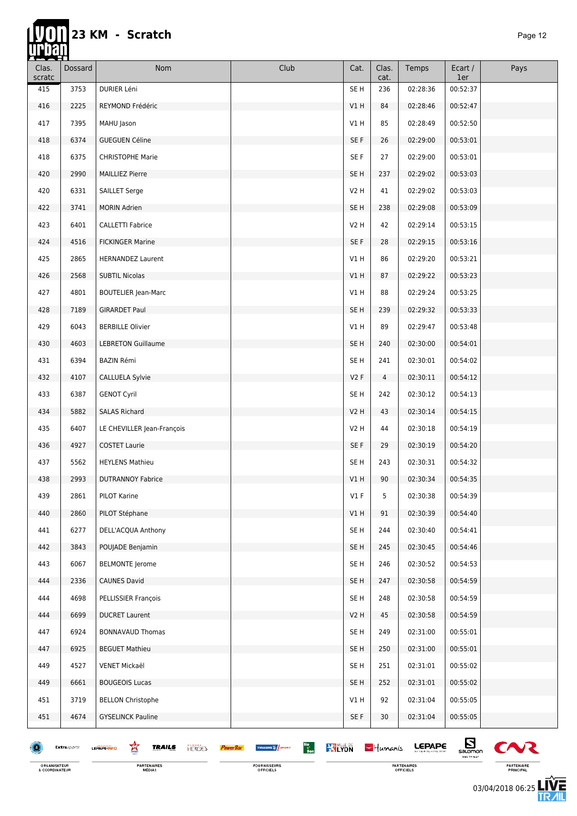#### **Tyon 23 KM - Scratch** *Page 12*

| Clas.<br>scratc | Dossard     | <b>Nom</b>                                         | Club                                           | Cat.             | Clas.<br>cat. | Temps         | Ecart /<br>1er               | Pays           |
|-----------------|-------------|----------------------------------------------------|------------------------------------------------|------------------|---------------|---------------|------------------------------|----------------|
| 415             | 3753        | DURIER Léni                                        |                                                | SE <sub>H</sub>  | 236           | 02:28:36      | 00:52:37                     |                |
| 416             | 2225        | REYMOND Frédéric                                   |                                                | VIH              | 84            | 02:28:46      | 00:52:47                     |                |
| 417             | 7395        | MAHU Jason                                         |                                                | V1 H             | 85            | 02:28:49      | 00:52:50                     |                |
| 418             | 6374        | <b>GUEGUEN Céline</b>                              |                                                | SE F             | 26            | 02:29:00      | 00:53:01                     |                |
| 418             | 6375        | <b>CHRISTOPHE Marie</b>                            |                                                | SE F             | 27            | 02:29:00      | 00:53:01                     |                |
| 420             | 2990        | <b>MAILLIEZ Pierre</b>                             |                                                | SE <sub>H</sub>  | 237           | 02:29:02      | 00:53:03                     |                |
| 420             | 6331        | <b>SAILLET Serge</b>                               |                                                | V2 H             | 41            | 02:29:02      | 00:53:03                     |                |
| 422             | 3741        | <b>MORIN Adrien</b>                                |                                                | SE <sub>H</sub>  | 238           | 02:29:08      | 00:53:09                     |                |
| 423             | 6401        | <b>CALLETTI Fabrice</b>                            |                                                | V2H              | 42            | 02:29:14      | 00:53:15                     |                |
| 424             | 4516        | <b>FICKINGER Marine</b>                            |                                                | SE F             | 28            | 02:29:15      | 00:53:16                     |                |
| 425             | 2865        | <b>HERNANDEZ Laurent</b>                           |                                                | V1 H             | 86            | 02:29:20      | 00:53:21                     |                |
| 426             | 2568        | <b>SUBTIL Nicolas</b>                              |                                                | V1 H             | 87            | 02:29:22      | 00:53:23                     |                |
| 427             | 4801        | <b>BOUTELIER Jean-Marc</b>                         |                                                | V1 H             | 88            | 02:29:24      | 00:53:25                     |                |
| 428             | 7189        | <b>GIRARDET Paul</b>                               |                                                | SE <sub>H</sub>  | 239           | 02:29:32      | 00:53:33                     |                |
| 429             | 6043        | <b>BERBILLE Olivier</b>                            |                                                | V1 H             | 89            | 02:29:47      | 00:53:48                     |                |
| 430             | 4603        | <b>LEBRETON Guillaume</b>                          |                                                | SE H             | 240           | 02:30:00      | 00:54:01                     |                |
| 431             | 6394        | <b>BAZIN Rémi</b>                                  |                                                | SE H             | 241           | 02:30:01      | 00:54:02                     |                |
| 432             | 4107        | CALLUELA Sylvie                                    |                                                | V2F              | 4             | 02:30:11      | 00:54:12                     |                |
| 433             | 6387        | <b>GENOT Cyril</b>                                 |                                                | SE H             | 242           | 02:30:12      | 00:54:13                     |                |
| 434             | 5882        | <b>SALAS Richard</b>                               |                                                | V <sub>2</sub> H | 43            | 02:30:14      | 00:54:15                     |                |
| 435             | 6407        | LE CHEVILLER Jean-François                         |                                                | V2H              | 44            | 02:30:18      | 00:54:19                     |                |
| 436             | 4927        | <b>COSTET Laurie</b>                               |                                                | SE F             | 29            | 02:30:19      | 00:54:20                     |                |
| 437             | 5562        | <b>HEYLENS Mathieu</b>                             |                                                | SE <sub>H</sub>  | 243           | 02:30:31      | 00:54:32                     |                |
| 438             | 2993        | <b>DUTRANNOY Fabrice</b>                           |                                                | V1 H             | 90            | 02:30:34      | 00:54:35                     |                |
| 439             | 2861        | PILOT Karine                                       |                                                | V1F              | 5             | 02:30:38      | 00:54:39                     |                |
| 440             | 2860        | PILOT Stéphane                                     |                                                | V1H              | 91            | 02:30:39      | 00:54:40                     |                |
| 441             | 6277        | DELL'ACQUA Anthony                                 |                                                | SE H             | 244           | 02:30:40      | 00:54:41                     |                |
| 442             | 3843        | POUJADE Benjamin                                   |                                                | SE H             | 245           | 02:30:45      | 00:54:46                     |                |
| 443             | 6067        | <b>BELMONTE</b> Jerome                             |                                                | SE <sub>H</sub>  | 246           | 02:30:52      | 00:54:53                     |                |
| 444             | 2336        | <b>CAUNES David</b>                                |                                                | SE H             | 247           | 02:30:58      | 00:54:59                     |                |
| 444             | 4698        | PELLISSIER François                                |                                                | SE H             | 248           | 02:30:58      | 00:54:59                     |                |
| 444             | 6699        | <b>DUCRET Laurent</b>                              |                                                | V2H              | 45            | 02:30:58      | 00:54:59                     |                |
| 447             | 6924        | <b>BONNAVAUD Thomas</b>                            |                                                | SE <sub>H</sub>  | 249           | 02:31:00      | 00:55:01                     |                |
| 447             | 6925        | <b>BEGUET Mathieu</b>                              |                                                | SE H             | 250           | 02:31:00      | 00:55:01                     |                |
| 449             | 4527        | VENET Mickaël                                      |                                                | SE <sub>H</sub>  | 251           | 02:31:01      | 00:55:02                     |                |
| 449             | 6661        | <b>BOUGEOIS Lucas</b>                              |                                                | SE <sub>H</sub>  | 252           | 02:31:01      | 00:55:02                     |                |
| 451             | 3719        | <b>BELLON Christophe</b>                           |                                                | V1 H             | 92            | 02:31:04      | 00:55:05                     |                |
| 451             | 4674        | <b>GYSELINCK Pauline</b>                           |                                                | SE F             | 30            | 02:31:04      | 00:55:05                     |                |
|                 | Extrasports | 鸾<br><b>TRAILS</b><br><b>HERGES</b><br>LEPAPE-INFO | Bio<br>Bon<br><b>KYLYON</b><br>THUASHE & SPORT |                  | $-$ Humanis   | <b>LEPAPE</b> | $\mathbf{E}$<br>TIME TO FLAT | C <sub>N</sub> |



**PARTENAIRES**<br>MÉDIAS

PARTENAIRES<br>OFFICIELS

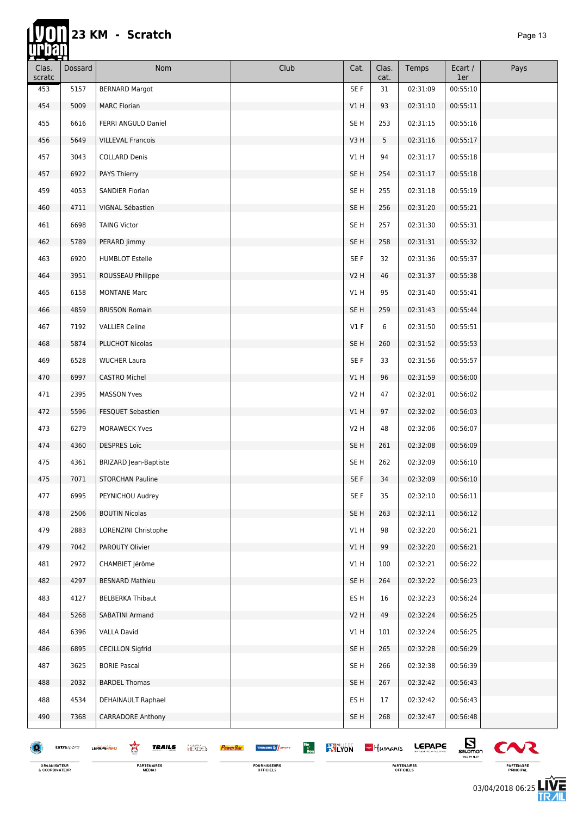### **23 KM - Scratch** *Page 13* han

**hip** 

| <u> 1.22.11</u><br>Clas.<br>scratc | Dossard     | Nom                                                | Club                                                                           | Cat.             | Clas.<br>cat. | Temps    | Ecart /<br>1er     | Pays   |
|------------------------------------|-------------|----------------------------------------------------|--------------------------------------------------------------------------------|------------------|---------------|----------|--------------------|--------|
| 453                                | 5157        | <b>BERNARD Margot</b>                              |                                                                                | SE F             | 31            | 02:31:09 | 00:55:10           |        |
| 454                                | 5009        | <b>MARC Florian</b>                                |                                                                                | V1H              | 93            | 02:31:10 | 00:55:11           |        |
| 455                                | 6616        | FERRI ANGULO Daniel                                |                                                                                | SE <sub>H</sub>  | 253           | 02:31:15 | 00:55:16           |        |
| 456                                | 5649        | <b>VILLEVAL Francois</b>                           |                                                                                | V3H              | 5             | 02:31:16 | 00:55:17           |        |
| 457                                | 3043        | <b>COLLARD Denis</b>                               |                                                                                | V1 H             | 94            | 02:31:17 | 00:55:18           |        |
| 457                                | 6922        | <b>PAYS Thierry</b>                                |                                                                                | SE <sub>H</sub>  | 254           | 02:31:17 | 00:55:18           |        |
| 459                                | 4053        | SANDIER Florian                                    |                                                                                | SE <sub>H</sub>  | 255           | 02:31:18 | 00:55:19           |        |
| 460                                | 4711        | VIGNAL Sébastien                                   |                                                                                | SE <sub>H</sub>  | 256           | 02:31:20 | 00:55:21           |        |
| 461                                | 6698        | <b>TAING Victor</b>                                |                                                                                | SE H             | 257           | 02:31:30 | 00:55:31           |        |
| 462                                | 5789        | PERARD Jimmy                                       |                                                                                | SE <sub>H</sub>  | 258           | 02:31:31 | 00:55:32           |        |
| 463                                | 6920        | <b>HUMBLOT Estelle</b>                             |                                                                                | SE F             | 32            | 02:31:36 | 00:55:37           |        |
| 464                                | 3951        | ROUSSEAU Philippe                                  |                                                                                | V2 H             | 46            | 02:31:37 | 00:55:38           |        |
| 465                                | 6158        | <b>MONTANE Marc</b>                                |                                                                                | V1 H             | 95            | 02:31:40 | 00:55:41           |        |
| 466                                | 4859        | <b>BRISSON Romain</b>                              |                                                                                | SE <sub>H</sub>  | 259           | 02:31:43 | 00:55:44           |        |
| 467                                | 7192        | <b>VALLIER Celine</b>                              |                                                                                | $VI$ F           | 6             | 02:31:50 | 00:55:51           |        |
| 468                                | 5874        | PLUCHOT Nicolas                                    |                                                                                | SE H             | 260           | 02:31:52 | 00:55:53           |        |
| 469                                | 6528        | <b>WUCHER Laura</b>                                |                                                                                | SE F             | 33            | 02:31:56 | 00:55:57           |        |
| 470                                | 6997        | <b>CASTRO Michel</b>                               |                                                                                | V1 H             | 96            | 02:31:59 | 00:56:00           |        |
| 471                                | 2395        | <b>MASSON Yves</b>                                 |                                                                                | V2 H             | 47            | 02:32:01 | 00:56:02           |        |
| 472                                | 5596        | FESQUET Sebastien                                  |                                                                                | V1 H             | 97            | 02:32:02 | 00:56:03           |        |
| 473                                | 6279        | <b>MORAWECK Yves</b>                               |                                                                                | V2 H             | 48            | 02:32:06 | 00:56:07           |        |
| 474                                | 4360        | <b>DESPRES Loïc</b>                                |                                                                                | SE <sub>H</sub>  | 261           | 02:32:08 | 00:56:09           |        |
| 475                                | 4361        | <b>BRIZARD Jean-Baptiste</b>                       |                                                                                | SE <sub>H</sub>  | 262           | 02:32:09 | 00:56:10           |        |
| 475                                | 7071        | <b>STORCHAN Pauline</b>                            |                                                                                | SE F             | 34            | 02:32:09 | 00:56:10           |        |
| 477                                | 6995        | PEYNICHOU Audrey                                   |                                                                                | SE F             | 35            | 02:32:10 | 00:56:11           |        |
| 478                                | 2506        | <b>BOUTIN Nicolas</b>                              |                                                                                | SE <sub>H</sub>  | 263           | 02:32:11 | 00:56:12           |        |
| 479                                | 2883        | LORENZINI Christophe                               |                                                                                | V1H              | 98            | 02:32:20 | 00:56:21           |        |
| 479                                | 7042        | PAROUTY Olivier                                    |                                                                                | V1 H             | 99            | 02:32:20 | 00:56:21           |        |
| 481                                | 2972        | CHAMBIET Jérôme                                    |                                                                                | V1H              | 100           | 02:32:21 | 00:56:22           |        |
| 482                                | 4297        | <b>BESNARD Mathieu</b>                             |                                                                                | SE H             | 264           | 02:32:22 | 00:56:23           |        |
| 483                                | 4127        | <b>BELBERKA Thibaut</b>                            |                                                                                | ES H             | 16            | 02:32:23 | 00:56:24           |        |
| 484                                | 5268        | SABATINI Armand                                    |                                                                                | V <sub>2</sub> H | 49            | 02:32:24 | 00:56:25           |        |
| 484                                | 6396        | <b>VALLA David</b>                                 |                                                                                | V1H              | 101           | 02:32:24 | 00:56:25           |        |
| 486                                | 6895        | <b>CECILLON Sigfrid</b>                            |                                                                                | SE H             | 265           | 02:32:28 | 00:56:29           |        |
| 487                                | 3625        | <b>BORIE Pascal</b>                                |                                                                                | SE <sub>H</sub>  | 266           | 02:32:38 | 00:56:39           |        |
| 488                                | 2032        | <b>BARDEL Thomas</b>                               |                                                                                | SE <sub>H</sub>  | 267           | 02:32:42 | 00:56:43           |        |
| 488                                | 4534        | DEHAINAULT Raphael                                 |                                                                                | ES H             | 17            | 02:32:42 | 00:56:43           |        |
| 490                                | 7368        | CARRADORE Anthony                                  |                                                                                | SE H             | 268           | 02:32:47 | 00:56:48           |        |
|                                    | Extrasports | 窎<br><b>TRAILS</b><br><b>HERCES</b><br>LEPAPE-INFO | Bio<br>Bon<br><b>KY LYON</b><br>THUASHE <sup>16</sup> SPORT<br><b>PowerBar</b> |                  | $-$ Humanis   | LEPAPE   | $E_{\text{nonon}}$ | $\sim$ |

FOURNISSEURS<br>OFFICIELS

PARTENAIRES<br>OFFICIELS

 $sum_{\text{N}}$  $\blacktriangledown$ 

PARTENAIRE<br>PRINCIPAL

03/04/2018 06:25

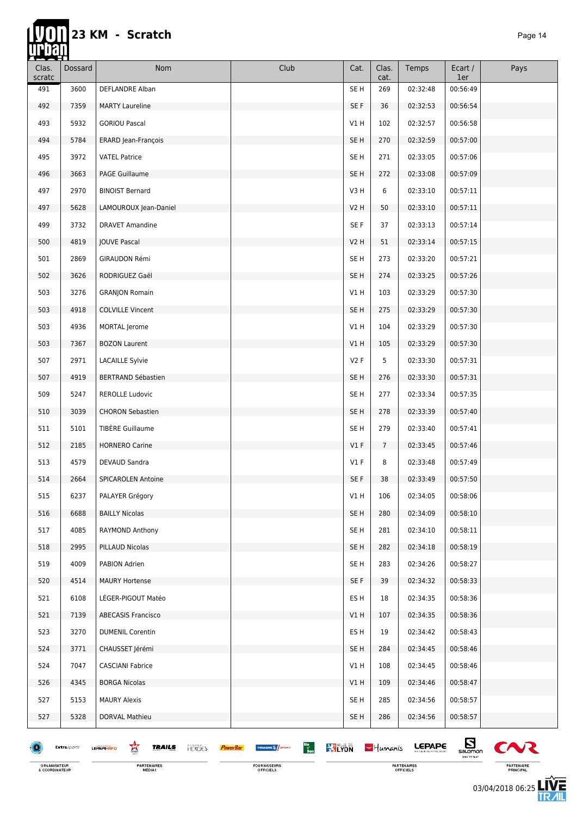### **UTON** 23 KM - Scratch

| ææ 1<br>Clas.<br>scratc | Dossard     | Nom                                                | Club                                                    | Cat.            | Clas.<br>cat.   | Temps         | Ecart /<br>1er               | Pays                  |
|-------------------------|-------------|----------------------------------------------------|---------------------------------------------------------|-----------------|-----------------|---------------|------------------------------|-----------------------|
| 491                     | 3600        | DEFLANDRE Alban                                    |                                                         | SE H            | 269             | 02:32:48      | 00:56:49                     |                       |
| 492                     | 7359        | <b>MARTY Laureline</b>                             |                                                         | SE F            | 36              | 02:32:53      | 00:56:54                     |                       |
| 493                     | 5932        | <b>GORIOU Pascal</b>                               |                                                         | V1H             | 102             | 02:32:57      | 00:56:58                     |                       |
| 494                     | 5784        | ERARD Jean-François                                |                                                         | SE <sub>H</sub> | 270             | 02:32:59      | 00:57:00                     |                       |
| 495                     | 3972        | <b>VATEL Patrice</b>                               |                                                         | SE H            | 271             | 02:33:05      | 00:57:06                     |                       |
| 496                     | 3663        | <b>PAGE Guillaume</b>                              |                                                         | SE <sub>H</sub> | 272             | 02:33:08      | 00:57:09                     |                       |
| 497                     | 2970        | <b>BINOIST Bernard</b>                             |                                                         | V3H             | 6               | 02:33:10      | 00:57:11                     |                       |
| 497                     | 5628        | LAMOUROUX Jean-Daniel                              |                                                         | V2 H            | 50              | 02:33:10      | 00:57:11                     |                       |
| 499                     | 3732        | <b>DRAVET Amandine</b>                             |                                                         | SE F            | 37              | 02:33:13      | 00:57:14                     |                       |
| 500                     | 4819        | JOUVE Pascal                                       |                                                         | V2H             | 51              | 02:33:14      | 00:57:15                     |                       |
| 501                     | 2869        | GIRAUDON Rémi                                      |                                                         | SE H            | 273             | 02:33:20      | 00:57:21                     |                       |
| 502                     | 3626        | RODRIGUEZ Gaël                                     |                                                         | SE <sub>H</sub> | 274             | 02:33:25      | 00:57:26                     |                       |
| 503                     | 3276        | <b>GRANJON Romain</b>                              |                                                         | V1 H            | 103             | 02:33:29      | 00:57:30                     |                       |
| 503                     | 4918        | <b>COLVILLE Vincent</b>                            |                                                         | SE <sub>H</sub> | 275             | 02:33:29      | 00:57:30                     |                       |
| 503                     | 4936        | MORTAL Jerome                                      |                                                         | V1H             | 104             | 02:33:29      | 00:57:30                     |                       |
| 503                     | 7367        | <b>BOZON Laurent</b>                               |                                                         | V1H             | 105             | 02:33:29      | 00:57:30                     |                       |
| 507                     | 2971        | <b>LACAILLE Sylvie</b>                             |                                                         | V2F             | 5               | 02:33:30      | 00:57:31                     |                       |
| 507                     | 4919        | <b>BERTRAND Sébastien</b>                          |                                                         | SE H            | 276             | 02:33:30      | 00:57:31                     |                       |
| 509                     | 5247        | <b>REROLLE Ludovic</b>                             |                                                         | SE <sub>H</sub> | 277             | 02:33:34      | 00:57:35                     |                       |
| 510                     | 3039        | <b>CHORON Sebastien</b>                            |                                                         | SE <sub>H</sub> | 278             | 02:33:39      | 00:57:40                     |                       |
| 511                     | 5101        | TIBÈRE Guillaume                                   |                                                         | SE H            | 279             | 02:33:40      | 00:57:41                     |                       |
| 512                     | 2185        | <b>HORNERO Carine</b>                              |                                                         | V1F             | $7\overline{ }$ | 02:33:45      | 00:57:46                     |                       |
| 513                     | 4579        | DEVAUD Sandra                                      |                                                         | $VI$ F          | 8               | 02:33:48      | 00:57:49                     |                       |
| 514                     | 2664        | <b>SPICAROLEN Antoine</b>                          |                                                         | SE F            | 38              | 02:33:49      | 00:57:50                     |                       |
| 515                     | 6237        | PALAYER Grégory                                    |                                                         | V1 H            | 106             | 02:34:05      | 00:58:06                     |                       |
| 516                     | 6688        | <b>BAILLY Nicolas</b>                              |                                                         | SE H            | 280             | 02:34:09      | 00:58:10                     |                       |
| 517                     | 4085        | RAYMOND Anthony                                    |                                                         | SE H            | 281             | 02:34:10      | 00:58:11                     |                       |
| 518                     | 2995        | PILLAUD Nicolas                                    |                                                         | SE <sub>H</sub> | 282             | 02:34:18      | 00:58:19                     |                       |
| 519                     | 4009        | PABION Adrien                                      |                                                         | SE <sub>H</sub> | 283             | 02:34:26      | 00:58:27                     |                       |
| 520                     | 4514        | <b>MAURY Hortense</b>                              |                                                         | SE F            | 39              | 02:34:32      | 00:58:33                     |                       |
| 521                     | 6108        | LÉGER-PIGOUT Matéo                                 |                                                         | ES H            | 18              | 02:34:35      | 00:58:36                     |                       |
| 521                     | 7139        | <b>ABECASIS Francisco</b>                          |                                                         | V1H             | 107             | 02:34:35      | 00:58:36                     |                       |
| 523                     | 3270        | <b>DUMENIL Corentin</b>                            |                                                         | ES H            | 19              | 02:34:42      | 00:58:43                     |                       |
| 524                     | 3771        | CHAUSSET Jérémi                                    |                                                         | SE H            | 284             | 02:34:45      | 00:58:46                     |                       |
| 524                     | 7047        | <b>CASCIANI Fabrice</b>                            |                                                         | VIH             | 108             | 02:34:45      | 00:58:46                     |                       |
| 526                     | 4345        | <b>BORGA Nicolas</b>                               |                                                         | V1 H            | 109             | 02:34:46      | 00:58:47                     |                       |
| 527                     | 5153        | <b>MAURY Alexis</b>                                |                                                         | SE <sub>H</sub> | 285             | 02:34:56      | 00:58:57                     |                       |
| 527                     | 5328        | DORVAL Mathieu                                     |                                                         | SE H            | 286             | 02:34:56      | 00:58:57                     |                       |
|                         | Extrasports | 鸾<br><b>TRAILS</b><br><b>HERCES</b><br>LEPAPE-INFO | Bio<br>Bon<br><b>KYLYON</b><br><b>THUASHE SAN SPORT</b> |                 | $-$ Humanis     | <b>LEPAPE</b> | $\mathbf{E}$<br>TIME TO FLAT | $\boldsymbol{\infty}$ |

ORGANISATEUR<br>& COORDINATEUR

**PARTENAIRES**<br>MÉDIAS

FOURNISSEURS<br>OFFICIELS

PARTENAIRES<br>OFFICIELS

 $\boldsymbol{\infty}$ PARTENAIRE<br>PRINCIPAL

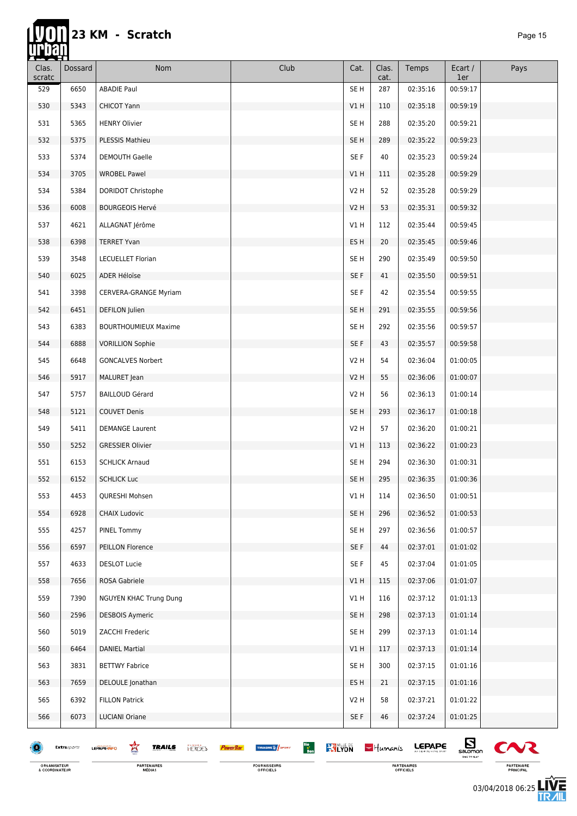hř

| $\overline{\phantom{a}}$<br>Clas. | Dossard     | Nom                                                | Club                                           | Cat.            | Clas.       | Temps         | Ecart /                                   | Pays   |
|-----------------------------------|-------------|----------------------------------------------------|------------------------------------------------|-----------------|-------------|---------------|-------------------------------------------|--------|
| scratc<br>529                     | 6650        | <b>ABADIE Paul</b>                                 |                                                | SE <sub>H</sub> | cat.<br>287 | 02:35:16      | 1er<br>00:59:17                           |        |
| 530                               | 5343        | <b>CHICOT Yann</b>                                 |                                                | V1H             | 110         | 02:35:18      | 00:59:19                                  |        |
| 531                               | 5365        | <b>HENRY Olivier</b>                               |                                                | SE H            | 288         | 02:35:20      | 00:59:21                                  |        |
| 532                               | 5375        | PLESSIS Mathieu                                    |                                                | SE <sub>H</sub> | 289         | 02:35:22      | 00:59:23                                  |        |
| 533                               | 5374        | <b>DEMOUTH Gaelle</b>                              |                                                | SE F            | 40          | 02:35:23      | 00:59:24                                  |        |
| 534                               | 3705        | <b>WROBEL Pawel</b>                                |                                                | V1 H            | 111         | 02:35:28      | 00:59:29                                  |        |
| 534                               | 5384        | DORIDOT Christophe                                 |                                                | V2H             | 52          | 02:35:28      | 00:59:29                                  |        |
| 536                               | 6008        | <b>BOURGEOIS Hervé</b>                             |                                                | V2H             | 53          | 02:35:31      | 00:59:32                                  |        |
| 537                               | 4621        | ALLAGNAT Jérôme                                    |                                                | VIH             | 112         | 02:35:44      | 00:59:45                                  |        |
| 538                               | 6398        | <b>TERRET Yvan</b>                                 |                                                | ES H            | 20          | 02:35:45      | 00:59:46                                  |        |
| 539                               | 3548        | <b>LECUELLET Florian</b>                           |                                                | SE H            | 290         | 02:35:49      | 00:59:50                                  |        |
| 540                               | 6025        | ADER Héloïse                                       |                                                | SE F            | 41          | 02:35:50      | 00:59:51                                  |        |
| 541                               | 3398        | CERVERA-GRANGE Myriam                              |                                                | SE F            | 42          | 02:35:54      | 00:59:55                                  |        |
| 542                               | 6451        | DEFILON Julien                                     |                                                | SE <sub>H</sub> | 291         | 02:35:55      | 00:59:56                                  |        |
| 543                               | 6383        | <b>BOURTHOUMIEUX Maxime</b>                        |                                                | SE H            | 292         | 02:35:56      | 00:59:57                                  |        |
| 544                               | 6888        | <b>VORILLION Sophie</b>                            |                                                | SE F            | 43          | 02:35:57      | 00:59:58                                  |        |
| 545                               | 6648        | <b>GONCALVES Norbert</b>                           |                                                | V2 H            | 54          | 02:36:04      | 01:00:05                                  |        |
| 546                               | 5917        | MALURET Jean                                       |                                                | V2 H            | 55          | 02:36:06      | 01:00:07                                  |        |
| 547                               | 5757        | <b>BAILLOUD Gérard</b>                             |                                                | V2H             | 56          | 02:36:13      | 01:00:14                                  |        |
| 548                               | 5121        | <b>COUVET Denis</b>                                |                                                | SE <sub>H</sub> | 293         | 02:36:17      | 01:00:18                                  |        |
| 549                               | 5411        | <b>DEMANGE Laurent</b>                             |                                                | V2 H            | 57          | 02:36:20      | 01:00:21                                  |        |
| 550                               | 5252        | <b>GRESSIER Olivier</b>                            |                                                | V1 H            | 113         | 02:36:22      | 01:00:23                                  |        |
| 551                               | 6153        | <b>SCHLICK Arnaud</b>                              |                                                | SE <sub>H</sub> | 294         | 02:36:30      | 01:00:31                                  |        |
| 552                               | 6152        | <b>SCHLICK Luc</b>                                 |                                                | SE H            | 295         | 02:36:35      | 01:00:36                                  |        |
| 553                               | 4453        | QURESHI Mohsen                                     |                                                | V1 H            | 114         | 02:36:50      | 01:00:51                                  |        |
| 554                               | 6928        | <b>CHAIX Ludovic</b>                               |                                                | SE <sub>H</sub> | 296         | 02:36:52      | 01:00:53                                  |        |
| 555                               | 4257        | PINEL Tommy                                        |                                                | SE H            | 297         | 02:36:56      | 01:00:57                                  |        |
| 556                               | 6597        | PEILLON Florence                                   |                                                | SE F            | 44          | 02:37:01      | 01:01:02                                  |        |
| 557                               | 4633        | <b>DESLOT Lucie</b>                                |                                                | SE F            | 45          | 02:37:04      | 01:01:05                                  |        |
| 558                               | 7656        | ROSA Gabriele                                      |                                                | V1 H            | 115         | 02:37:06      | 01:01:07                                  |        |
| 559                               | 7390        | <b>NGUYEN KHAC Trung Dung</b>                      |                                                | V1H             | 116         | 02:37:12      | 01:01:13                                  |        |
| 560                               | 2596        | <b>DESBOIS Aymeric</b>                             |                                                | SE <sub>H</sub> | 298         | 02:37:13      | 01:01:14                                  |        |
| 560                               | 5019        | ZACCHI Frederic                                    |                                                | SE <sub>H</sub> | 299         | 02:37:13      | 01:01:14                                  |        |
| 560                               | 6464        | <b>DANIEL Martial</b>                              |                                                | V1H             | 117         | 02:37:13      | 01:01:14                                  |        |
| 563                               | 3831        | <b>BETTWY Fabrice</b>                              |                                                | SE <sub>H</sub> | 300         | 02:37:15      | 01:01:16                                  |        |
| 563                               | 7659        | DELOULE Jonathan                                   |                                                | ES H            | 21          | 02:37:15      | 01:01:16                                  |        |
| 565                               | 6392        | <b>FILLON Patrick</b>                              |                                                | V2 H            | 58          | 02:37:21      | 01:01:22                                  |        |
| 566                               | 6073        | <b>LUCIANI Oriane</b>                              |                                                | SE F            | 46          | 02:37:24      | 01:01:25                                  |        |
|                                   | Extrasports | Ŕ<br><b>TRAILS</b><br><b>HERGES</b><br>LEPAPE-INFO | Bio<br>Bon<br><b>RALYON</b><br>THUASHE & SPORT |                 | $-$ Humanis | <b>LEPAPE</b> | $\mathbf{E}_{\text{sum}}$<br>TIME TO FLAT | $\sim$ |

FOURNISSEURS<br>OFFICIELS

PARTENAIRES<br>OFFICIELS

 $\boldsymbol{\infty}$ PARTENAIRE<br>PRINCIPAL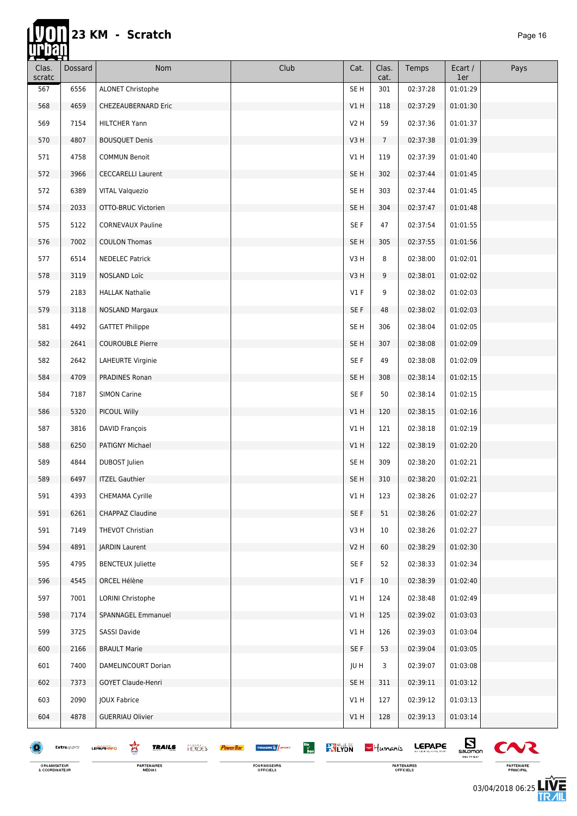m

| œœ<br>Clas.<br>scratc | Dossard     | Nom                                                | Club                                                                          | Cat.            | Clas.<br>cat.   | Temps         | Ecart /<br>1er                                                      | Pays                  |
|-----------------------|-------------|----------------------------------------------------|-------------------------------------------------------------------------------|-----------------|-----------------|---------------|---------------------------------------------------------------------|-----------------------|
| 567                   | 6556        | ALONET Christophe                                  |                                                                               | SE <sub>H</sub> | 301             | 02:37:28      | 01:01:29                                                            |                       |
| 568                   | 4659        | CHEZEAUBERNARD Eric                                |                                                                               | V1H             | 118             | 02:37:29      | 01:01:30                                                            |                       |
| 569                   | 7154        | <b>HILTCHER Yann</b>                               |                                                                               | V2 H            | 59              | 02:37:36      | 01:01:37                                                            |                       |
| 570                   | 4807        | <b>BOUSQUET Denis</b>                              |                                                                               | V3H             | $7\overline{ }$ | 02:37:38      | 01:01:39                                                            |                       |
| 571                   | 4758        | <b>COMMUN Benoit</b>                               |                                                                               | V1 H            | 119             | 02:37:39      | 01:01:40                                                            |                       |
| 572                   | 3966        | <b>CECCARELLI Laurent</b>                          |                                                                               | SE <sub>H</sub> | 302             | 02:37:44      | 01:01:45                                                            |                       |
| 572                   | 6389        | <b>VITAL Valguezio</b>                             |                                                                               | SE <sub>H</sub> | 303             | 02:37:44      | 01:01:45                                                            |                       |
| 574                   | 2033        | OTTO-BRUC Victorien                                |                                                                               | SE <sub>H</sub> | 304             | 02:37:47      | 01:01:48                                                            |                       |
| 575                   | 5122        | <b>CORNEVAUX Pauline</b>                           |                                                                               | SE F            | 47              | 02:37:54      | 01:01:55                                                            |                       |
| 576                   | 7002        | <b>COULON Thomas</b>                               |                                                                               | SE <sub>H</sub> | 305             | 02:37:55      | 01:01:56                                                            |                       |
| 577                   | 6514        | <b>NEDELEC Patrick</b>                             |                                                                               | V3 H            | 8               | 02:38:00      | 01:02:01                                                            |                       |
| 578                   | 3119        | NOSLAND Loïc                                       |                                                                               | V3H             | 9               | 02:38:01      | 01:02:02                                                            |                       |
| 579                   | 2183        | <b>HALLAK Nathalie</b>                             |                                                                               | $VI$ F          | 9               | 02:38:02      | 01:02:03                                                            |                       |
| 579                   | 3118        | <b>NOSLAND Margaux</b>                             |                                                                               | SE F            | 48              | 02:38:02      | 01:02:03                                                            |                       |
| 581                   | 4492        | <b>GATTET Philippe</b>                             |                                                                               | SE <sub>H</sub> | 306             | 02:38:04      | 01:02:05                                                            |                       |
| 582                   | 2641        | <b>COUROUBLE Pierre</b>                            |                                                                               | SE <sub>H</sub> | 307             | 02:38:08      | 01:02:09                                                            |                       |
| 582                   | 2642        | LAHEURTE Virginie                                  |                                                                               | SE F            | 49              | 02:38:08      | 01:02:09                                                            |                       |
| 584                   | 4709        | PRADINES Ronan                                     |                                                                               | SE <sub>H</sub> | 308             | 02:38:14      | 01:02:15                                                            |                       |
| 584                   | 7187        | <b>SIMON Carine</b>                                |                                                                               | SE F            | 50              | 02:38:14      | 01:02:15                                                            |                       |
| 586                   | 5320        | PICOUL Willy                                       |                                                                               | V1H             | 120             | 02:38:15      | 01:02:16                                                            |                       |
| 587                   | 3816        | DAVID François                                     |                                                                               | V1H             | 121             | 02:38:18      | 01:02:19                                                            |                       |
| 588                   | 6250        | PATIGNY Michael                                    |                                                                               | V1 H            | 122             | 02:38:19      | 01:02:20                                                            |                       |
| 589                   | 4844        | DUBOST Julien                                      |                                                                               | SE <sub>H</sub> | 309             | 02:38:20      | 01:02:21                                                            |                       |
| 589                   | 6497        | <b>ITZEL Gauthier</b>                              |                                                                               | SE <sub>H</sub> | 310             | 02:38:20      | 01:02:21                                                            |                       |
| 591                   | 4393        | CHEMAMA Cyrille                                    |                                                                               | V1 H            | 123             | 02:38:26      | 01:02:27                                                            |                       |
| 591                   | 6261        | <b>CHAPPAZ Claudine</b>                            |                                                                               | SE F            | 51              | 02:38:26      | 01:02:27                                                            |                       |
| 591                   | 7149        | THEVOT Christian                                   |                                                                               | V3H             | 10              | 02:38:26      | 01:02:27                                                            |                       |
| 594                   | 4891        | <b>JARDIN Laurent</b>                              |                                                                               | V2H             | 60              | 02:38:29      | 01:02:30                                                            |                       |
| 595                   | 4795        | <b>BENCTEUX Juliette</b>                           |                                                                               | SE F            | 52              | 02:38:33      | 01:02:34                                                            |                       |
| 596                   | 4545        | ORCEL Hélène                                       |                                                                               | $VI$ F          | 10              | 02:38:39      | 01:02:40                                                            |                       |
| 597                   | 7001        | LORINI Christophe                                  |                                                                               | V1H             | 124             | 02:38:48      | 01:02:49                                                            |                       |
| 598                   | 7174        | SPANNAGEL Emmanuel                                 |                                                                               | V1H             | 125             | 02:39:02      | 01:03:03                                                            |                       |
| 599                   | 3725        | SASSI Davide                                       |                                                                               | V1H             | 126             | 02:39:03      | 01:03:04                                                            |                       |
| 600                   | 2166        | <b>BRAULT Marie</b>                                |                                                                               | SE F            | 53              | 02:39:04      | 01:03:05                                                            |                       |
| 601                   | 7400        | DAMELINCOURT Dorian                                |                                                                               | JU H            | 3               | 02:39:07      | 01:03:08                                                            |                       |
| 602                   | 7373        | GOYET Claude-Henri                                 |                                                                               | SE <sub>H</sub> | 311             | 02:39:11      | 01:03:12                                                            |                       |
| 603                   | 2090        | JOUX Fabrice                                       |                                                                               | V1H             | 127             | 02:39:12      | 01:03:13                                                            |                       |
| 604                   | 4878        | <b>GUERRIAU Olivier</b>                            |                                                                               | VIH             | 128             | 02:39:13      | 01:03:14                                                            |                       |
|                       | Extrasports | 窎<br><b>TRAILS</b><br><b>HERCES</b><br>LEPAPE-INFO | Bio<br>Bon<br><b>KYLYON</b><br>THUASHE <sup>16</sup> SPORT<br><b>PowerBar</b> |                 | $-$ Humanis     | <b>LEPAPE</b> | $E_{\text{S}^{\text{non}}_{\text{S}^{\text{non}}}}$<br>TIME TO FLAT | $\boldsymbol{\infty}$ |



PARTENAIRES<br>OFFICIELS

VŁ  $\mathbf{v}$ PARTENAIRE<br>PRINCIPAL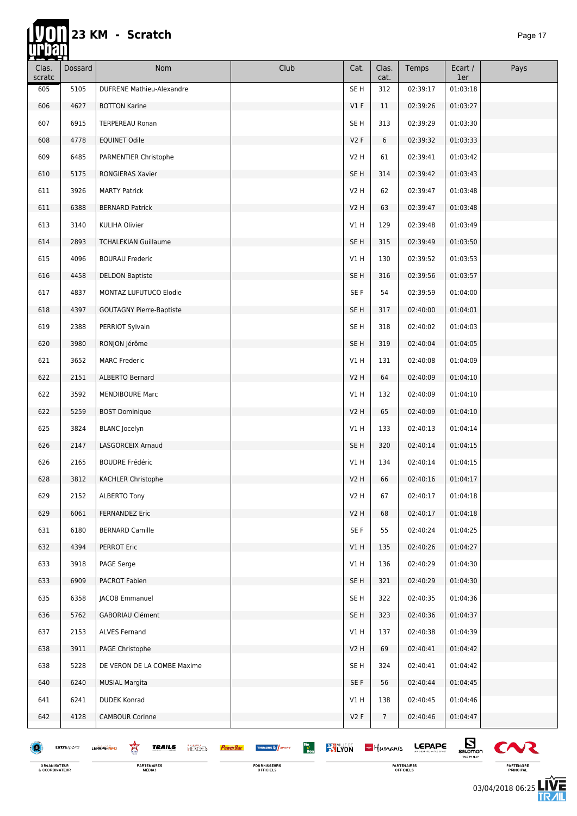#### **Tyon 23 KM - Scratch** *Page 17*

| <b>TELESCOPE</b> |             |                                             |                                                                               |                 |                 |               |                             |        |
|------------------|-------------|---------------------------------------------|-------------------------------------------------------------------------------|-----------------|-----------------|---------------|-----------------------------|--------|
| Clas.<br>scratc  | Dossard     | Nom                                         | Club                                                                          | Cat.            | Clas.<br>cat.   | Temps         | Ecart /<br>1er              | Pays   |
| 605              | 5105        | <b>DUFRENE Mathieu-Alexandre</b>            |                                                                               | SE <sub>H</sub> | 312             | 02:39:17      | 01:03:18                    |        |
| 606              | 4627        | <b>BOTTON Karine</b>                        |                                                                               | $VI$ F          | 11              | 02:39:26      | 01:03:27                    |        |
| 607              | 6915        | <b>TERPEREAU Ronan</b>                      |                                                                               | SE <sub>H</sub> | 313             | 02:39:29      | 01:03:30                    |        |
| 608              | 4778        | <b>EQUINET Odile</b>                        |                                                                               | V2F             | 6               | 02:39:32      | 01:03:33                    |        |
| 609              | 6485        | PARMENTIER Christophe                       |                                                                               | V2 H            | 61              | 02:39:41      | 01:03:42                    |        |
| 610              | 5175        | RONGIERAS Xavier                            |                                                                               | SE <sub>H</sub> | 314             | 02:39:42      | 01:03:43                    |        |
| 611              | 3926        | <b>MARTY Patrick</b>                        |                                                                               | V2H             | 62              | 02:39:47      | 01:03:48                    |        |
| 611              | 6388        | <b>BERNARD Patrick</b>                      |                                                                               | <b>V2 H</b>     | 63              | 02:39:47      | 01:03:48                    |        |
| 613              | 3140        | KULIHA Olivier                              |                                                                               | V1 H            | 129             | 02:39:48      | 01:03:49                    |        |
| 614              | 2893        | <b>TCHALEKIAN Guillaume</b>                 |                                                                               | SE <sub>H</sub> | 315             | 02:39:49      | 01:03:50                    |        |
| 615              | 4096        | <b>BOURAU Frederic</b>                      |                                                                               | V1 H            | 130             | 02:39:52      | 01:03:53                    |        |
| 616              | 4458        | <b>DELDON Baptiste</b>                      |                                                                               | SE <sub>H</sub> | 316             | 02:39:56      | 01:03:57                    |        |
| 617              | 4837        | MONTAZ LUFUTUCO Elodie                      |                                                                               | SE F            | 54              | 02:39:59      | 01:04:00                    |        |
| 618              | 4397        | <b>GOUTAGNY Pierre-Baptiste</b>             |                                                                               | SE <sub>H</sub> | 317             | 02:40:00      | 01:04:01                    |        |
| 619              | 2388        | PERRIOT Sylvain                             |                                                                               | SE H            | 318             | 02:40:02      | 01:04:03                    |        |
| 620              | 3980        | RONJON Jérôme                               |                                                                               | SE <sub>H</sub> | 319             | 02:40:04      | 01:04:05                    |        |
| 621              | 3652        | <b>MARC Frederic</b>                        |                                                                               | V1 H            | 131             | 02:40:08      | 01:04:09                    |        |
| 622              | 2151        | ALBERTO Bernard                             |                                                                               | <b>V2 H</b>     | 64              | 02:40:09      | 01:04:10                    |        |
| 622              | 3592        | <b>MENDIBOURE Marc</b>                      |                                                                               | V1H             | 132             | 02:40:09      | 01:04:10                    |        |
| 622              | 5259        | <b>BOST Dominique</b>                       |                                                                               | V2H             | 65              | 02:40:09      | 01:04:10                    |        |
| 625              | 3824        | <b>BLANC</b> Jocelyn                        |                                                                               | V1 H            | 133             | 02:40:13      | 01:04:14                    |        |
| 626              | 2147        | LASGORCEIX Arnaud                           |                                                                               | SE <sub>H</sub> | 320             | 02:40:14      | 01:04:15                    |        |
| 626              | 2165        | <b>BOUDRE Frédéric</b>                      |                                                                               | V1 H            | 134             | 02:40:14      | 01:04:15                    |        |
| 628              | 3812        | KACHLER Christophe                          |                                                                               | V2H             | 66              | 02:40:16      | 01:04:17                    |        |
| 629              | 2152        | <b>ALBERTO Tony</b>                         |                                                                               | V2 H            | 67              | 02:40:17      | 01:04:18                    |        |
| 629              | 6061        | <b>FERNANDEZ Eric</b>                       |                                                                               | V2H             | 68              | 02:40:17      | 01:04:18                    |        |
| 631              | 6180        | <b>BERNARD Camille</b>                      |                                                                               | SE F            | 55              | 02:40:24      | 01:04:25                    |        |
| 632              | 4394        | <b>PERROT Eric</b>                          |                                                                               | V1H             | 135             | 02:40:26      | 01:04:27                    |        |
| 633              | 3918        | PAGE Serge                                  |                                                                               | V1 H            | 136             | 02:40:29      | 01:04:30                    |        |
| 633              | 6909        | PACROT Fabien                               |                                                                               | SE <sub>H</sub> | 321             | 02:40:29      | 01:04:30                    |        |
| 635              | 6358        | <b>JACOB Emmanuel</b>                       |                                                                               | SE H            | 322             | 02:40:35      | 01:04:36                    |        |
| 636              | 5762        | <b>GABORIAU Clément</b>                     |                                                                               | SE <sub>H</sub> | 323             | 02:40:36      | 01:04:37                    |        |
| 637              | 2153        | <b>ALVES Fernand</b>                        |                                                                               | V1 H            | 137             | 02:40:38      | 01:04:39                    |        |
| 638              | 3911        | PAGE Christophe                             |                                                                               | V2H             | 69              | 02:40:41      | 01:04:42                    |        |
| 638              | 5228        | DE VERON DE LA COMBE Maxime                 |                                                                               | SE H            | 324             | 02:40:41      | 01:04:42                    |        |
| 640              | 6240        | <b>MUSIAL Margita</b>                       |                                                                               | SE F            | 56              | 02:40:44      | 01:04:45                    |        |
| 641              | 6241        | <b>DUDEK Konrad</b>                         |                                                                               | VIH             | 138             | 02:40:45      | 01:04:46                    |        |
| 642              | 4128        | <b>CAMBOUR Corinne</b>                      |                                                                               | V2F             | $7\overline{ }$ | 02:40:46      | 01:04:47                    |        |
|                  |             |                                             |                                                                               |                 |                 |               |                             |        |
| æ                | Extrasports | 窎<br>TRAILS<br><b>HERGES</b><br>LEPAPE INFO | Bio<br>Bon<br><b>KY LYON</b><br><b>THUASHE &amp; SPORT</b><br><b>PowerBar</b> |                 | $-$ Humanis     | <b>LEPAPE</b> | $\mathbf{E}_{\text{symon}}$ | $\sim$ |

ORGANISATEUR<br>& COORDINATEUR

**PARTENAIRES**<br>MÉDIAS

FOURNISSEURS<br>OFFICIELS

PARTENAIRES<br>OFFICIELS

 $\sum_{\substack{\text{saomon} \ \text{mauge}}}$  $\boldsymbol{\infty}$ PARTENAIRE<br>PRINCIPAL

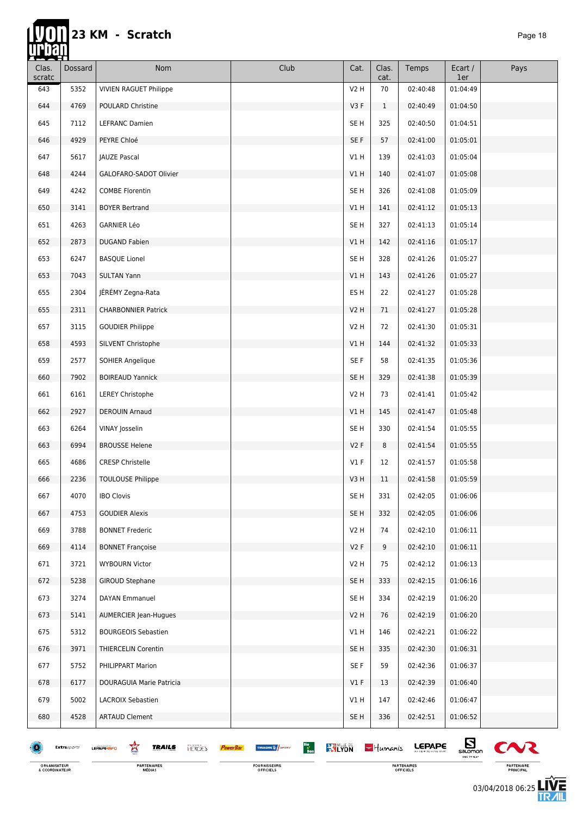# 23 KM - Scratch

lin

| ▅▅▅<br>Clas.<br>scratc | Dossard     | Nom                                                | Club                                                                           | Cat.             | Clas.<br>cat. | Temps         | Ecart /<br>1er    | Pays                  |
|------------------------|-------------|----------------------------------------------------|--------------------------------------------------------------------------------|------------------|---------------|---------------|-------------------|-----------------------|
| 643                    | 5352        | <b>VIVIEN RAGUET Philippe</b>                      |                                                                                | V <sub>2</sub> H | 70            | 02:40:48      | 01:04:49          |                       |
| 644                    | 4769        | POULARD Christine                                  |                                                                                | V3F              | $\mathbf{1}$  | 02:40:49      | 01:04:50          |                       |
| 645                    | 7112        | LEFRANC Damien                                     |                                                                                | SE <sub>H</sub>  | 325           | 02:40:50      | 01:04:51          |                       |
| 646                    | 4929        | PEYRE Chloé                                        |                                                                                | SE F             | 57            | 02:41:00      | 01:05:01          |                       |
| 647                    | 5617        | <b>JAUZE Pascal</b>                                |                                                                                | V1 H             | 139           | 02:41:03      | 01:05:04          |                       |
| 648                    | 4244        | GALOFARO-SADOT Olivier                             |                                                                                | V1H              | 140           | 02:41:07      | 01:05:08          |                       |
| 649                    | 4242        | <b>COMBE Florentin</b>                             |                                                                                | SE <sub>H</sub>  | 326           | 02:41:08      | 01:05:09          |                       |
| 650                    | 3141        | <b>BOYER Bertrand</b>                              |                                                                                | V1H              | 141           | 02:41:12      | 01:05:13          |                       |
| 651                    | 4263        | <b>GARNIER Léo</b>                                 |                                                                                | SE H             | 327           | 02:41:13      | 01:05:14          |                       |
| 652                    | 2873        | <b>DUGAND Fabien</b>                               |                                                                                | V1H              | 142           | 02:41:16      | 01:05:17          |                       |
| 653                    | 6247        | <b>BASQUE Lionel</b>                               |                                                                                | SE H             | 328           | 02:41:26      | 01:05:27          |                       |
| 653                    | 7043        | <b>SULTAN Yann</b>                                 |                                                                                | V1H              | 143           | 02:41:26      | 01:05:27          |                       |
| 655                    | 2304        | JÉRÉMY Zegna-Rata                                  |                                                                                | ES H             | 22            | 02:41:27      | 01:05:28          |                       |
| 655                    | 2311        | <b>CHARBONNIER Patrick</b>                         |                                                                                | <b>V2 H</b>      | 71            | 02:41:27      | 01:05:28          |                       |
| 657                    | 3115        | <b>GOUDIER Philippe</b>                            |                                                                                | V2 H             | 72            | 02:41:30      | 01:05:31          |                       |
| 658                    | 4593        | SILVENT Christophe                                 |                                                                                | V1H              | 144           | 02:41:32      | 01:05:33          |                       |
| 659                    | 2577        | SOHIER Angelique                                   |                                                                                | SE F             | 58            | 02:41:35      | 01:05:36          |                       |
| 660                    | 7902        | <b>BOIREAUD Yannick</b>                            |                                                                                | SE <sub>H</sub>  | 329           | 02:41:38      | 01:05:39          |                       |
| 661                    | 6161        | <b>LEREY Christophe</b>                            |                                                                                | V2 H             | 73            | 02:41:41      | 01:05:42          |                       |
| 662                    | 2927        | <b>DEROUIN Arnaud</b>                              |                                                                                | V1H              | 145           | 02:41:47      | 01:05:48          |                       |
| 663                    | 6264        | VINAY Josselin                                     |                                                                                | SE <sub>H</sub>  | 330           | 02:41:54      | 01:05:55          |                       |
| 663                    | 6994        | <b>BROUSSE Helene</b>                              |                                                                                | V2F              | 8             | 02:41:54      | 01:05:55          |                       |
| 665                    | 4686        | <b>CRESP Christelle</b>                            |                                                                                | $VI$ F           | 12            | 02:41:57      | 01:05:58          |                       |
| 666                    | 2236        | <b>TOULOUSE Philippe</b>                           |                                                                                | V3H              | 11            | 02:41:58      | 01:05:59          |                       |
| 667                    | 4070        | <b>IBO Clovis</b>                                  |                                                                                | SE H             | 331           | 02:42:05      | 01:06:06          |                       |
| 667                    | 4753        | <b>GOUDIER Alexis</b>                              |                                                                                | SE <sub>H</sub>  | 332           | 02:42:05      | 01:06:06          |                       |
| 669                    | 3788        | <b>BONNET Frederic</b>                             |                                                                                | V2 H             | 74            | 02:42:10      | 01:06:11          |                       |
| 669                    | 4114        | <b>BONNET Françoise</b>                            |                                                                                | V2F              | 9             | 02:42:10      | 01:06:11          |                       |
| 671                    | 3721        | <b>WYBOURN Victor</b>                              |                                                                                | V2 H             | 75            | 02:42:12      | 01:06:13          |                       |
| 672                    | 5238        | <b>GIROUD Stephane</b>                             |                                                                                | SE H             | 333           | 02:42:15      | 01:06:16          |                       |
| 673                    | 3274        | DAYAN Emmanuel                                     |                                                                                | SE <sub>H</sub>  | 334           | 02:42:19      | 01:06:20          |                       |
| 673                    | 5141        | <b>AUMERCIER Jean-Hugues</b>                       |                                                                                | V2H              | 76            | 02:42:19      | 01:06:20          |                       |
| 675                    | 5312        | <b>BOURGEOIS Sebastien</b>                         |                                                                                | VIH              | 146           | 02:42:21      | 01:06:22          |                       |
| 676                    | 3971        | <b>THIERCELIN Corentin</b>                         |                                                                                | SE <sub>H</sub>  | 335           | 02:42:30      | 01:06:31          |                       |
| 677                    | 5752        | PHILIPPART Marion                                  |                                                                                | SE F             | 59            | 02:42:36      | 01:06:37          |                       |
| 678                    | 6177        | DOURAGUIA Marie Patricia                           |                                                                                | $VI$ F           | 13            | 02:42:39      | 01:06:40          |                       |
| 679                    | 5002        | LACROIX Sebastien                                  |                                                                                | V1H              | 147           | 02:42:46      | 01:06:47          |                       |
| 680                    | 4528        | <b>ARTAUD Clement</b>                              |                                                                                | SE <sub>H</sub>  | 336           | 02:42:51      | 01:06:52          |                       |
|                        | Extrasports | 宮<br><b>TRAILS</b><br><b>HERCES</b><br>LEPAPE-INFO | Bio<br>Bon<br><b>KY LYON</b><br>THUASHE <sup>16</sup> SPORT<br><b>PowerBar</b> |                  | $-$ Humanis   | <b>LEPAPE</b> | $E_{\text{anom}}$ | $\boldsymbol{\infty}$ |

FOURNISSEURS<br>OFFICIELS

PARTENAIRES<br>OFFICIELS

 $\sum_{\substack{\text{saomon}\atop \text{meas}\atop \text{meas}\atop \text{meas}\atop \text{meas}\atop \text{meas}\atop \text{meas}\atop \text{meas}\atop \text{meas}\atop \text{meas}\atop \text{meas}\atop \text{meas}\atop \text{meas}\atop \text{meas}\atop \text{meas}\atop \text{meas}\atop \text{meas}\atop \text{meas}\atop \text{meas}\atop \text{meas}\atop \text{meas}\atop \text{meas}\atop \text{meas}\atop \text{meas}\atop \text{meas}\atop \text{meas}\atop \text{meas}\$  $\boldsymbol{\infty}$ PARTENAIRE<br>PRINCIPAL

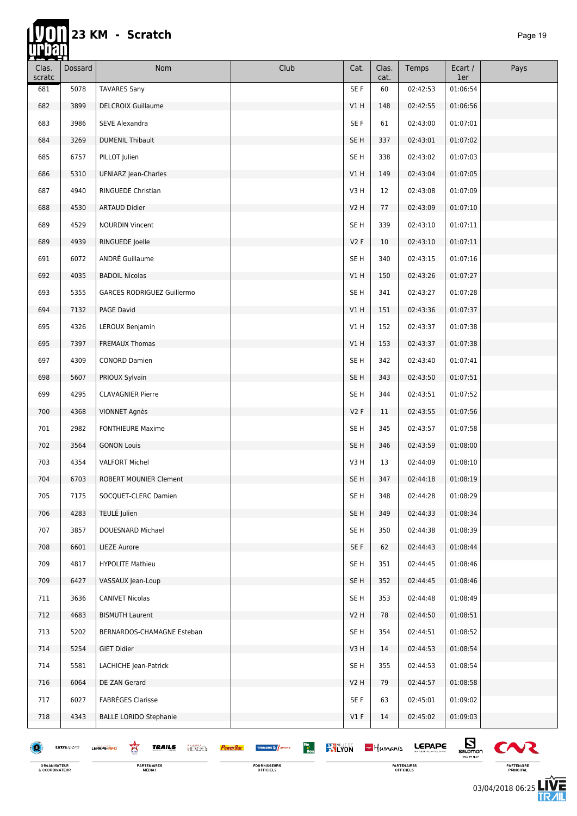Ħ

| <u>resul</u><br>Clas.<br>scratc | Dossard     | Nom                                                | Club                                                                         | Cat.            | Clas.<br>cat. | Temps         | Ecart /<br>1er | Pays                  |
|---------------------------------|-------------|----------------------------------------------------|------------------------------------------------------------------------------|-----------------|---------------|---------------|----------------|-----------------------|
| 681                             | 5078        | <b>TAVARES Sany</b>                                |                                                                              | SE F            | 60            | 02:42:53      | 01:06:54       |                       |
| 682                             | 3899        | <b>DELCROIX Guillaume</b>                          |                                                                              | V1H             | 148           | 02:42:55      | 01:06:56       |                       |
| 683                             | 3986        | SEVE Alexandra                                     |                                                                              | SE F            | 61            | 02:43:00      | 01:07:01       |                       |
| 684                             | 3269        | <b>DUMENIL Thibault</b>                            |                                                                              | SE <sub>H</sub> | 337           | 02:43:01      | 01:07:02       |                       |
| 685                             | 6757        | PILLOT Julien                                      |                                                                              | SE H            | 338           | 02:43:02      | 01:07:03       |                       |
| 686                             | 5310        | UFNIARZ Jean-Charles                               |                                                                              | V1H             | 149           | 02:43:04      | 01:07:05       |                       |
| 687                             | 4940        | RINGUEDE Christian                                 |                                                                              | V3H             | 12            | 02:43:08      | 01:07:09       |                       |
| 688                             | 4530        | <b>ARTAUD Didier</b>                               |                                                                              | <b>V2 H</b>     | 77            | 02:43:09      | 01:07:10       |                       |
| 689                             | 4529        | <b>NOURDIN Vincent</b>                             |                                                                              | SE H            | 339           | 02:43:10      | 01:07:11       |                       |
| 689                             | 4939        | RINGUEDE Joelle                                    |                                                                              | V2F             | 10            | 02:43:10      | 01:07:11       |                       |
| 691                             | 6072        | ANDRÉ Guillaume                                    |                                                                              | SE H            | 340           | 02:43:15      | 01:07:16       |                       |
| 692                             | 4035        | <b>BADOIL Nicolas</b>                              |                                                                              | V1H             | 150           | 02:43:26      | 01:07:27       |                       |
| 693                             | 5355        | <b>GARCES RODRIGUEZ Guillermo</b>                  |                                                                              | SE H            | 341           | 02:43:27      | 01:07:28       |                       |
| 694                             | 7132        | PAGE David                                         |                                                                              | V1H             | 151           | 02:43:36      | 01:07:37       |                       |
| 695                             | 4326        | LEROUX Benjamin                                    |                                                                              | V1H             | 152           | 02:43:37      | 01:07:38       |                       |
| 695                             | 7397        | <b>FREMAUX Thomas</b>                              |                                                                              | V1H             | 153           | 02:43:37      | 01:07:38       |                       |
| 697                             | 4309        | <b>CONORD Damien</b>                               |                                                                              | SE <sub>H</sub> | 342           | 02:43:40      | 01:07:41       |                       |
| 698                             | 5607        | PRIOUX Sylvain                                     |                                                                              | SE <sub>H</sub> | 343           | 02:43:50      | 01:07:51       |                       |
| 699                             | 4295        | <b>CLAVAGNIER Pierre</b>                           |                                                                              | SE <sub>H</sub> | 344           | 02:43:51      | 01:07:52       |                       |
| 700                             | 4368        | VIONNET Agnès                                      |                                                                              | V2F             | 11            | 02:43:55      | 01:07:56       |                       |
| 701                             | 2982        | <b>FONTHIEURE Maxime</b>                           |                                                                              | SE <sub>H</sub> | 345           | 02:43:57      | 01:07:58       |                       |
| 702                             | 3564        | <b>GONON Louis</b>                                 |                                                                              | SE <sub>H</sub> | 346           | 02:43:59      | 01:08:00       |                       |
| 703                             | 4354        | <b>VALFORT Michel</b>                              |                                                                              | V3H             | 13            | 02:44:09      | 01:08:10       |                       |
| 704                             | 6703        | ROBERT MOUNIER Clement                             |                                                                              | SE <sub>H</sub> | 347           | 02:44:18      | 01:08:19       |                       |
| 705                             | 7175        | SOCQUET-CLERC Damien                               |                                                                              | SE H            | 348           | 02:44:28      | 01:08:29       |                       |
| 706                             | 4283        | TEULÉ Julien                                       |                                                                              | SE <sub>H</sub> | 349           | 02:44:33      | 01:08:34       |                       |
| 707                             | 3857        | DOUESNARD Michael                                  |                                                                              | SE H            | 350           | 02:44:38      | 01:08:39       |                       |
| 708                             | 6601        | <b>LIEZE Aurore</b>                                |                                                                              | SE F            | 62            | 02:44:43      | 01:08:44       |                       |
| 709                             | 4817        | <b>HYPOLITE Mathieu</b>                            |                                                                              | SE H            | 351           | 02:44:45      | 01:08:46       |                       |
| 709                             | 6427        | VASSAUX Jean-Loup                                  |                                                                              | SE <sub>H</sub> | 352           | 02:44:45      | 01:08:46       |                       |
| 711                             | 3636        | <b>CANIVET Nicolas</b>                             |                                                                              | SE <sub>H</sub> | 353           | 02:44:48      | 01:08:49       |                       |
| 712                             | 4683        | <b>BISMUTH Laurent</b>                             |                                                                              | V2H             | 78            | 02:44:50      | 01:08:51       |                       |
| 713                             | 5202        | BERNARDOS-CHAMAGNE Esteban                         |                                                                              | SE H            | 354           | 02:44:51      | 01:08:52       |                       |
| 714                             | 5254        | GIET Didier                                        |                                                                              | V3H             | 14            | 02:44:53      | 01:08:54       |                       |
| 714                             | 5581        | LACHICHE Jean-Patrick                              |                                                                              | SE <sub>H</sub> | 355           | 02:44:53      | 01:08:54       |                       |
| 716                             | 6064        | DE ZAN Gerard                                      |                                                                              | V2H             | 79            | 02:44:57      | 01:08:58       |                       |
| 717                             | 6027        | <b>FABRÈGES Clarisse</b>                           |                                                                              | SE F            | 63            | 02:45:01      | 01:09:02       |                       |
| 718                             | 4343        | <b>BALLE LORIDO Stephanie</b>                      |                                                                              | $VI$ F          | 14            | 02:45:02      | 01:09:03       |                       |
|                                 | Extrasports | 窎<br><b>TRAILS</b><br><b>HERCES</b><br>LEPAPE-INFO | Bio<br>Bon<br><b>KYLYON</b><br><b>THUASHE &amp; SPORT</b><br><b>PowerBar</b> |                 | $-$ Humanis   | <b>LEPAPE</b> | $\mathbf{E}$   | $\boldsymbol{\infty}$ |

ORGANISATEUR<br>& COORDINATEUR

**PARTENAIRES**<br>MÉDIAS

FOURNISSEURS<br>OFFICIELS

PARTENAIRES<br>OFFICIELS

 $\sum_{\substack{\text{saomen} \atop \text{na non-} \atop \text{na non-} \atop \text{na non-} \atop \text{na non-} \atop \text{na non-} \end{cases}}}$  $\sim$ PARTENAIRE<br>PRINCIPAL

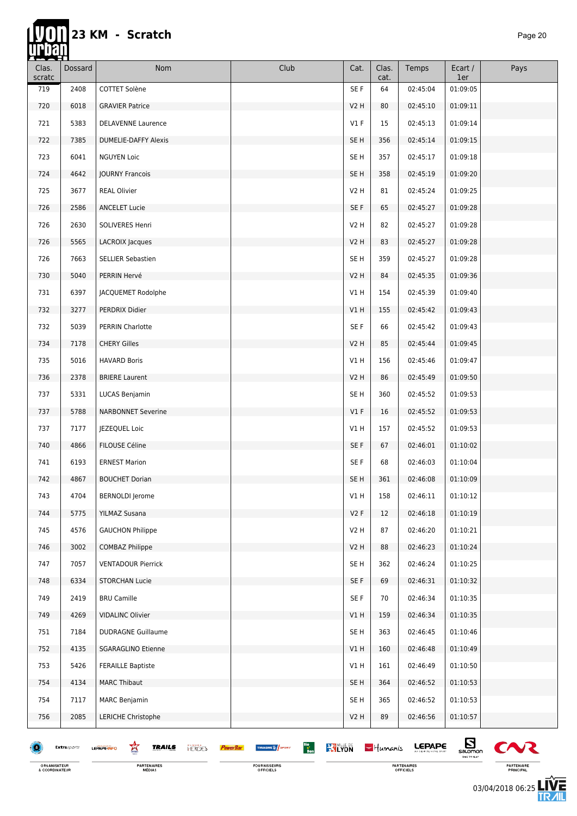hir

| <u>resti</u><br>Clas.<br>scratc | Dossard     | Nom                                                | Club                                                      | Cat.            | Clas.<br>cat. | Temps         | Ecart /<br>1er                   | Pays         |
|---------------------------------|-------------|----------------------------------------------------|-----------------------------------------------------------|-----------------|---------------|---------------|----------------------------------|--------------|
| 719                             | 2408        | COTTET Solène                                      |                                                           | SE F            | 64            | 02:45:04      | 01:09:05                         |              |
| 720                             | 6018        | <b>GRAVIER Patrice</b>                             |                                                           | <b>V2 H</b>     | 80            | 02:45:10      | 01:09:11                         |              |
| 721                             | 5383        | <b>DELAVENNE Laurence</b>                          |                                                           | V1F             | 15            | 02:45:13      | 01:09:14                         |              |
| 722                             | 7385        | <b>DUMELIE-DAFFY Alexis</b>                        |                                                           | SE <sub>H</sub> | 356           | 02:45:14      | 01:09:15                         |              |
| 723                             | 6041        | <b>NGUYEN Loic</b>                                 |                                                           | SE H            | 357           | 02:45:17      | 01:09:18                         |              |
| 724                             | 4642        | <b>JOURNY Francois</b>                             |                                                           | SE <sub>H</sub> | 358           | 02:45:19      | 01:09:20                         |              |
| 725                             | 3677        | <b>REAL Olivier</b>                                |                                                           | V2 H            | 81            | 02:45:24      | 01:09:25                         |              |
| 726                             | 2586        | <b>ANCELET Lucie</b>                               |                                                           | SE F            | 65            | 02:45:27      | 01:09:28                         |              |
| 726                             | 2630        | SOLIVERES Henri                                    |                                                           | V2 H            | 82            | 02:45:27      | 01:09:28                         |              |
| 726                             | 5565        | LACROIX Jacques                                    |                                                           | <b>V2 H</b>     | 83            | 02:45:27      | 01:09:28                         |              |
| 726                             | 7663        | SELLIER Sebastien                                  |                                                           | SE H            | 359           | 02:45:27      | 01:09:28                         |              |
| 730                             | 5040        | PERRIN Hervé                                       |                                                           | V2 H            | 84            | 02:45:35      | 01:09:36                         |              |
| 731                             | 6397        | JACQUEMET Rodolphe                                 |                                                           | V1H             | 154           | 02:45:39      | 01:09:40                         |              |
| 732                             | 3277        | PERDRIX Didier                                     |                                                           | V1H             | 155           | 02:45:42      | 01:09:43                         |              |
| 732                             | 5039        | PERRIN Charlotte                                   |                                                           | SE F            | 66            | 02:45:42      | 01:09:43                         |              |
| 734                             | 7178        | <b>CHERY Gilles</b>                                |                                                           | V2 H            | 85            | 02:45:44      | 01:09:45                         |              |
| 735                             | 5016        | <b>HAVARD Boris</b>                                |                                                           | V1H             | 156           | 02:45:46      | 01:09:47                         |              |
| 736                             | 2378        | <b>BRIERE Laurent</b>                              |                                                           | <b>V2 H</b>     | 86            | 02:45:49      | 01:09:50                         |              |
| 737                             | 5331        | LUCAS Benjamin                                     |                                                           | SE <sub>H</sub> | 360           | 02:45:52      | 01:09:53                         |              |
| 737                             | 5788        | <b>NARBONNET Severine</b>                          |                                                           | V1F             | 16            | 02:45:52      | 01:09:53                         |              |
| 737                             | 7177        | JEZEQUEL Loic                                      |                                                           | VIH             | 157           | 02:45:52      | 01:09:53                         |              |
| 740                             | 4866        | FILOUSE Céline                                     |                                                           | SE F            | 67            | 02:46:01      | 01:10:02                         |              |
| 741                             | 6193        | <b>ERNEST Marion</b>                               |                                                           | SE F            | 68            | 02:46:03      | 01:10:04                         |              |
| 742                             | 4867        | <b>BOUCHET Dorian</b>                              |                                                           | SE <sub>H</sub> | 361           | 02:46:08      | 01:10:09                         |              |
| 743                             | 4704        | <b>BERNOLDI</b> Jerome                             |                                                           | V1H             | 158           | 02:46:11      | 01:10:12                         |              |
| 744                             | 5775        | YILMAZ Susana                                      |                                                           | V2F             | 12            | 02:46:18      | 01:10:19                         |              |
| 745                             | 4576        | <b>GAUCHON Philippe</b>                            |                                                           | V2 H            | 87            | 02:46:20      | 01:10:21                         |              |
| 746                             | 3002        | COMBAZ Philippe                                    |                                                           | <b>V2 H</b>     | 88            | 02:46:23      | 01:10:24                         |              |
| 747                             | 7057        | <b>VENTADOUR Pierrick</b>                          |                                                           | SE <sub>H</sub> | 362           | 02:46:24      | 01:10:25                         |              |
| 748                             | 6334        | <b>STORCHAN Lucie</b>                              |                                                           | SE F            | 69            | 02:46:31      | 01:10:32                         |              |
| 749                             | 2419        | <b>BRU Camille</b>                                 |                                                           | SE F            | 70            | 02:46:34      | 01:10:35                         |              |
| 749                             | 4269        | VIDALINC Olivier                                   |                                                           | V1H             | 159           | 02:46:34      | 01:10:35                         |              |
| 751                             | 7184        | <b>DUDRAGNE Guillaume</b>                          |                                                           | SE <sub>H</sub> | 363           | 02:46:45      | 01:10:46                         |              |
| 752                             | 4135        | <b>SGARAGLINO Etienne</b>                          |                                                           | V1H             | 160           | 02:46:48      | 01:10:49                         |              |
| 753                             | 5426        | <b>FERAILLE Baptiste</b>                           |                                                           | VIH             | 161           | 02:46:49      | 01:10:50                         |              |
| 754                             | 4134        | <b>MARC Thibaut</b>                                |                                                           | SE H            | 364           | 02:46:52      | 01:10:53                         |              |
| 754                             | 7117        | <b>MARC Benjamin</b>                               |                                                           | SE <sub>H</sub> | 365           | 02:46:52      | 01:10:53                         |              |
| 756                             | 2085        | LERICHE Christophe                                 |                                                           | V2H             | 89            | 02:46:56      | 01:10:57                         |              |
|                                 | Extrasports | 鸾<br><b>TRAILS</b><br><b>HERCES</b><br>LEPAPE-INFO | Bio<br>Bon<br><b>KYLYON</b><br><b>THUASHE &amp; SPORT</b> |                 | $-$ Humanis   | <b>LEPAPE</b> | $E_{\text{non}}$<br>TIME TO FLAT | $\mathbf{C}$ |

ORGANISATEUR<br>& COORDINATEUR

**PARTENAIRES**<br>MÉDIAS

FOURNISSEURS<br>OFFICIELS

PARTENAIRES<br>OFFICIELS



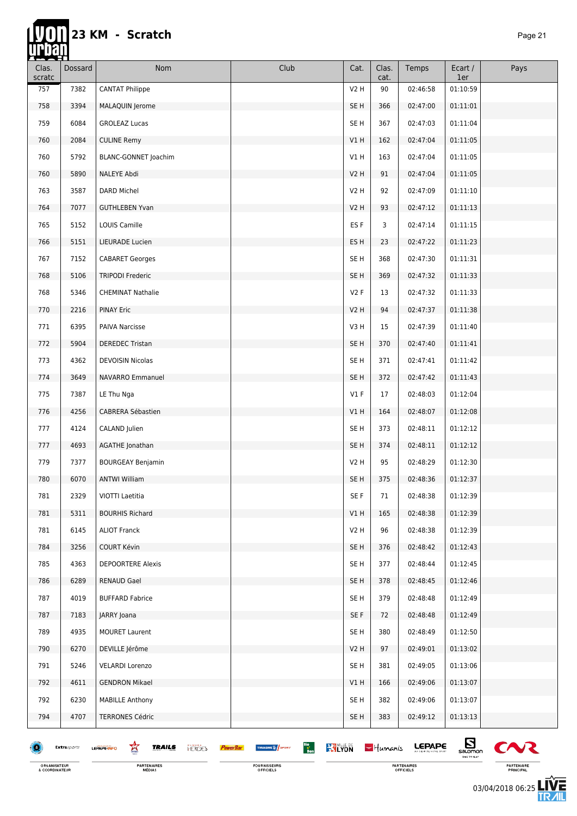**hip** 

| <u> 122. pros</u> |                |                                                    |                                                           |                  |               |               |                                             |        |
|-------------------|----------------|----------------------------------------------------|-----------------------------------------------------------|------------------|---------------|---------------|---------------------------------------------|--------|
| Clas.<br>scratc   | <b>Dossard</b> | Nom                                                | Club                                                      | Cat.             | Clas.<br>cat. | Temps         | Ecart /<br>1er                              | Pays   |
| 757               | 7382           | <b>CANTAT Philippe</b>                             |                                                           | V <sub>2</sub> H | 90            | 02:46:58      | 01:10:59                                    |        |
| 758               | 3394           | MALAQUIN Jerome                                    |                                                           | SE <sub>H</sub>  | 366           | 02:47:00      | 01:11:01                                    |        |
| 759               | 6084           | <b>GROLEAZ Lucas</b>                               |                                                           | SE <sub>H</sub>  | 367           | 02:47:03      | 01:11:04                                    |        |
| 760               | 2084           | <b>CULINE Remy</b>                                 |                                                           | V1H              | 162           | 02:47:04      | 01:11:05                                    |        |
| 760               | 5792           | BLANC-GONNET Joachim                               |                                                           | V1H              | 163           | 02:47:04      | 01:11:05                                    |        |
| 760               | 5890           | NALEYE Abdi                                        |                                                           | <b>V2 H</b>      | 91            | 02:47:04      | 01:11:05                                    |        |
| 763               | 3587           | <b>DARD Michel</b>                                 |                                                           | V2H              | 92            | 02:47:09      | 01:11:10                                    |        |
| 764               | 7077           | <b>GUTHLEBEN Yvan</b>                              |                                                           | V2H              | 93            | 02:47:12      | 01:11:13                                    |        |
| 765               | 5152           | LOUIS Camille                                      |                                                           | ES F             | 3             | 02:47:14      | 01:11:15                                    |        |
| 766               | 5151           | LIEURADE Lucien                                    |                                                           | ES <sub>H</sub>  | 23            | 02:47:22      | 01:11:23                                    |        |
| 767               | 7152           | <b>CABARET Georges</b>                             |                                                           | SE H             | 368           | 02:47:30      | 01:11:31                                    |        |
| 768               | 5106           | <b>TRIPODI Frederic</b>                            |                                                           | SE <sub>H</sub>  | 369           | 02:47:32      | 01:11:33                                    |        |
| 768               | 5346           | <b>CHEMINAT Nathalie</b>                           |                                                           | V2F              | 13            | 02:47:32      | 01:11:33                                    |        |
| 770               | 2216           | <b>PINAY Eric</b>                                  |                                                           | V2H              | 94            | 02:47:37      | 01:11:38                                    |        |
| 771               | 6395           | PAIVA Narcisse                                     |                                                           | V3H              | 15            | 02:47:39      | 01:11:40                                    |        |
| 772               | 5904           | <b>DEREDEC Tristan</b>                             |                                                           | SE <sub>H</sub>  | 370           | 02:47:40      | 01:11:41                                    |        |
| 773               | 4362           | <b>DEVOISIN Nicolas</b>                            |                                                           | SE <sub>H</sub>  | 371           | 02:47:41      | 01:11:42                                    |        |
| 774               | 3649           | NAVARRO Emmanuel                                   |                                                           | SE <sub>H</sub>  | 372           | 02:47:42      | 01:11:43                                    |        |
| 775               | 7387           | LE Thu Nga                                         |                                                           | $VI$ F           | 17            | 02:48:03      | 01:12:04                                    |        |
| 776               | 4256           | CABRERA Sébastien                                  |                                                           | V1H              | 164           | 02:48:07      | 01:12:08                                    |        |
| 777               | 4124           | CALAND Julien                                      |                                                           | SE <sub>H</sub>  | 373           | 02:48:11      | 01:12:12                                    |        |
| 777               | 4693           | AGATHE Jonathan                                    |                                                           | SE <sub>H</sub>  | 374           | 02:48:11      | 01:12:12                                    |        |
| 779               | 7377           | <b>BOURGEAY Benjamin</b>                           |                                                           | <b>V2 H</b>      | 95            | 02:48:29      | 01:12:30                                    |        |
| 780               | 6070           | <b>ANTWI William</b>                               |                                                           | SE <sub>H</sub>  | 375           | 02:48:36      | 01:12:37                                    |        |
| 781               | 2329           | VIOTTI Laetitia                                    |                                                           | SE F             | 71            | 02:48:38      | 01:12:39                                    |        |
| 781               | 5311           | <b>BOURHIS Richard</b>                             |                                                           | V1H              | 165           | 02:48:38      | 01:12:39                                    |        |
| 781               | 6145           | <b>ALIOT Franck</b>                                |                                                           | V2 H             | 96            | 02:48:38      | 01:12:39                                    |        |
| 784               | 3256           | COURT Kévin                                        |                                                           | SE <sub>H</sub>  | 376           | 02:48:42      | 01:12:43                                    |        |
| 785               | 4363           | <b>DEPOORTERE Alexis</b>                           |                                                           | SE H             | 377           | 02:48:44      | 01:12:45                                    |        |
| 786               | 6289           | <b>RENAUD Gael</b>                                 |                                                           | SE <sub>H</sub>  | 378           | 02:48:45      | 01:12:46                                    |        |
| 787               | 4019           | <b>BUFFARD Fabrice</b>                             |                                                           | SE H             | 379           | 02:48:48      | 01:12:49                                    |        |
| 787               | 7183           | JARRY Joana                                        |                                                           | SE F             | 72            | 02:48:48      | 01:12:49                                    |        |
| 789               | 4935           | <b>MOURET Laurent</b>                              |                                                           | SE <sub>H</sub>  | 380           | 02:48:49      | 01:12:50                                    |        |
| 790               | 6270           | DEVILLE Jérôme                                     |                                                           | V2H              | 97            | 02:49:01      | 01:13:02                                    |        |
| 791               | 5246           | <b>VELARDI Lorenzo</b>                             |                                                           | SE <sub>H</sub>  | 381           | 02:49:05      | 01:13:06                                    |        |
| 792               | 4611           | <b>GENDRON Mikael</b>                              |                                                           | VIH              | 166           | 02:49:06      | 01:13:07                                    |        |
| 792               | 6230           | <b>MABILLE Anthony</b>                             |                                                           | SE H             | 382           | 02:49:06      | 01:13:07                                    |        |
| 794               | 4707           | <b>TERRONES Cédric</b>                             |                                                           | SE H             | 383           | 02:49:12      | 01:13:13                                    |        |
|                   |                |                                                    |                                                           |                  |               |               |                                             |        |
|                   | Extrasports    | 鸾<br><b>TRAILS</b><br><b>HERCES</b><br>LEPAPE-INFO | Bio<br>Bon<br><b>RYLYON</b><br><b>THUASHE &amp; SPORT</b> |                  | $-$ Humanis   | <b>LEPAPE</b> | $\mathbf{E}_{\text{symon}}$<br>TIME TO FLAT | $\sim$ |
|                   |                |                                                    |                                                           |                  |               |               |                                             |        |

ORGANISATEUR<br>& COORDINATEUR

**PARTENAIRES**<br>MÉDIAS

FOURNISSEURS<br>OFFICIELS



左<br>孤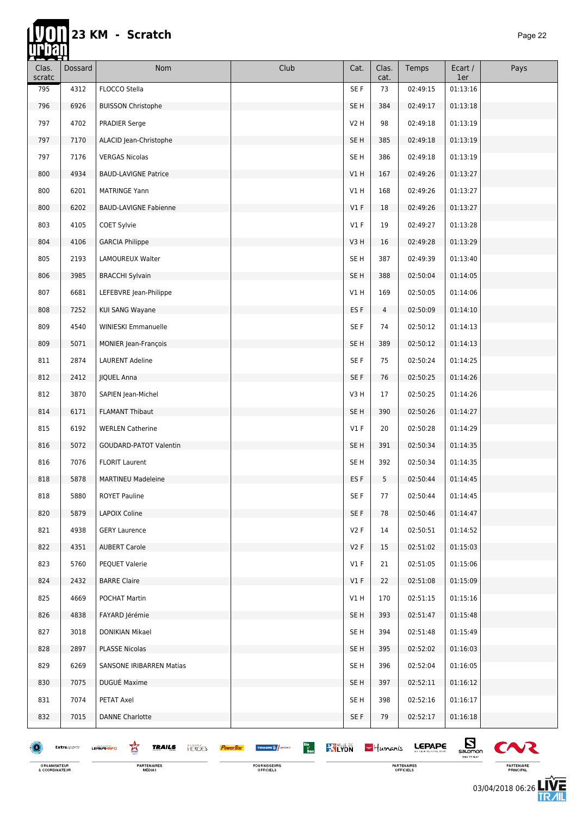### 23 KM - Scratch

П

| Clas.<br>scratc | Dossard     | Nom                                                       | Club                                                                           | Cat.            | Clas.<br>cat. | Temps         | Ecart /<br>1er | Pays                  |
|-----------------|-------------|-----------------------------------------------------------|--------------------------------------------------------------------------------|-----------------|---------------|---------------|----------------|-----------------------|
| 795             | 4312        | FLOCCO Stella                                             |                                                                                | SE F            | 73            | 02:49:15      | 01:13:16       |                       |
| 796             | 6926        | <b>BUISSON Christophe</b>                                 |                                                                                | SE <sub>H</sub> | 384           | 02:49:17      | 01:13:18       |                       |
| 797             | 4702        | PRADIER Serge                                             |                                                                                | <b>V2 H</b>     | 98            | 02:49:18      | 01:13:19       |                       |
| 797             | 7170        | ALACID Jean-Christophe                                    |                                                                                | SE <sub>H</sub> | 385           | 02:49:18      | 01:13:19       |                       |
| 797             | 7176        | <b>VERGAS Nicolas</b>                                     |                                                                                | SE H            | 386           | 02:49:18      | 01:13:19       |                       |
| 800             | 4934        | <b>BAUD-LAVIGNE Patrice</b>                               |                                                                                | V1H             | 167           | 02:49:26      | 01:13:27       |                       |
| 800             | 6201        | <b>MATRINGE Yann</b>                                      |                                                                                | V1H             | 168           | 02:49:26      | 01:13:27       |                       |
| 800             | 6202        | <b>BAUD-LAVIGNE Fabienne</b>                              |                                                                                | V1F             | 18            | 02:49:26      | 01:13:27       |                       |
| 803             | 4105        | COET Sylvie                                               |                                                                                | $VI$ F          | 19            | 02:49:27      | 01:13:28       |                       |
| 804             | 4106        | <b>GARCIA Philippe</b>                                    |                                                                                | V3H             | 16            | 02:49:28      | 01:13:29       |                       |
| 805             | 2193        | LAMOUREUX Walter                                          |                                                                                | SE <sub>H</sub> | 387           | 02:49:39      | 01:13:40       |                       |
| 806             | 3985        | <b>BRACCHI Sylvain</b>                                    |                                                                                | SE <sub>H</sub> | 388           | 02:50:04      | 01:14:05       |                       |
| 807             | 6681        | LEFEBVRE Jean-Philippe                                    |                                                                                | V1H             | 169           | 02:50:05      | 01:14:06       |                       |
| 808             | 7252        | KUI SANG Wayane                                           |                                                                                | ES <sub>F</sub> | 4             | 02:50:09      | 01:14:10       |                       |
| 809             | 4540        | WINIESKI Emmanuelle                                       |                                                                                | SE F            | 74            | 02:50:12      | 01:14:13       |                       |
| 809             | 5071        | MONIER Jean-François                                      |                                                                                | SE <sub>H</sub> | 389           | 02:50:12      | 01:14:13       |                       |
| 811             | 2874        | <b>LAURENT Adeline</b>                                    |                                                                                | SE F            | 75            | 02:50:24      | 01:14:25       |                       |
| 812             | 2412        | <b>JIQUEL Anna</b>                                        |                                                                                | SE F            | 76            | 02:50:25      | 01:14:26       |                       |
| 812             | 3870        | SAPIEN Jean-Michel                                        |                                                                                | V3H             | 17            | 02:50:25      | 01:14:26       |                       |
| 814             | 6171        | <b>FLAMANT Thibaut</b>                                    |                                                                                | SE <sub>H</sub> | 390           | 02:50:26      | 01:14:27       |                       |
| 815             | 6192        | <b>WERLEN Catherine</b>                                   |                                                                                | V1F             | 20            | 02:50:28      | 01:14:29       |                       |
| 816             | 5072        | <b>GOUDARD-PATOT Valentin</b>                             |                                                                                | SE <sub>H</sub> | 391           | 02:50:34      | 01:14:35       |                       |
| 816             | 7076        | <b>FLORIT Laurent</b>                                     |                                                                                | SE H            | 392           | 02:50:34      | 01:14:35       |                       |
| 818             | 5878        | <b>MARTINEU Madeleine</b>                                 |                                                                                | ES <sub>F</sub> | 5             | 02:50:44      | 01:14:45       |                       |
| 818             | 5880        | <b>ROYET Pauline</b>                                      |                                                                                | SE F            | 77            | 02:50:44      | 01:14:45       |                       |
| 820             | 5879        | LAPOIX Coline                                             |                                                                                | SE F            | 78            | 02:50:46      | 01:14:47       |                       |
| 821             | 4938        | <b>GERY Laurence</b>                                      |                                                                                | <b>V2 F</b>     | 14            | 02:50:51      | 01:14:52       |                       |
| 822             | 4351        | <b>AUBERT Carole</b>                                      |                                                                                | V2F             | 15            | 02:51:02      | 01:15:03       |                       |
| 823             | 5760        | PEQUET Valerie                                            |                                                                                | V1F             | 21            | 02:51:05      | 01:15:06       |                       |
| 824             | 2432        | <b>BARRE Claire</b>                                       |                                                                                | V1F             | 22            | 02:51:08      | 01:15:09       |                       |
| 825             | 4669        | POCHAT Martin                                             |                                                                                | V1 H            | 170           | 02:51:15      | 01:15:16       |                       |
| 826             | 4838        | FAYARD Jérémie                                            |                                                                                | SE H            | 393           | 02:51:47      | 01:15:48       |                       |
| 827             | 3018        | DONIKIAN Mikael                                           |                                                                                | SE H            | 394           | 02:51:48      | 01:15:49       |                       |
| 828             | 2897        | <b>PLASSE Nicolas</b>                                     |                                                                                | SE <sub>H</sub> | 395           | 02:52:02      | 01:16:03       |                       |
| 829             | 6269        | SANSONE IRIBARREN Matias                                  |                                                                                | SE <sub>H</sub> | 396           | 02:52:04      | 01:16:05       |                       |
| 830             | 7075        | DUGUÉ Maxime                                              |                                                                                | SE <sub>H</sub> | 397           | 02:52:11      | 01:16:12       |                       |
| 831             | 7074        | PETAT Axel                                                |                                                                                | SE H            | 398           | 02:52:16      | 01:16:17       |                       |
| 832             | 7015        | <b>DANNE Charlotte</b>                                    |                                                                                | SE F            | 79            | 02:52:17      | 01:16:18       |                       |
| Œ               | Extrasports | 鸾<br><b>TRAILS</b><br><b>HERCES</b><br><b>LEPAPE-INFO</b> | Bio<br>Bon<br><b>KY LYON</b><br>THUASHE <sup>12</sup> SPORT<br><b>PowerBar</b> |                 | $-$ Humanis   | <b>LEPAPE</b> | $\mathbf{E}$   | $\boldsymbol{\infty}$ |

ORGANISATEUR<br>& COORDINATEUR

FOURNISSEURS<br>OFFICIELS

PARTENAIRES<br>OFFICIELS

 $sum_{\text{N}}$ VK ◟ PARTENAIRE<br>PRINCIPAL

03/04/2018 06:26

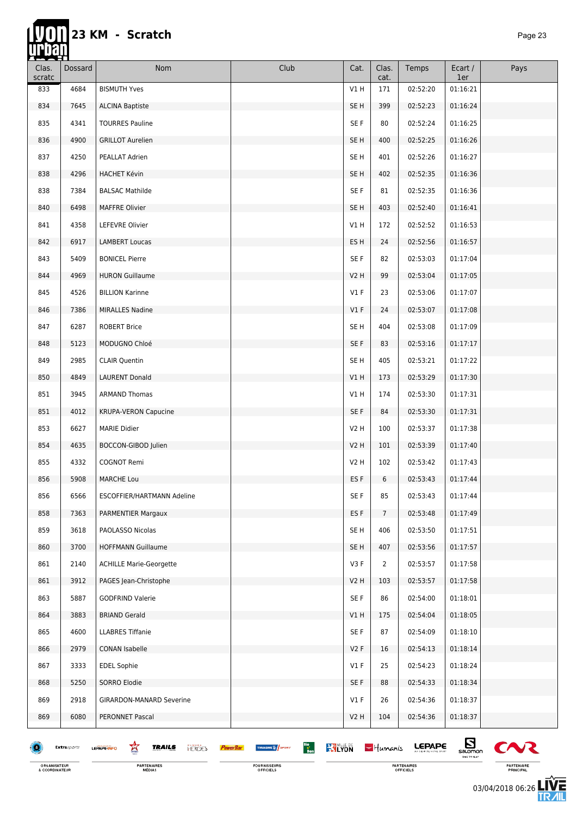ĬΠ

| Clas.<br>scratc | Dossard     | Nom                                                | Club                                                                         | Cat.            | Clas.<br>cat.  | Temps         | Ecart /<br>1er   | Pays                  |
|-----------------|-------------|----------------------------------------------------|------------------------------------------------------------------------------|-----------------|----------------|---------------|------------------|-----------------------|
| 833             | 4684        | <b>BISMUTH Yves</b>                                |                                                                              | V1H             | 171            | 02:52:20      | 01:16:21         |                       |
| 834             | 7645        | <b>ALCINA Baptiste</b>                             |                                                                              | SE H            | 399            | 02:52:23      | 01:16:24         |                       |
| 835             | 4341        | <b>TOURRES Pauline</b>                             |                                                                              | SE F            | 80             | 02:52:24      | 01:16:25         |                       |
| 836             | 4900        | <b>GRILLOT Aurelien</b>                            |                                                                              | SE <sub>H</sub> | 400            | 02:52:25      | 01:16:26         |                       |
| 837             | 4250        | PEALLAT Adrien                                     |                                                                              | SE H            | 401            | 02:52:26      | 01:16:27         |                       |
| 838             | 4296        | <b>HACHET Kévin</b>                                |                                                                              | SE <sub>H</sub> | 402            | 02:52:35      | 01:16:36         |                       |
| 838             | 7384        | <b>BALSAC Mathilde</b>                             |                                                                              | SE F            | 81             | 02:52:35      | 01:16:36         |                       |
| 840             | 6498        | <b>MAFFRE Olivier</b>                              |                                                                              | SE H            | 403            | 02:52:40      | 01:16:41         |                       |
| 841             | 4358        | LEFEVRE Olivier                                    |                                                                              | V1H             | 172            | 02:52:52      | 01:16:53         |                       |
| 842             | 6917        | <b>LAMBERT Loucas</b>                              |                                                                              | ES H            | 24             | 02:52:56      | 01:16:57         |                       |
| 843             | 5409        | <b>BONICEL Pierre</b>                              |                                                                              | SE F            | 82             | 02:53:03      | 01:17:04         |                       |
| 844             | 4969        | <b>HURON Guillaume</b>                             |                                                                              | V2 H            | 99             | 02:53:04      | 01:17:05         |                       |
| 845             | 4526        | <b>BILLION Karinne</b>                             |                                                                              | V1F             | 23             | 02:53:06      | 01:17:07         |                       |
| 846             | 7386        | <b>MIRALLES Nadine</b>                             |                                                                              | V1F             | 24             | 02:53:07      | 01:17:08         |                       |
| 847             | 6287        | <b>ROBERT Brice</b>                                |                                                                              | SE H            | 404            | 02:53:08      | 01:17:09         |                       |
| 848             | 5123        | MODUGNO Chloé                                      |                                                                              | SE F            | 83             | 02:53:16      | 01:17:17         |                       |
| 849             | 2985        | <b>CLAIR Quentin</b>                               |                                                                              | SE H            | 405            | 02:53:21      | 01:17:22         |                       |
| 850             | 4849        | <b>LAURENT Donald</b>                              |                                                                              | V1H             | 173            | 02:53:29      | 01:17:30         |                       |
| 851             | 3945        | <b>ARMAND Thomas</b>                               |                                                                              | V1 H            | 174            | 02:53:30      | 01:17:31         |                       |
| 851             | 4012        | <b>KRUPA-VERON Capucine</b>                        |                                                                              | SE F            | 84             | 02:53:30      | 01:17:31         |                       |
| 853             | 6627        | <b>MARIE Didier</b>                                |                                                                              | V2 H            | 100            | 02:53:37      | 01:17:38         |                       |
| 854             | 4635        | BOCCON-GIBOD Julien                                |                                                                              | V2 H            | 101            | 02:53:39      | 01:17:40         |                       |
| 855             | 4332        | <b>COGNOT Remi</b>                                 |                                                                              | V2 H            | 102            | 02:53:42      | 01:17:43         |                       |
| 856             | 5908        | <b>MARCHE Lou</b>                                  |                                                                              | ES <sub>F</sub> | 6              | 02:53:43      | 01:17:44         |                       |
| 856             | 6566        | ESCOFFIER/HARTMANN Adeline                         |                                                                              | SE F            | 85             | 02:53:43      | 01:17:44         |                       |
| 858             | 7363        | PARMENTIER Margaux                                 |                                                                              | ES <sub>F</sub> | $7^{\circ}$    | 02:53:48      | 01:17:49         |                       |
| 859             | 3618        | PAOLASSO Nicolas                                   |                                                                              | SE H            | 406            | 02:53:50      | 01:17:51         |                       |
| 860             | 3700        | <b>HOFFMANN Guillaume</b>                          |                                                                              | SE <sub>H</sub> | 407            | 02:53:56      | 01:17:57         |                       |
| 861             | 2140        | <b>ACHILLE Marie-Georgette</b>                     |                                                                              | V3F             | $\overline{2}$ | 02:53:57      | 01:17:58         |                       |
| 861             | 3912        | PAGES Jean-Christophe                              |                                                                              | V2H             | 103            | 02:53:57      | 01:17:58         |                       |
| 863             | 5887        | <b>GODFRIND Valerie</b>                            |                                                                              | SE F            | 86             | 02:54:00      | 01:18:01         |                       |
| 864             | 3883        | <b>BRIAND Gerald</b>                               |                                                                              | V1 H            | 175            | 02:54:04      | 01:18:05         |                       |
| 865             | 4600        | <b>LLABRES Tiffanie</b>                            |                                                                              | SE F            | 87             | 02:54:09      | 01:18:10         |                       |
| 866             | 2979        | CONAN Isabelle                                     |                                                                              | V2F             | 16             | 02:54:13      | 01:18:14         |                       |
| 867             | 3333        | <b>EDEL Sophie</b>                                 |                                                                              | $VI$ F          | 25             | 02:54:23      | 01:18:24         |                       |
| 868             | 5250        | SORRO Elodie                                       |                                                                              | SE F            | 88             | 02:54:33      | 01:18:34         |                       |
| 869             | 2918        | <b>GIRARDON-MANARD Severine</b>                    |                                                                              | $VI$ F          | 26             | 02:54:36      | 01:18:37         |                       |
| 869             | 6080        | PERONNET Pascal                                    |                                                                              | V2H             | 104            | 02:54:36      | 01:18:37         |                       |
|                 | Extrasports | 窎<br><b>TRAILS</b><br><b>HERGES</b><br>LEPAPE-INFO | Bio<br>Bon<br><b>RALYON</b><br><b>THUASHE &amp; SPORT</b><br><b>PowerBar</b> |                 | $-$ Humanis    | <b>LEPAPE</b> | $E_{\text{non}}$ | $\boldsymbol{\infty}$ |

ORGANISATEUR<br>& COORDINATEUR

**PARTENAIRES**<br>MÉDIAS

FOURNISSEURS<br>OFFICIELS

PARTENAIRES<br>OFFICIELS

 $\sum_{\substack{\text{saomon}\atop \text{meas}\atop \text{meas}\atop \text{meas}\atop \text{meas}\atop \text{meas}\atop \text{meas}\atop \text{meas}\atop \text{meas}\atop \text{meas}\atop \text{meas}\atop \text{meas}\atop \text{meas}\atop \text{meas}\atop \text{meas}\atop \text{meas}\atop \text{meas}\atop \text{meas}\atop \text{meas}\atop \text{meas}\atop \text{meas}\atop \text{meas}\atop \text{meas}\atop \text{meas}\atop \text{meas}\atop \text{meas}\atop \text{meas}\$  $\boldsymbol{\infty}$ 

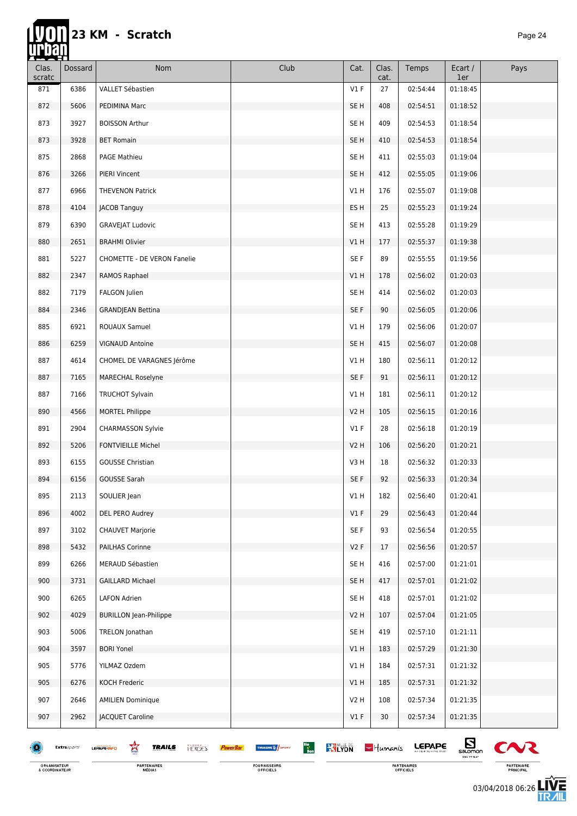| Clas.<br>scratc | Dossard     | Nom                                                                   | Club                                            | Cat.            | Clas.<br>cat. | Temps         | Ecart /<br>1er               | Pays         |
|-----------------|-------------|-----------------------------------------------------------------------|-------------------------------------------------|-----------------|---------------|---------------|------------------------------|--------------|
| 871             | 6386        | VALLET Sébastien                                                      |                                                 | V1F             | 27            | 02:54:44      | 01:18:45                     |              |
| 872             | 5606        | PEDIMINA Marc                                                         |                                                 | SE H            | 408           | 02:54:51      | 01:18:52                     |              |
| 873             | 3927        | <b>BOISSON Arthur</b>                                                 |                                                 | SE <sub>H</sub> | 409           | 02:54:53      | 01:18:54                     |              |
| 873             | 3928        | <b>BET Romain</b>                                                     |                                                 | SE <sub>H</sub> | 410           | 02:54:53      | 01:18:54                     |              |
| 875             | 2868        | PAGE Mathieu                                                          |                                                 | SE <sub>H</sub> | 411           | 02:55:03      | 01:19:04                     |              |
| 876             | 3266        | PIERI Vincent                                                         |                                                 | SE <sub>H</sub> | 412           | 02:55:05      | 01:19:06                     |              |
| 877             | 6966        | <b>THEVENON Patrick</b>                                               |                                                 | V1 H            | 176           | 02:55:07      | 01:19:08                     |              |
| 878             | 4104        | JACOB Tanguy                                                          |                                                 | ES H            | 25            | 02:55:23      | 01:19:24                     |              |
| 879             | 6390        | <b>GRAVEJAT Ludovic</b>                                               |                                                 | SE H            | 413           | 02:55:28      | 01:19:29                     |              |
| 880             | 2651        | <b>BRAHMI Olivier</b>                                                 |                                                 | VIH             | 177           | 02:55:37      | 01:19:38                     |              |
| 881             | 5227        | <b>CHOMETTE - DE VERON Fanelie</b>                                    |                                                 | SE F            | 89            | 02:55:55      | 01:19:56                     |              |
| 882             | 2347        | RAMOS Raphael                                                         |                                                 | VIH             | 178           | 02:56:02      | 01:20:03                     |              |
| 882             | 7179        | FALGON Julien                                                         |                                                 | SE H            | 414           | 02:56:02      | 01:20:03                     |              |
| 884             | 2346        | <b>GRANDJEAN Bettina</b>                                              |                                                 | SE F            | 90            | 02:56:05      | 01:20:06                     |              |
| 885             | 6921        | <b>ROUAUX Samuel</b>                                                  |                                                 | VIH             | 179           | 02:56:06      | 01:20:07                     |              |
| 886             | 6259        | <b>VIGNAUD Antoine</b>                                                |                                                 | SE <sub>H</sub> | 415           | 02:56:07      | 01:20:08                     |              |
| 887             | 4614        | CHOMEL DE VARAGNES Jérôme                                             |                                                 | VIH             | 180           | 02:56:11      | 01:20:12                     |              |
| 887             | 7165        | MARECHAL Roselyne                                                     |                                                 | SE F            | 91            | 02:56:11      | 01:20:12                     |              |
| 887             | 7166        | <b>TRUCHOT Sylvain</b>                                                |                                                 | VIH             | 181           | 02:56:11      | 01:20:12                     |              |
| 890             | 4566        | <b>MORTEL Philippe</b>                                                |                                                 | V2H             | 105           | 02:56:15      | 01:20:16                     |              |
| 891             | 2904        | <b>CHARMASSON Sylvie</b>                                              |                                                 | $VI$ F          | 28            | 02:56:18      | 01:20:19                     |              |
| 892             | 5206        | <b>FONTVIEILLE Michel</b>                                             |                                                 | V2 H            | 106           | 02:56:20      | 01:20:21                     |              |
| 893             | 6155        | <b>GOUSSE Christian</b>                                               |                                                 | V3 H            | 18            | 02:56:32      | 01:20:33                     |              |
| 894             | 6156        | <b>GOUSSE Sarah</b>                                                   |                                                 | SE F            | 92            | 02:56:33      | 01:20:34                     |              |
| 895             | 2113        | SOULIER Jean                                                          |                                                 | V1 H            | 182           | 02:56:40      | 01:20:41                     |              |
| 896             | 4002        | DEL PERO Audrey                                                       |                                                 | V1F             | 29            | 02:56:43      | 01:20:44                     |              |
| 897             | 3102        | <b>CHAUVET Marjorie</b>                                               |                                                 | SE F            | 93            | 02:56:54      | 01:20:55                     |              |
| 898             | 5432        | PAILHAS Corinne                                                       |                                                 | V2F             | 17            | 02:56:56      | 01:20:57                     |              |
| 899             | 6266        | MERAUD Sébastien                                                      |                                                 | SE <sub>H</sub> | 416           | 02:57:00      | 01:21:01                     |              |
| 900             | 3731        | <b>GAILLARD Michael</b>                                               |                                                 | SE <sub>H</sub> | 417           | 02:57:01      | 01:21:02                     |              |
| 900             | 6265        | LAFON Adrien                                                          |                                                 | SE <sub>H</sub> | 418           | 02:57:01      | 01:21:02                     |              |
| 902             | 4029        | <b>BURILLON Jean-Philippe</b>                                         |                                                 | V2 H            | 107           | 02:57:04      | 01:21:05                     |              |
| 903             | 5006        | TRELON Jonathan                                                       |                                                 | SE <sub>H</sub> | 419           | 02:57:10      | 01:21:11                     |              |
| 904             | 3597        | <b>BORI Yonel</b>                                                     |                                                 | V1 H            | 183           | 02:57:29      | 01:21:30                     |              |
| 905             | 5776        | YILMAZ Ozdem                                                          |                                                 | VIH             | 184           | 02:57:31      | 01:21:32                     |              |
| 905             | 6276        | <b>KOCH Frederic</b>                                                  |                                                 | V1H             | 185           | 02:57:31      | 01:21:32                     |              |
| 907             | 2646        | <b>AMILIEN Dominique</b>                                              |                                                 | <b>V2 H</b>     | 108           | 02:57:34      | 01:21:35                     |              |
| 907             | 2962        | JACQUET Caroline                                                      |                                                 | $VI$ F          | 30            | 02:57:34      | 01:21:35                     |              |
|                 | Extrasports | 鸾<br><b>TRAILS</b><br><b>HERCES</b><br><b>PowerBan</b><br>LEPAPE INFO | Bio<br>Bon<br><b>KY LYON</b><br>THUASHE & SPORT |                 | $-$ Humanis   | <b>LEPAPE</b> | $\mathbf{E}$<br>TIME TO FLAT | $\mathbf{C}$ |

ORGANISATEUR<br>& COORDINATEUR

**PARTENAIRES**<br>MÉDIAS

PARTENAIRES<br>OFFICIELS

 $\boldsymbol{\infty}$ PARTENAIRE<br>PRINCIPAL

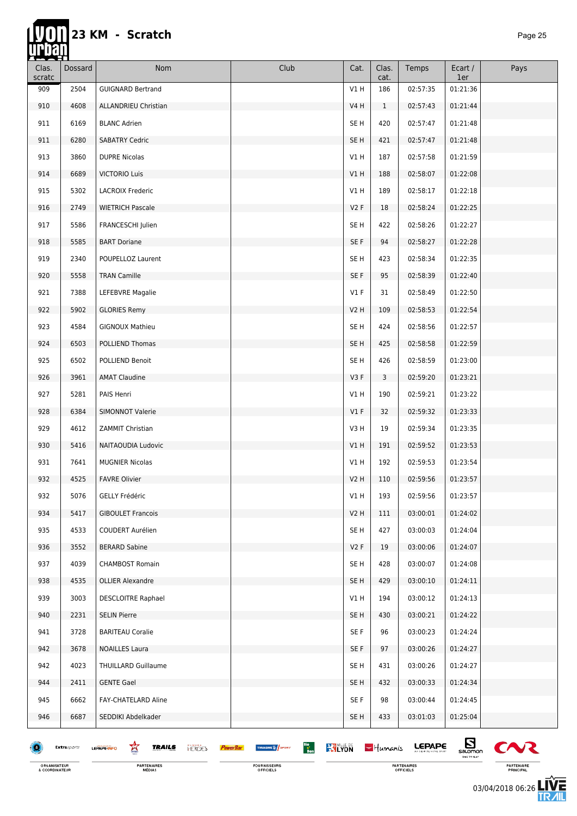Ħ

| Clas.<br>scratc | Dossard     | Nom                                                | Club                                                                           | Cat.             | Clas.<br>cat. | Temps         | Ecart /<br>1er               | Pays         |
|-----------------|-------------|----------------------------------------------------|--------------------------------------------------------------------------------|------------------|---------------|---------------|------------------------------|--------------|
| 909             | 2504        | <b>GUIGNARD Bertrand</b>                           |                                                                                | V1H              | 186           | 02:57:35      | 01:21:36                     |              |
| 910             | 4608        | ALLANDRIEU Christian                               |                                                                                | V4 H             | $\mathbf{1}$  | 02:57:43      | 01:21:44                     |              |
| 911             | 6169        | <b>BLANC Adrien</b>                                |                                                                                | SE <sub>H</sub>  | 420           | 02:57:47      | 01:21:48                     |              |
| 911             | 6280        | <b>SABATRY Cedric</b>                              |                                                                                | SE <sub>H</sub>  | 421           | 02:57:47      | 01:21:48                     |              |
| 913             | 3860        | <b>DUPRE Nicolas</b>                               |                                                                                | V1H              | 187           | 02:57:58      | 01:21:59                     |              |
| 914             | 6689        | <b>VICTORIO Luis</b>                               |                                                                                | V1H              | 188           | 02:58:07      | 01:22:08                     |              |
| 915             | 5302        | <b>LACROIX Frederic</b>                            |                                                                                | V1H              | 189           | 02:58:17      | 01:22:18                     |              |
| 916             | 2749        | <b>WIETRICH Pascale</b>                            |                                                                                | V2F              | 18            | 02:58:24      | 01:22:25                     |              |
| 917             | 5586        | FRANCESCHI Julien                                  |                                                                                | SE H             | 422           | 02:58:26      | 01:22:27                     |              |
| 918             | 5585        | <b>BART Doriane</b>                                |                                                                                | SE F             | 94            | 02:58:27      | 01:22:28                     |              |
| 919             | 2340        | POUPELLOZ Laurent                                  |                                                                                | SE H             | 423           | 02:58:34      | 01:22:35                     |              |
| 920             | 5558        | <b>TRAN Camille</b>                                |                                                                                | SE F             | 95            | 02:58:39      | 01:22:40                     |              |
| 921             | 7388        | LEFEBVRE Magalie                                   |                                                                                | $VI$ F           | 31            | 02:58:49      | 01:22:50                     |              |
| 922             | 5902        | <b>GLORIES Remy</b>                                |                                                                                | <b>V2 H</b>      | 109           | 02:58:53      | 01:22:54                     |              |
| 923             | 4584        | <b>GIGNOUX Mathieu</b>                             |                                                                                | SE <sub>H</sub>  | 424           | 02:58:56      | 01:22:57                     |              |
| 924             | 6503        | POLLIEND Thomas                                    |                                                                                | SE <sub>H</sub>  | 425           | 02:58:58      | 01:22:59                     |              |
| 925             | 6502        | POLLIEND Benoit                                    |                                                                                | SE <sub>H</sub>  | 426           | 02:58:59      | 01:23:00                     |              |
| 926             | 3961        | <b>AMAT Claudine</b>                               |                                                                                | V3F              | 3             | 02:59:20      | 01:23:21                     |              |
| 927             | 5281        | PAIS Henri                                         |                                                                                | V1H              | 190           | 02:59:21      | 01:23:22                     |              |
| 928             | 6384        | <b>SIMONNOT Valerie</b>                            |                                                                                | V1F              | 32            | 02:59:32      | 01:23:33                     |              |
| 929             | 4612        | ZAMMIT Christian                                   |                                                                                | V3H              | 19            | 02:59:34      | 01:23:35                     |              |
| 930             | 5416        | NAITAOUDIA Ludovic                                 |                                                                                | V1H              | 191           | 02:59:52      | 01:23:53                     |              |
| 931             | 7641        | <b>MUGNIER Nicolas</b>                             |                                                                                | V1H              | 192           | 02:59:53      | 01:23:54                     |              |
| 932             | 4525        | <b>FAVRE Olivier</b>                               |                                                                                | V <sub>2</sub> H | 110           | 02:59:56      | 01:23:57                     |              |
| 932             | 5076        | GELLY Frédéric                                     |                                                                                | V1 H             | 193           | 02:59:56      | 01:23:57                     |              |
| 934             | 5417        | <b>GIBOULET Francois</b>                           |                                                                                | V2H              | 111           | 03:00:01      | 01:24:02                     |              |
| 935             | 4533        | COUDERT Aurélien                                   |                                                                                | SE H             | 427           | 03:00:03      | 01:24:04                     |              |
| 936             | 3552        | <b>BERARD Sabine</b>                               |                                                                                | V2F              | 19            | 03:00:06      | 01:24:07                     |              |
| 937             | 4039        | <b>CHAMBOST Romain</b>                             |                                                                                | SE H             | 428           | 03:00:07      | 01:24:08                     |              |
| 938             | 4535        | <b>OLLIER Alexandre</b>                            |                                                                                | SE <sub>H</sub>  | 429           | 03:00:10      | 01:24:11                     |              |
| 939             | 3003        | <b>DESCLOITRE Raphael</b>                          |                                                                                | V1H              | 194           | 03:00:12      | 01:24:13                     |              |
| 940             | 2231        | <b>SELIN Pierre</b>                                |                                                                                | SE <sub>H</sub>  | 430           | 03:00:21      | 01:24:22                     |              |
| 941             | 3728        | <b>BARITEAU Coralie</b>                            |                                                                                | SE F             | 96            | 03:00:23      | 01:24:24                     |              |
| 942             | 3678        | <b>NOAILLES Laura</b>                              |                                                                                | SE F             | 97            | 03:00:26      | 01:24:27                     |              |
| 942             | 4023        | <b>THUILLARD Guillaume</b>                         |                                                                                | SE <sub>H</sub>  | 431           | 03:00:26      | 01:24:27                     |              |
| 944             | 2411        | <b>GENTE Gael</b>                                  |                                                                                | SE H             | 432           | 03:00:33      | 01:24:34                     |              |
| 945             | 6662        | FAY-CHATELARD Aline                                |                                                                                | SE F             | 98            | 03:00:44      | 01:24:45                     |              |
| 946             | 6687        | SEDDIKI Abdelkader                                 |                                                                                | SE <sub>H</sub>  | 433           | 03:01:03      | 01:25:04                     |              |
|                 | Extrasports | 窎<br><b>TRAILS</b><br><b>HERCES</b><br>LEPAPE-INFO | Bio<br>Bon<br><b>KY LYON</b><br>THUASHE <sup>16</sup> SPORT<br><b>PowerBar</b> |                  | $-$ Humanis   | <b>LEPAPE</b> | $\mathbf{E}$<br>TIME TO FLAT | $\mathbf{C}$ |

FOURNISSEURS<br>OFFICIELS

ORGANISATEUR<br>& COORDINATEUR

**PARTENAIRES**<br>MÉDIAS

**PARTENAIRES**<br>OFFICIELS

PARTENAIRE<br>PRINCIPAL

左<br>孤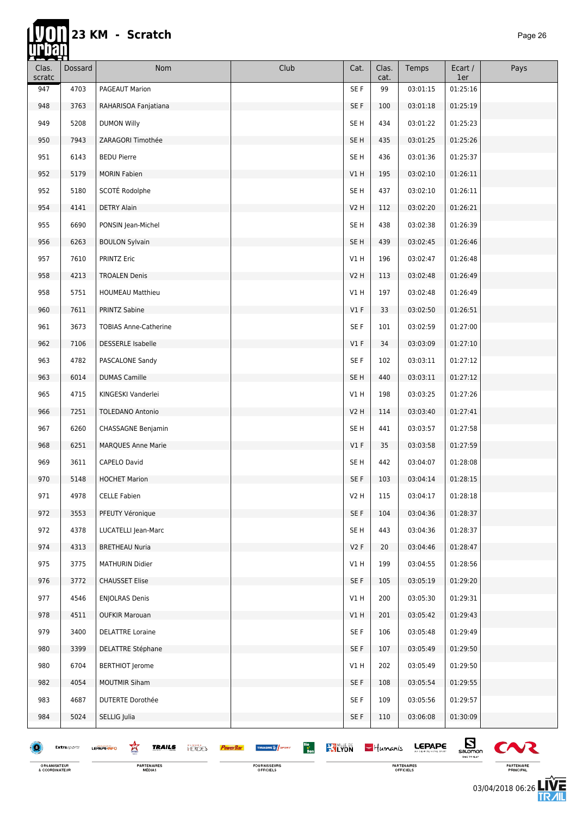| Clas.<br>scratc | Dossard     | Nom                                                | Club                                                                          | Cat.             | Clas.<br>cat. | Temps    | Ecart /<br>1er                            | Pays           |
|-----------------|-------------|----------------------------------------------------|-------------------------------------------------------------------------------|------------------|---------------|----------|-------------------------------------------|----------------|
| 947             | 4703        | PAGEAUT Marion                                     |                                                                               | SE F             | 99            | 03:01:15 | 01:25:16                                  |                |
| 948             | 3763        | RAHARISOA Fanjatiana                               |                                                                               | SE F             | 100           | 03:01:18 | 01:25:19                                  |                |
| 949             | 5208        | <b>DUMON Willy</b>                                 |                                                                               | SE H             | 434           | 03:01:22 | 01:25:23                                  |                |
| 950             | 7943        | ZARAGORI Timothée                                  |                                                                               | SE H             | 435           | 03:01:25 | 01:25:26                                  |                |
| 951             | 6143        | <b>BEDU Pierre</b>                                 |                                                                               | SE H             | 436           | 03:01:36 | 01:25:37                                  |                |
| 952             | 5179        | <b>MORIN Fabien</b>                                |                                                                               | V1 H             | 195           | 03:02:10 | 01:26:11                                  |                |
| 952             | 5180        | SCOTÉ Rodolphe                                     |                                                                               | SE H             | 437           | 03:02:10 | 01:26:11                                  |                |
| 954             | 4141        | <b>DETRY Alain</b>                                 |                                                                               | V <sub>2</sub> H | 112           | 03:02:20 | 01:26:21                                  |                |
| 955             | 6690        | PONSIN Jean-Michel                                 |                                                                               | SE <sub>H</sub>  | 438           | 03:02:38 | 01:26:39                                  |                |
| 956             | 6263        | <b>BOULON Sylvain</b>                              |                                                                               | SE H             | 439           | 03:02:45 | 01:26:46                                  |                |
| 957             | 7610        | <b>PRINTZ Eric</b>                                 |                                                                               | V1H              | 196           | 03:02:47 | 01:26:48                                  |                |
| 958             | 4213        | <b>TROALEN Denis</b>                               |                                                                               | <b>V2 H</b>      | 113           | 03:02:48 | 01:26:49                                  |                |
| 958             | 5751        | <b>HOUMEAU Matthieu</b>                            |                                                                               | V1H              | 197           | 03:02:48 | 01:26:49                                  |                |
| 960             | 7611        | PRINTZ Sabine                                      |                                                                               | $VI$ F           | 33            | 03:02:50 | 01:26:51                                  |                |
| 961             | 3673        | <b>TOBIAS Anne-Catherine</b>                       |                                                                               | SE F             | 101           | 03:02:59 | 01:27:00                                  |                |
| 962             | 7106        | <b>DESSERLE Isabelle</b>                           |                                                                               | V1F              | 34            | 03:03:09 | 01:27:10                                  |                |
| 963             | 4782        | PASCALONE Sandy                                    |                                                                               | SE F             | 102           | 03:03:11 | 01:27:12                                  |                |
| 963             | 6014        | <b>DUMAS Camille</b>                               |                                                                               | SE H             | 440           | 03:03:11 | 01:27:12                                  |                |
| 965             | 4715        | KINGESKI Vanderlei                                 |                                                                               | V1 H             | 198           | 03:03:25 | 01:27:26                                  |                |
| 966             | 7251        | <b>TOLEDANO Antonio</b>                            |                                                                               | V2H              | 114           | 03:03:40 | 01:27:41                                  |                |
| 967             | 6260        | CHASSAGNE Benjamin                                 |                                                                               | SE H             | 441           | 03:03:57 | 01:27:58                                  |                |
| 968             | 6251        | <b>MARQUES Anne Marie</b>                          |                                                                               | $VI$ F           | 35            | 03:03:58 | 01:27:59                                  |                |
| 969             | 3611        | CAPELO David                                       |                                                                               | SE H             | 442           | 03:04:07 | 01:28:08                                  |                |
| 970             | 5148        | <b>HOCHET Marion</b>                               |                                                                               | SE F             | 103           | 03:04:14 | 01:28:15                                  |                |
| 971             | 4978        | <b>CELLE Fabien</b>                                |                                                                               | V2 H             | 115           | 03:04:17 | 01:28:18                                  |                |
| 972             | 3553        | PFEUTY Véronique                                   |                                                                               | SE F             | 104           | 03:04:36 | 01:28:37                                  |                |
| 972             | 4378        | LUCATELLI Jean-Marc                                |                                                                               | SE <sub>H</sub>  | 443           | 03:04:36 | 01:28:37                                  |                |
| 974             | 4313        | <b>BRETHEAU Nuria</b>                              |                                                                               | V2F              | 20            | 03:04:46 | 01:28:47                                  |                |
| 975             | 3775        | MATHURIN Didier                                    |                                                                               | V1H              | 199           | 03:04:55 | 01:28:56                                  |                |
| 976             | 3772        | <b>CHAUSSET Elise</b>                              |                                                                               | SE F             | 105           | 03:05:19 | 01:29:20                                  |                |
| 977             | 4546        | <b>ENJOLRAS Denis</b>                              |                                                                               | V1H              | 200           | 03:05:30 | 01:29:31                                  |                |
| 978             | 4511        | <b>OUFKIR Marouan</b>                              |                                                                               | VIH              | 201           | 03:05:42 | 01:29:43                                  |                |
| 979             | 3400        | <b>DELATTRE Loraine</b>                            |                                                                               | SE F             | 106           | 03:05:48 | 01:29:49                                  |                |
| 980             | 3399        | DELATTRE Stéphane                                  |                                                                               | SE F             | 107           | 03:05:49 | 01:29:50                                  |                |
| 980             | 6704        | <b>BERTHIOT Jerome</b>                             |                                                                               | V1H              | 202           | 03:05:49 | 01:29:50                                  |                |
| 982             | 4054        | <b>MOUTMIR Siham</b>                               |                                                                               | SE F             | 108           | 03:05:54 | 01:29:55                                  |                |
| 983             | 4687        | <b>DUTERTE Dorothée</b>                            |                                                                               | SE F             | 109           | 03:05:56 | 01:29:57                                  |                |
| 984             | 5024        | SELLIG Julia                                       |                                                                               | SE F             | 110           | 03:06:08 | 01:30:09                                  |                |
|                 | Extrasports | 鸾<br><b>TRAILS</b><br><b>HERGES</b><br>LEPAPE-INFO | Bio<br>Bon<br><b>RALYON</b><br><b>TIFUASHE &amp; SPORT</b><br><b>PowerBar</b> |                  | $-$ Humanis   | LEPAPE   | $S_{\text{sumon}}$<br><b>TIME TO FLAT</b> | C <sub>N</sub> |

FOURNISSEURS<br>OFFICIELS

ORGANISATEUR<br>& COORDINATEUR

**PARTENAIRES**<br>MÉDIAS

03/04/2018 06:26

PARTENAIRES<br>OFFICIELS

PARTENAIRE<br>PRINCIPAL

左<br>加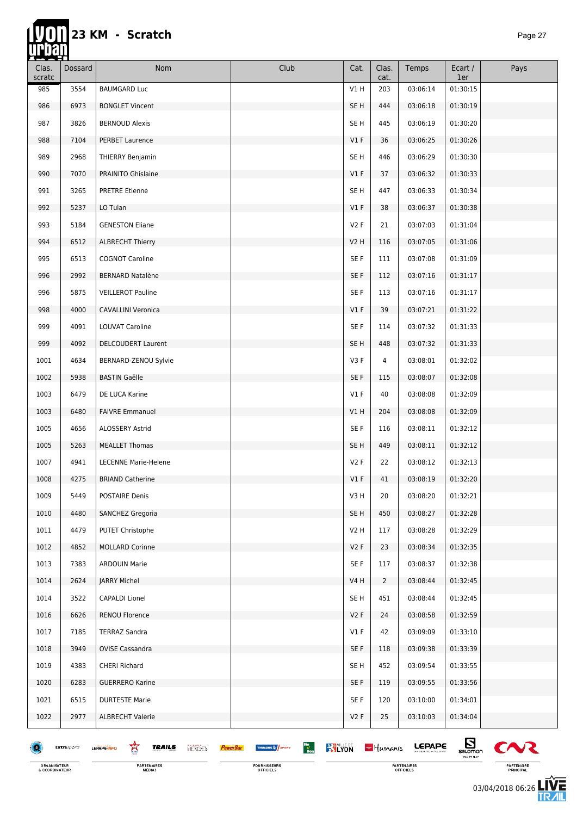П

| Clas.<br>scratc | Dossard     | Nom                                                | Club                                                                           | Cat.            | Clas.<br>cat.  | Temps         | Ecart /<br>1er                   | Pays           |
|-----------------|-------------|----------------------------------------------------|--------------------------------------------------------------------------------|-----------------|----------------|---------------|----------------------------------|----------------|
| 985             | 3554        | <b>BAUMGARD Luc</b>                                |                                                                                | V1 H            | 203            | 03:06:14      | 01:30:15                         |                |
| 986             | 6973        | <b>BONGLET Vincent</b>                             |                                                                                | SE <sub>H</sub> | 444            | 03:06:18      | 01:30:19                         |                |
| 987             | 3826        | <b>BERNOUD Alexis</b>                              |                                                                                | SE H            | 445            | 03:06:19      | 01:30:20                         |                |
| 988             | 7104        | <b>PERBET Laurence</b>                             |                                                                                | $VI$ F          | 36             | 03:06:25      | 01:30:26                         |                |
| 989             | 2968        | THIERRY Benjamin                                   |                                                                                | SE <sub>H</sub> | 446            | 03:06:29      | 01:30:30                         |                |
| 990             | 7070        | PRAINITO Ghislaine                                 |                                                                                | $VI$ F          | 37             | 03:06:32      | 01:30:33                         |                |
| 991             | 3265        | <b>PRETRE Etienne</b>                              |                                                                                | SE H            | 447            | 03:06:33      | 01:30:34                         |                |
| 992             | 5237        | LO Tulan                                           |                                                                                | V1F             | 38             | 03:06:37      | 01:30:38                         |                |
| 993             | 5184        | <b>GENESTON Eliane</b>                             |                                                                                | V2F             | 21             | 03:07:03      | 01:31:04                         |                |
| 994             | 6512        | <b>ALBRECHT Thierry</b>                            |                                                                                | V2 H            | 116            | 03:07:05      | 01:31:06                         |                |
| 995             | 6513        | <b>COGNOT Caroline</b>                             |                                                                                | SE F            | 111            | 03:07:08      | 01:31:09                         |                |
| 996             | 2992        | <b>BERNARD Natalène</b>                            |                                                                                | SE F            | 112            | 03:07:16      | 01:31:17                         |                |
| 996             | 5875        | <b>VEILLEROT Pauline</b>                           |                                                                                | SE F            | 113            | 03:07:16      | 01:31:17                         |                |
| 998             | 4000        | CAVALLINI Veronica                                 |                                                                                | $VI$ F          | 39             | 03:07:21      | 01:31:22                         |                |
| 999             | 4091        | <b>LOUVAT Caroline</b>                             |                                                                                | SE F            | 114            | 03:07:32      | 01:31:33                         |                |
| 999             | 4092        | <b>DELCOUDERT Laurent</b>                          |                                                                                | SE H            | 448            | 03:07:32      | 01:31:33                         |                |
| 1001            | 4634        | BERNARD-ZENOU Sylvie                               |                                                                                | V3F             | 4              | 03:08:01      | 01:32:02                         |                |
| 1002            | 5938        | <b>BASTIN Gaëlle</b>                               |                                                                                | SE F            | 115            | 03:08:07      | 01:32:08                         |                |
| 1003            | 6479        | DE LUCA Karine                                     |                                                                                | $VI$ F          | 40             | 03:08:08      | 01:32:09                         |                |
| 1003            | 6480        | <b>FAIVRE Emmanuel</b>                             |                                                                                | V1 H            | 204            | 03:08:08      | 01:32:09                         |                |
| 1005            | 4656        | ALOSSERY Astrid                                    |                                                                                | SE F            | 116            | 03:08:11      | 01:32:12                         |                |
| 1005            | 5263        | <b>MEALLET Thomas</b>                              |                                                                                | SE <sub>H</sub> | 449            | 03:08:11      | 01:32:12                         |                |
| 1007            | 4941        | <b>LECENNE Marie-Helene</b>                        |                                                                                | V2F             | 22             | 03:08:12      | 01:32:13                         |                |
| 1008            | 4275        | <b>BRIAND Catherine</b>                            |                                                                                | $VI$ F          | 41             | 03:08:19      | 01:32:20                         |                |
| 1009            | 5449        | POSTAIRE Denis                                     |                                                                                | V3 H            | 20             | 03:08:20      | 01:32:21                         |                |
| 1010            | 4480        | SANCHEZ Gregoria                                   |                                                                                | SE <sub>H</sub> | 450            | 03:08:27      | 01:32:28                         |                |
| 1011            | 4479        | PUTET Christophe                                   |                                                                                | V2H             | 117            | 03:08:28      | 01:32:29                         |                |
| 1012            | 4852        | <b>MOLLARD Corinne</b>                             |                                                                                | V2F             | 23             | 03:08:34      | 01:32:35                         |                |
| 1013            | 7383        | <b>ARDOUIN Marie</b>                               |                                                                                | SE F            | 117            | 03:08:37      | 01:32:38                         |                |
| 1014            | 2624        | JARRY Michel                                       |                                                                                | V4 H            | $\overline{2}$ | 03:08:44      | 01:32:45                         |                |
| 1014            | 3522        | CAPALDI Lionel                                     |                                                                                | SE H            | 451            | 03:08:44      | 01:32:45                         |                |
| 1016            | 6626        | <b>RENOU Florence</b>                              |                                                                                | V2F             | 24             | 03:08:58      | 01:32:59                         |                |
| 1017            | 7185        | <b>TERRAZ Sandra</b>                               |                                                                                | V1F             | 42             | 03:09:09      | 01:33:10                         |                |
| 1018            | 3949        | <b>OVISE Cassandra</b>                             |                                                                                | SE F            | 118            | 03:09:38      | 01:33:39                         |                |
| 1019            | 4383        | <b>CHERI Richard</b>                               |                                                                                | SE <sub>H</sub> | 452            | 03:09:54      | 01:33:55                         |                |
| 1020            | 6283        | <b>GUERRERO Karine</b>                             |                                                                                | SE F            | 119            | 03:09:55      | 01:33:56                         |                |
| 1021            | 6515        | <b>DURTESTE Marie</b>                              |                                                                                | SE F            | 120            | 03:10:00      | 01:34:01                         |                |
| 1022            | 2977        | <b>ALBRECHT Valerie</b>                            |                                                                                | V2F             | 25             | 03:10:03      | 01:34:04                         |                |
| æ               | Extrasports | 鸾<br><b>TRAILS</b><br><b>HERCES</b><br>LEPAPE INFO | Bio<br>Bon<br><b>KY LYON</b><br><b>TIFUASHE &amp; SPORT</b><br><b>PowerBar</b> |                 | $-$ Humanis    | <b>LEPAPE</b> | $E_{\text{non}}$<br>TIME TO PLAY | C <sub>N</sub> |

FOURNISSEURS<br>OFFICIELS

PARTENAIRES<br>OFFICIELS

PARTENAIRE<br>PRINCIPAL

左<br>加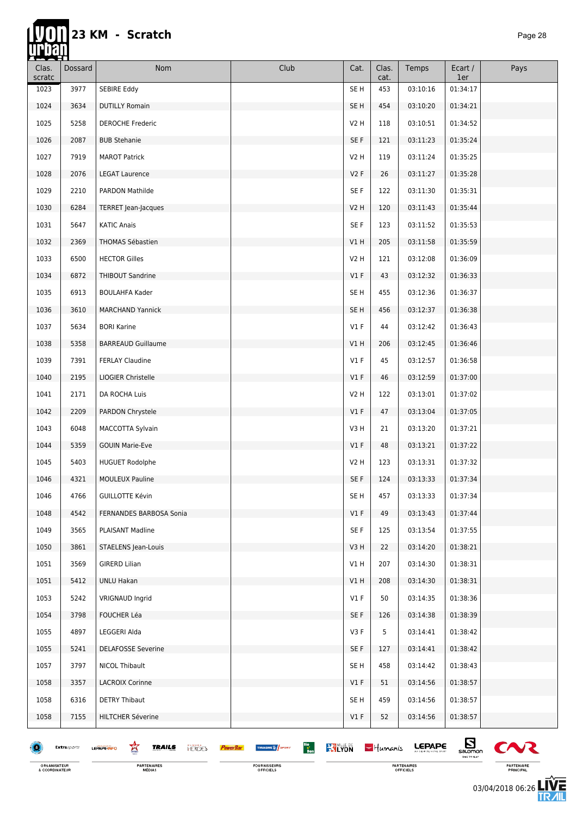# 23 KM - Scratch

hti.

| _ <del>___</del><br>Clas.<br>scratc | Dossard     | Nom                                                | Club                                                                          | Cat.            | Clas.<br>cat. | Temps         | Ecart /<br>1er               | Pays     |
|-------------------------------------|-------------|----------------------------------------------------|-------------------------------------------------------------------------------|-----------------|---------------|---------------|------------------------------|----------|
| 1023                                | 3977        | SEBIRE Eddy                                        |                                                                               | SE H            | 453           | 03:10:16      | 01:34:17                     |          |
| 1024                                | 3634        | <b>DUTILLY Romain</b>                              |                                                                               | SE H            | 454           | 03:10:20      | 01:34:21                     |          |
| 1025                                | 5258        | <b>DEROCHE Frederic</b>                            |                                                                               | V2 H            | 118           | 03:10:51      | 01:34:52                     |          |
| 1026                                | 2087        | <b>BUB Stehanie</b>                                |                                                                               | SE F            | 121           | 03:11:23      | 01:35:24                     |          |
| 1027                                | 7919        | <b>MAROT Patrick</b>                               |                                                                               | V2 H            | 119           | 03:11:24      | 01:35:25                     |          |
| 1028                                | 2076        | <b>LEGAT Laurence</b>                              |                                                                               | V2F             | 26            | 03:11:27      | 01:35:28                     |          |
| 1029                                | 2210        | PARDON Mathilde                                    |                                                                               | SE F            | 122           | 03:11:30      | 01:35:31                     |          |
| 1030                                | 6284        | TERRET Jean-Jacques                                |                                                                               | <b>V2 H</b>     | 120           | 03:11:43      | 01:35:44                     |          |
| 1031                                | 5647        | <b>KATIC Anais</b>                                 |                                                                               | SE F            | 123           | 03:11:52      | 01:35:53                     |          |
| 1032                                | 2369        | THOMAS Sébastien                                   |                                                                               | V1H             | 205           | 03:11:58      | 01:35:59                     |          |
| 1033                                | 6500        | <b>HECTOR Gilles</b>                               |                                                                               | V2 H            | 121           | 03:12:08      | 01:36:09                     |          |
| 1034                                | 6872        | THIBOUT Sandrine                                   |                                                                               | V1F             | 43            | 03:12:32      | 01:36:33                     |          |
| 1035                                | 6913        | <b>BOULAHFA Kader</b>                              |                                                                               | SE H            | 455           | 03:12:36      | 01:36:37                     |          |
| 1036                                | 3610        | <b>MARCHAND Yannick</b>                            |                                                                               | SE H            | 456           | 03:12:37      | 01:36:38                     |          |
| 1037                                | 5634        | <b>BORI Karine</b>                                 |                                                                               | $VI$ F          | 44            | 03:12:42      | 01:36:43                     |          |
| 1038                                | 5358        | <b>BARREAUD Guillaume</b>                          |                                                                               | V1H             | 206           | 03:12:45      | 01:36:46                     |          |
| 1039                                | 7391        | <b>FERLAY Claudine</b>                             |                                                                               | $VI$ F          | 45            | 03:12:57      | 01:36:58                     |          |
| 1040                                | 2195        | LIOGIER Christelle                                 |                                                                               | V1F             | 46            | 03:12:59      | 01:37:00                     |          |
| 1041                                | 2171        | DA ROCHA Luis                                      |                                                                               | V2 H            | 122           | 03:13:01      | 01:37:02                     |          |
| 1042                                | 2209        | PARDON Chrystele                                   |                                                                               | $VI$ F          | 47            | 03:13:04      | 01:37:05                     |          |
| 1043                                | 6048        | MACCOTTA Sylvain                                   |                                                                               | V3H             | 21            | 03:13:20      | 01:37:21                     |          |
| 1044                                | 5359        | <b>GOUIN Marie-Eve</b>                             |                                                                               | V1F             | 48            | 03:13:21      | 01:37:22                     |          |
| 1045                                | 5403        | <b>HUGUET Rodolphe</b>                             |                                                                               | V2H             | 123           | 03:13:31      | 01:37:32                     |          |
| 1046                                | 4321        | <b>MOULEUX Pauline</b>                             |                                                                               | SE F            | 124           | 03:13:33      | 01:37:34                     |          |
| 1046                                | 4766        | <b>GUILLOTTE Kévin</b>                             |                                                                               | SE H            | 457           | 03:13:33      | 01:37:34                     |          |
| 1048                                | 4542        | FERNANDES BARBOSA Sonia                            |                                                                               | $VI$ F          | 49            | 03:13:43      | 01:37:44                     |          |
| 1049                                | 3565        | PLAISANT Madline                                   |                                                                               | SE F            | 125           | 03:13:54      | 01:37:55                     |          |
| 1050                                | 3861        | STAELENS Jean-Louis                                |                                                                               | V3H             | 22            | 03:14:20      | 01:38:21                     |          |
| 1051                                | 3569        | <b>GIRERD Lilian</b>                               |                                                                               | V1H             | 207           | 03:14:30      | 01:38:31                     |          |
| 1051                                | 5412        | <b>UNLU Hakan</b>                                  |                                                                               | V1H             | 208           | 03:14:30      | 01:38:31                     |          |
| 1053                                | 5242        | <b>VRIGNAUD Ingrid</b>                             |                                                                               | $VI$ F          | 50            | 03:14:35      | 01:38:36                     |          |
| 1054                                | 3798        | <b>FOUCHER Léa</b>                                 |                                                                               | SE F            | 126           | 03:14:38      | 01:38:39                     |          |
| 1055                                | 4897        | LEGGERI Alda                                       |                                                                               | V3F             | 5             | 03:14:41      | 01:38:42                     |          |
| 1055                                | 5241        | <b>DELAFOSSE Severine</b>                          |                                                                               | SE F            | 127           | 03:14:41      | 01:38:42                     |          |
| 1057                                | 3797        | NICOL Thibault                                     |                                                                               | SE H            | 458           | 03:14:42      | 01:38:43                     |          |
| 1058                                | 3357        | <b>LACROIX Corinne</b>                             |                                                                               | $VI$ F          | 51            | 03:14:56      | 01:38:57                     |          |
| 1058                                | 6316        | <b>DETRY Thibaut</b>                               |                                                                               | SE <sub>H</sub> | 459           | 03:14:56      | 01:38:57                     |          |
| 1058                                | 7155        | HILTCHER Séverine                                  |                                                                               | $VI$ F          | 52            | 03:14:56      | 01:38:57                     |          |
| 18                                  | Extrasports | 鸾<br><b>TRAILS</b><br><b>HERCES</b><br>LEPAPE-INFO | Bio<br>Bon<br><b>WILYON</b><br><b>TIFUASHE &amp; SPORT</b><br><b>PowerBar</b> |                 | $-$ Humanis   | <b>LEPAPE</b> | $\mathbf{E}$<br>TIME TO FLAT | $\infty$ |

ORGANISATEUR<br>& COORDINATEUR

**PARTENAIRES**<br>MÉDIAS

FOURNISSEURS<br>OFFICIELS

PARTENAIRES<br>OFFICIELS

 $\boldsymbol{\alpha}$ PARTENAIRE<br>PRINCIPAL

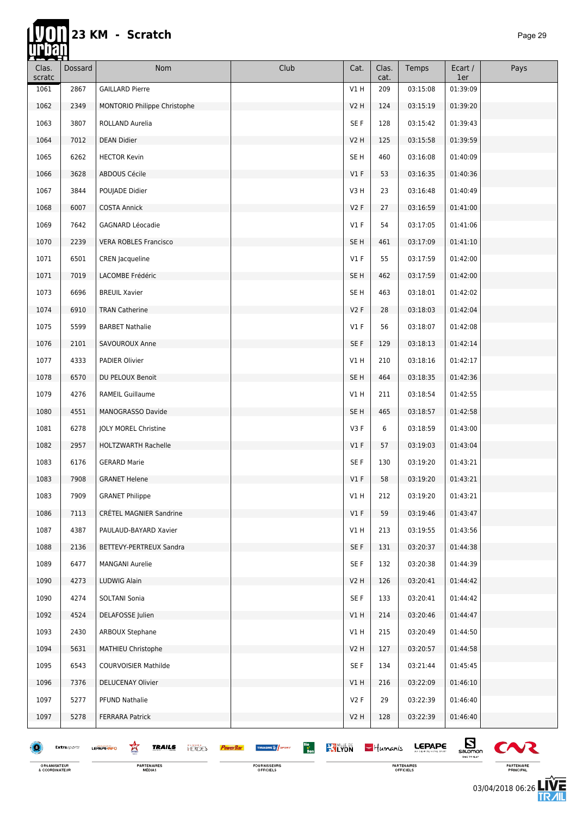**hip** 

| <u>rasan</u><br>Clas. | Dossard     | Nom                                                | Club                                                       | Cat.             | Clas.       | Temps         | Ecart /                                   | Pays           |
|-----------------------|-------------|----------------------------------------------------|------------------------------------------------------------|------------------|-------------|---------------|-------------------------------------------|----------------|
| scratc                |             |                                                    |                                                            |                  | cat.        |               | 1er                                       |                |
| 1061                  | 2867        | <b>GAILLARD Pierre</b>                             |                                                            | V1 H             | 209         | 03:15:08      | 01:39:09                                  |                |
| 1062                  | 2349        | MONTORIO Philippe Christophe                       |                                                            | <b>V2 H</b>      | 124         | 03:15:19      | 01:39:20                                  |                |
| 1063                  | 3807        | ROLLAND Aurelia                                    |                                                            | SE F             | 128         | 03:15:42      | 01:39:43                                  |                |
| 1064                  | 7012        | <b>DEAN Didier</b>                                 |                                                            | <b>V2 H</b>      | 125         | 03:15:58      | 01:39:59                                  |                |
| 1065                  | 6262        | <b>HECTOR Kevin</b>                                |                                                            | SE H             | 460         | 03:16:08      | 01:40:09                                  |                |
| 1066                  | 3628        | ABDOUS Cécile                                      |                                                            | $VI$ F           | 53          | 03:16:35      | 01:40:36                                  |                |
| 1067                  | 3844        | POUJADE Didier                                     |                                                            | V3H              | 23          | 03:16:48      | 01:40:49                                  |                |
| 1068                  | 6007        | <b>COSTA Annick</b>                                |                                                            | V2F              | 27          | 03:16:59      | 01:41:00                                  |                |
| 1069                  | 7642        | GAGNARD Léocadie                                   |                                                            | $VI$ F           | 54          | 03:17:05      | 01:41:06                                  |                |
| 1070                  | 2239        | <b>VERA ROBLES Francisco</b>                       |                                                            | SE <sub>H</sub>  | 461         | 03:17:09      | 01:41:10                                  |                |
| 1071                  | 6501        | CREN Jacqueline                                    |                                                            | $VI$ F           | 55          | 03:17:59      | 01:42:00                                  |                |
| 1071                  | 7019        | LACOMBE Frédéric                                   |                                                            | SE H             | 462         | 03:17:59      | 01:42:00                                  |                |
| 1073                  | 6696        | <b>BREUIL Xavier</b>                               |                                                            | SE H             | 463         | 03:18:01      | 01:42:02                                  |                |
| 1074                  | 6910        | <b>TRAN Catherine</b>                              |                                                            | V2F              | 28          | 03:18:03      | 01:42:04                                  |                |
| 1075                  | 5599        | <b>BARBET Nathalie</b>                             |                                                            | $VI$ F           | 56          | 03:18:07      | 01:42:08                                  |                |
| 1076                  | 2101        | SAVOUROUX Anne                                     |                                                            | SE F             | 129         | 03:18:13      | 01:42:14                                  |                |
| 1077                  | 4333        | PADIER Olivier                                     |                                                            | V1 H             | 210         | 03:18:16      | 01:42:17                                  |                |
| 1078                  | 6570        | DU PELOUX Benoit                                   |                                                            | SE <sub>H</sub>  | 464         | 03:18:35      | 01:42:36                                  |                |
| 1079                  | 4276        | <b>RAMEIL Guillaume</b>                            |                                                            | V1 H             | 211         | 03:18:54      | 01:42:55                                  |                |
| 1080                  | 4551        | MANOGRASSO Davide                                  |                                                            | SE H             | 465         | 03:18:57      | 01:42:58                                  |                |
| 1081                  | 6278        | JOLY MOREL Christine                               |                                                            | V3F              | 6           | 03:18:59      | 01:43:00                                  |                |
| 1082                  | 2957        | <b>HOLTZWARTH Rachelle</b>                         |                                                            | $VI$ F           | 57          | 03:19:03      | 01:43:04                                  |                |
| 1083                  | 6176        | <b>GERARD Marie</b>                                |                                                            | SE F             | 130         | 03:19:20      | 01:43:21                                  |                |
| 1083                  | 7908        | <b>GRANET Helene</b>                               |                                                            | $VI$ F           | 58          | 03:19:20      | 01:43:21                                  |                |
| 1083                  | 7909        | <b>GRANET Philippe</b>                             |                                                            | V1 H             | 212         | 03:19:20      | 01:43:21                                  |                |
| 1086                  | 7113        | CRÉTEL MAGNIER Sandrine                            |                                                            | V1F              | 59          | 03:19:46      | 01:43:47                                  |                |
| 1087                  | 4387        | PAULAUD-BAYARD Xavier                              |                                                            | V1 H             | 213         | 03:19:55      | 01:43:56                                  |                |
| 1088                  | 2136        | BETTEVY-PERTREUX Sandra                            |                                                            | SE F             | 131         | 03:20:37      | 01:44:38                                  |                |
| 1089                  | 6477        | <b>MANGANI Aurelie</b>                             |                                                            | SE F             | 132         | 03:20:38      | 01:44:39                                  |                |
| 1090                  | 4273        | LUDWIG Alain                                       |                                                            | <b>V2 H</b>      | 126         | 03:20:41      | 01:44:42                                  |                |
| 1090                  | 4274        | SOLTANI Sonia                                      |                                                            | SE F             | 133         | 03:20:41      | 01:44:42                                  |                |
| 1092                  | 4524        | DELAFOSSE Julien                                   |                                                            | VIH              | 214         | 03:20:46      | 01:44:47                                  |                |
| 1093                  | 2430        | ARBOUX Stephane                                    |                                                            | V1H              | 215         | 03:20:49      | 01:44:50                                  |                |
| 1094                  | 5631        | MATHIEU Christophe                                 |                                                            | V <sub>2</sub> H | 127         | 03:20:57      | 01:44:58                                  |                |
| 1095                  | 6543        | <b>COURVOISIER Mathilde</b>                        |                                                            | SE F             | 134         | 03:21:44      | 01:45:45                                  |                |
| 1096                  | 7376        | <b>DELUCENAY Olivier</b>                           |                                                            | V1H              | 216         | 03:22:09      | 01:46:10                                  |                |
| 1097                  | 5277        | PFUND Nathalie                                     |                                                            | V2F              | 29          | 03:22:39      | 01:46:40                                  |                |
| 1097                  | 5278        | <b>FERRARA Patrick</b>                             |                                                            | V2H              | 128         | 03:22:39      | 01:46:40                                  |                |
|                       | Extrasports | 窎<br><b>TRAILS</b><br><b>HERCES</b><br>LEPAPE-INFO | Bio<br>Bon<br><b>KYLYON</b><br>THUASHE <sup>16</sup> SPORT |                  | $-$ Humanis | <b>LEPAPE</b> | $\mathbf{E}_{\text{sum}}$<br>TIME TO FLAT | C <sub>N</sub> |

FOURNISSEURS<br>OFFICIELS

ORGANISATEUR<br>& COORDINATEUR

**PARTENAIRES**<br>MÉDIAS

03/04/2018 06:26

PARTENAIRES<br>OFFICIELS

PARTENAIRE<br>PRINCIPAL

左<br>孤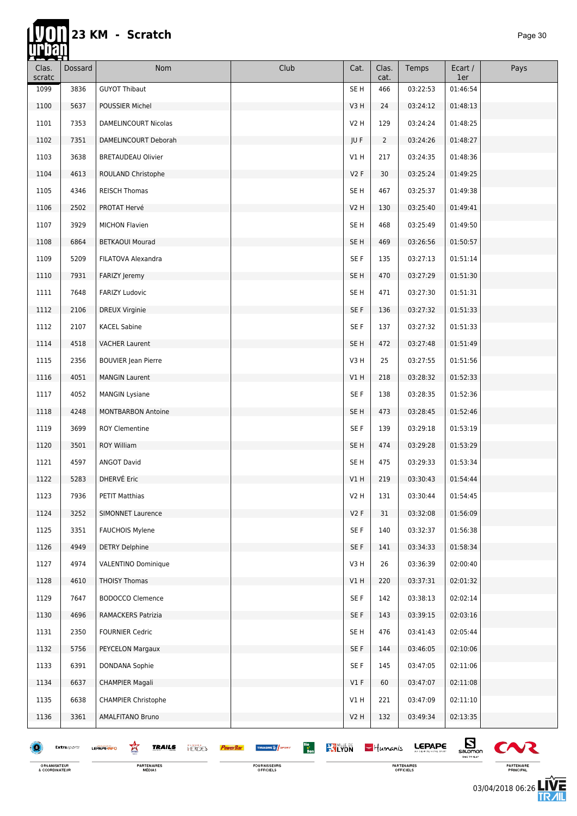hti.

| ----<br>Clas.<br>scratc | <b>Dossard</b> | Nom                                                | Club                                                                           | Cat.             | Clas.<br>cat.  | Temps         | Ecart /<br>1er               | Pays         |
|-------------------------|----------------|----------------------------------------------------|--------------------------------------------------------------------------------|------------------|----------------|---------------|------------------------------|--------------|
| 1099                    | 3836           | <b>GUYOT Thibaut</b>                               |                                                                                | SE H             | 466            | 03:22:53      | 01:46:54                     |              |
| 1100                    | 5637           | POUSSIER Michel                                    |                                                                                | V3H              | 24             | 03:24:12      | 01:48:13                     |              |
| 1101                    | 7353           | <b>DAMELINCOURT Nicolas</b>                        |                                                                                | V2 H             | 129            | 03:24:24      | 01:48:25                     |              |
| 1102                    | 7351           | DAMELINCOURT Deborah                               |                                                                                | JU F             | $\overline{2}$ | 03:24:26      | 01:48:27                     |              |
| 1103                    | 3638           | <b>BRETAUDEAU Olivier</b>                          |                                                                                | V1 H             | 217            | 03:24:35      | 01:48:36                     |              |
| 1104                    | 4613           | ROULAND Christophe                                 |                                                                                | V2F              | 30             | 03:25:24      | 01:49:25                     |              |
| 1105                    | 4346           | <b>REISCH Thomas</b>                               |                                                                                | SE H             | 467            | 03:25:37      | 01:49:38                     |              |
| 1106                    | 2502           | PROTAT Hervé                                       |                                                                                | V <sub>2</sub> H | 130            | 03:25:40      | 01:49:41                     |              |
| 1107                    | 3929           | <b>MICHON Flavien</b>                              |                                                                                | SE H             | 468            | 03:25:49      | 01:49:50                     |              |
| 1108                    | 6864           | <b>BETKAOUI Mourad</b>                             |                                                                                | SE <sub>H</sub>  | 469            | 03:26:56      | 01:50:57                     |              |
| 1109                    | 5209           | FILATOVA Alexandra                                 |                                                                                | SE F             | 135            | 03:27:13      | 01:51:14                     |              |
| 1110                    | 7931           | FARIZY Jeremy                                      |                                                                                | SE <sub>H</sub>  | 470            | 03:27:29      | 01:51:30                     |              |
| 1111                    | 7648           | <b>FARIZY Ludovic</b>                              |                                                                                | SE H             | 471            | 03:27:30      | 01:51:31                     |              |
| 1112                    | 2106           | <b>DREUX Virginie</b>                              |                                                                                | SE F             | 136            | 03:27:32      | 01:51:33                     |              |
| 1112                    | 2107           | <b>KACEL Sabine</b>                                |                                                                                | SE F             | 137            | 03:27:32      | 01:51:33                     |              |
| 1114                    | 4518           | <b>VACHER Laurent</b>                              |                                                                                | SE <sub>H</sub>  | 472            | 03:27:48      | 01:51:49                     |              |
| 1115                    | 2356           | <b>BOUVIER Jean Pierre</b>                         |                                                                                | V3H              | 25             | 03:27:55      | 01:51:56                     |              |
| 1116                    | 4051           | <b>MANGIN Laurent</b>                              |                                                                                | V1H              | 218            | 03:28:32      | 01:52:33                     |              |
| 1117                    | 4052           | <b>MANGIN Lysiane</b>                              |                                                                                | SE F             | 138            | 03:28:35      | 01:52:36                     |              |
| 1118                    | 4248           | <b>MONTBARBON Antoine</b>                          |                                                                                | SE <sub>H</sub>  | 473            | 03:28:45      | 01:52:46                     |              |
| 1119                    | 3699           | <b>ROY Clementine</b>                              |                                                                                | SE F             | 139            | 03:29:18      | 01:53:19                     |              |
| 1120                    | 3501           | <b>ROY William</b>                                 |                                                                                | SE <sub>H</sub>  | 474            | 03:29:28      | 01:53:29                     |              |
| 1121                    | 4597           | <b>ANGOT David</b>                                 |                                                                                | SE H             | 475            | 03:29:33      | 01:53:34                     |              |
| 1122                    | 5283           | DHERVÉ Eric                                        |                                                                                | V1H              | 219            | 03:30:43      | 01:54:44                     |              |
| 1123                    | 7936           | <b>PETIT Matthias</b>                              |                                                                                | V2 H             | 131            | 03:30:44      | 01:54:45                     |              |
| 1124                    | 3252           | <b>SIMONNET Laurence</b>                           |                                                                                | V2F              | 31             | 03:32:08      | 01:56:09                     |              |
| 1125                    | 3351           | <b>FAUCHOIS Mylene</b>                             |                                                                                | SE F             | 140            | 03:32:37      | 01:56:38                     |              |
| 1126                    | 4949           | <b>DETRY Delphine</b>                              |                                                                                | SE F             | 141            | 03:34:33      | 01:58:34                     |              |
| 1127                    | 4974           | <b>VALENTINO Dominique</b>                         |                                                                                | V3H              | 26             | 03:36:39      | 02:00:40                     |              |
| 1128                    | 4610           | <b>THOISY Thomas</b>                               |                                                                                | VIH              | 220            | 03:37:31      | 02:01:32                     |              |
| 1129                    | 7647           | <b>BODOCCO Clemence</b>                            |                                                                                | SE F             | 142            | 03:38:13      | 02:02:14                     |              |
| 1130                    | 4696           | RAMACKERS Patrizia                                 |                                                                                | SE F             | 143            | 03:39:15      | 02:03:16                     |              |
| 1131                    | 2350           | <b>FOURNIER Cedric</b>                             |                                                                                | SE H             | 476            | 03:41:43      | 02:05:44                     |              |
| 1132                    | 5756           | PEYCELON Margaux                                   |                                                                                | SE F             | 144            | 03:46:05      | 02:10:06                     |              |
| 1133                    | 6391           | DONDANA Sophie                                     |                                                                                | SE F             | 145            | 03:47:05      | 02:11:06                     |              |
| 1134                    | 6637           | <b>CHAMPIER Magali</b>                             |                                                                                | $VI$ F           | 60             | 03:47:07      | 02:11:08                     |              |
| 1135                    | 6638           | <b>CHAMPIER Christophe</b>                         |                                                                                | V1 H             | 221            | 03:47:09      | 02:11:10                     |              |
| 1136                    | 3361           | AMALFITANO Bruno                                   |                                                                                | V2H              | 132            | 03:49:34      | 02:13:35                     |              |
|                         | Extrasports    | 鸾<br><b>TRAILS</b><br><b>HERCES</b><br>LEPAPE-INFO | Bio<br>Bon<br><b>KY LYON</b><br>THUASHE <sup>16</sup> SPORT<br><b>PowerBar</b> |                  | $-$ Humanis    | <b>LEPAPE</b> | $\mathbf{E}$<br>TIME TO FLAT | $\mathbf{C}$ |

FOURNISSEURS<br>OFFICIELS

ORGANISATEUR<br>& COORDINATEUR

**PARTENAIRES**<br>MÉDIAS

03/04/2018 06:26ПК

PARTENAIRES<br>OFFICIELS

PARTENAIRE<br>PRINCIPAL

怎